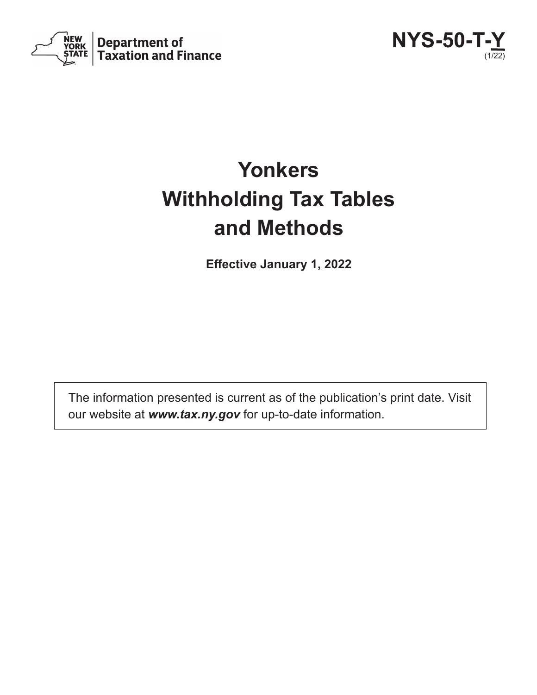



# **Yonkers Withholding Tax Tables and Methods**

**Effective January 1, 2022**

The information presented is current as of the publication's print date. Visit our website at *www.tax.ny.gov* for up-to-date information.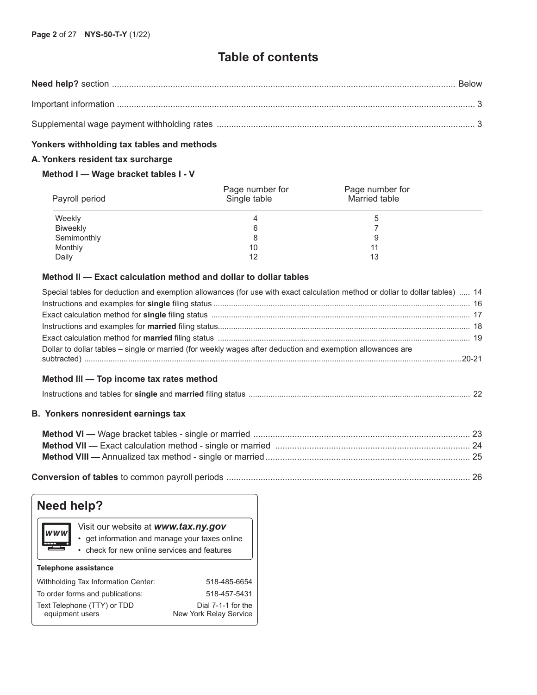## **Table of contents**

#### **Yonkers withholding tax tables and methods**

## **A. Yonkers resident tax surcharge**

#### **Method I — Wage bracket tables I - V**

| Payroll period | Page number for<br>Single table | Page number for<br>Married table |  |
|----------------|---------------------------------|----------------------------------|--|
| Weekly         |                                 |                                  |  |
| Biweekly       |                                 |                                  |  |
| Semimonthly    |                                 |                                  |  |
| Monthly        | 10                              |                                  |  |
| Daily          | 12                              | 13                               |  |

## **Method II — Exact calculation method and dollar to dollar tables**

| <b>B. Yonkers nonresident earnings tax</b>                                                                                   |  |
|------------------------------------------------------------------------------------------------------------------------------|--|
|                                                                                                                              |  |
| Method III — Top income tax rates method                                                                                     |  |
| Dollar to dollar tables – single or married (for weekly wages after deduction and exemption allowances are                   |  |
|                                                                                                                              |  |
|                                                                                                                              |  |
|                                                                                                                              |  |
|                                                                                                                              |  |
| Special tables for deduction and exemption allowances (for use with exact calculation method or dollar to dollar tables)  14 |  |

|--|--|--|

| Need help?                                                                                                                                          |              |  |  |  |  |  |  |  |  |  |  |
|-----------------------------------------------------------------------------------------------------------------------------------------------------|--------------|--|--|--|--|--|--|--|--|--|--|
| Visit our website at www.tax.ny.gov<br><b>WWW</b><br>• get information and manage your taxes online<br>• check for new online services and features |              |  |  |  |  |  |  |  |  |  |  |
| <b>Telephone assistance</b>                                                                                                                         |              |  |  |  |  |  |  |  |  |  |  |
| Withholding Tax Information Center:                                                                                                                 | 518-485-6654 |  |  |  |  |  |  |  |  |  |  |
| To order forms and publications:<br>518-457-5431                                                                                                    |              |  |  |  |  |  |  |  |  |  |  |
| Text Telephone (TTY) or TDD<br>Dial 7-1-1 for the<br>equipment users<br><b>New York Relay Service</b>                                               |              |  |  |  |  |  |  |  |  |  |  |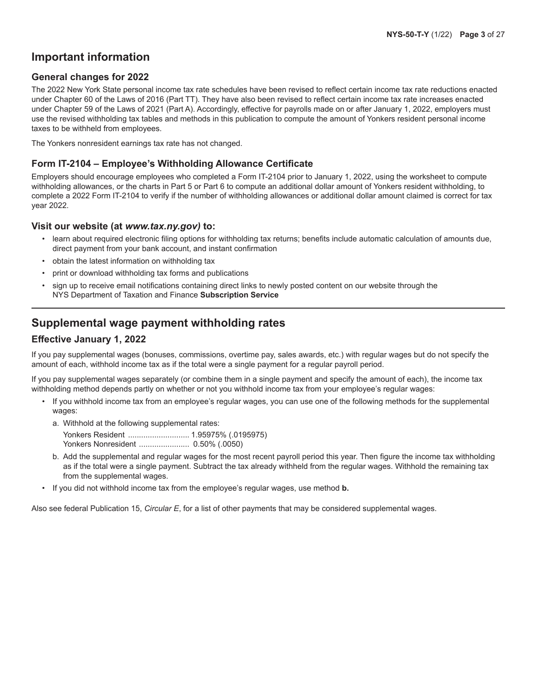## **Important information**

#### **General changes for 2022**

The 2022 New York State personal income tax rate schedules have been revised to reflect certain income tax rate reductions enacted under Chapter 60 of the Laws of 2016 (Part TT). They have also been revised to reflect certain income tax rate increases enacted under Chapter 59 of the Laws of 2021 (Part A). Accordingly, effective for payrolls made on or after January 1, 2022, employers must use the revised withholding tax tables and methods in this publication to compute the amount of Yonkers resident personal income taxes to be withheld from employees.

The Yonkers nonresident earnings tax rate has not changed.

#### **Form IT-2104 – Employee's Withholding Allowance Certificate**

Employers should encourage employees who completed a Form IT-2104 prior to January 1, 2022, using the worksheet to compute withholding allowances, or the charts in Part 5 or Part 6 to compute an additional dollar amount of Yonkers resident withholding, to complete a 2022 Form IT-2104 to verify if the number of withholding allowances or additional dollar amount claimed is correct for tax year 2022.

#### **Visit our website (at** *www.tax.ny.gov)* **to:**

- learn about required electronic filing options for withholding tax returns; benefits include automatic calculation of amounts due, direct payment from your bank account, and instant confirmation
- obtain the latest information on withholding tax
- print or download withholding tax forms and publications
- sign up to receive email notifications containing direct links to newly posted content on our website through the NYS Department of Taxation and Finance **Subscription Service**

## **Supplemental wage payment withholding rates**

#### **Effective January 1, 2022**

If you pay supplemental wages (bonuses, commissions, overtime pay, sales awards, etc.) with regular wages but do not specify the amount of each, withhold income tax as if the total were a single payment for a regular payroll period.

If you pay supplemental wages separately (or combine them in a single payment and specify the amount of each), the income tax withholding method depends partly on whether or not you withhold income tax from your employee's regular wages:

- If you withhold income tax from an employee's regular wages, you can use one of the following methods for the supplemental wages:
	- a. Withhold at the following supplemental rates:

Yonkers Resident ............................ 1.95975% (.0195975)

- Yonkers Nonresident ....................... 0.50% (.0050)
- b. Add the supplemental and regular wages for the most recent payroll period this year. Then figure the income tax withholding as if the total were a single payment. Subtract the tax already withheld from the regular wages. Withhold the remaining tax from the supplemental wages.
- If you did not withhold income tax from the employee's regular wages, use method **b.**

Also see federal Publication 15, *Circular E*, for a list of other payments that may be considered supplemental wages.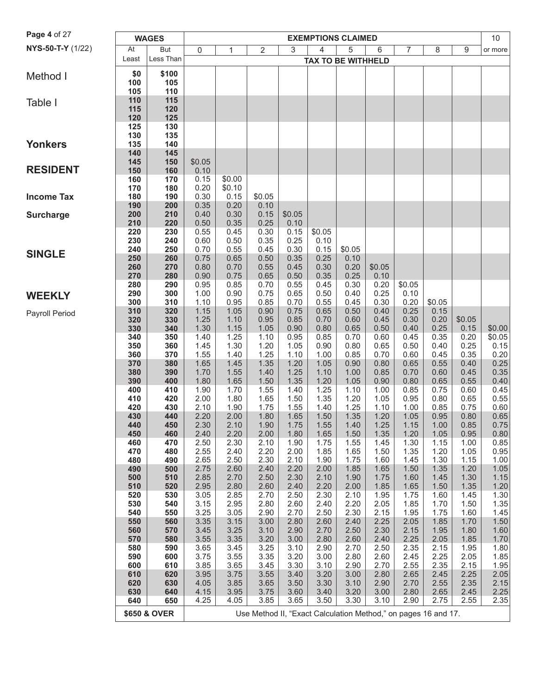| Page 4 of 27      | <b>WAGES</b><br><b>EXEMPTIONS CLAIMED</b> |              |              |              |                                                                |              |                           |              |              |                | 10           |              |                  |
|-------------------|-------------------------------------------|--------------|--------------|--------------|----------------------------------------------------------------|--------------|---------------------------|--------------|--------------|----------------|--------------|--------------|------------------|
| NYS-50-T-Y (1/22) | At                                        | But          | $\mathsf{0}$ | 1            | 2                                                              | 3            | 4                         | 5            | 6            | $\overline{7}$ | 8            | 9            | or more          |
|                   | Least                                     | Less Than    |              |              |                                                                |              | <b>TAX TO BE WITHHELD</b> |              |              |                |              |              |                  |
| Method I          | \$0                                       | \$100        |              |              |                                                                |              |                           |              |              |                |              |              |                  |
|                   | 100                                       | 105          |              |              |                                                                |              |                           |              |              |                |              |              |                  |
|                   | 105                                       | 110          |              |              |                                                                |              |                           |              |              |                |              |              |                  |
| Table I           | 110                                       | 115          |              |              |                                                                |              |                           |              |              |                |              |              |                  |
|                   | 115<br>120                                | 120<br>125   |              |              |                                                                |              |                           |              |              |                |              |              |                  |
|                   | 125                                       | 130          |              |              |                                                                |              |                           |              |              |                |              |              |                  |
|                   | 130                                       | 135          |              |              |                                                                |              |                           |              |              |                |              |              |                  |
| <b>Yonkers</b>    | 135                                       | 140          |              |              |                                                                |              |                           |              |              |                |              |              |                  |
|                   | 140<br>145                                | 145<br>150   | \$0.05       |              |                                                                |              |                           |              |              |                |              |              |                  |
| <b>RESIDENT</b>   | 150                                       | 160          | 0.10         |              |                                                                |              |                           |              |              |                |              |              |                  |
|                   | 160                                       | 170          | 0.15         | \$0.00       |                                                                |              |                           |              |              |                |              |              |                  |
|                   | 170                                       | 180          | 0.20         | \$0.10       |                                                                |              |                           |              |              |                |              |              |                  |
| <b>Income Tax</b> | 180<br>190                                | 190<br>200   | 0.30<br>0.35 | 0.15<br>0.20 | \$0.05<br>0.10                                                 |              |                           |              |              |                |              |              |                  |
| <b>Surcharge</b>  | 200                                       | 210          | 0.40         | 0.30         | 0.15                                                           | \$0.05       |                           |              |              |                |              |              |                  |
|                   | 210                                       | 220          | 0.50         | 0.35         | 0.25                                                           | 0.10         |                           |              |              |                |              |              |                  |
|                   | 220                                       | 230          | 0.55         | 0.45         | 0.30                                                           | 0.15         | \$0.05                    |              |              |                |              |              |                  |
|                   | 230<br>240                                | 240<br>250   | 0.60<br>0.70 | 0.50<br>0.55 | 0.35<br>0.45                                                   | 0.25<br>0.30 | 0.10<br>0.15              | \$0.05       |              |                |              |              |                  |
| <b>SINGLE</b>     | 250                                       | 260          | 0.75         | 0.65         | 0.50                                                           | 0.35         | 0.25                      | 0.10         |              |                |              |              |                  |
|                   | 260                                       | 270          | 0.80         | 0.70         | 0.55                                                           | 0.45         | 0.30                      | 0.20         | \$0.05       |                |              |              |                  |
|                   | 270                                       | 280          | 0.90         | 0.75         | 0.65                                                           | 0.50         | 0.35                      | 0.25         | 0.10         |                |              |              |                  |
|                   | 280<br>290                                | 290<br>300   | 0.95<br>1.00 | 0.85<br>0.90 | 0.70<br>0.75                                                   | 0.55<br>0.65 | 0.45<br>0.50              | 0.30<br>0.40 | 0.20<br>0.25 | \$0.05<br>0.10 |              |              |                  |
| <b>WEEKLY</b>     | 300                                       | 310          | 1.10         | 0.95         | 0.85                                                           | 0.70         | 0.55                      | 0.45         | 0.30         | 0.20           | \$0.05       |              |                  |
| Payroll Period    | 310                                       | 320          | 1.15         | 1.05         | 0.90                                                           | 0.75         | 0.65                      | 0.50         | 0.40         | 0.25           | 0.15         |              |                  |
|                   | 320                                       | 330          | 1.25         | 1.10         | 0.95                                                           | 0.85         | 0.70                      | 0.60         | 0.45         | 0.30           | 0.20         | \$0.05       |                  |
|                   | 330<br>340                                | 340<br>350   | 1.30<br>1.40 | 1.15<br>1.25 | 1.05<br>1.10                                                   | 0.90<br>0.95 | 0.80<br>0.85              | 0.65<br>0.70 | 0.50<br>0.60 | 0.40<br>0.45   | 0.25<br>0.35 | 0.15<br>0.20 | \$0.00<br>\$0.05 |
|                   | 350                                       | 360          | 1.45         | 1.30         | 1.20                                                           | 1.05         | 0.90                      | 0.80         | 0.65         | 0.50           | 0.40         | 0.25         | 0.15             |
|                   | 360                                       | 370          | 1.55         | 1.40         | 1.25                                                           | 1.10         | 1.00                      | 0.85         | 0.70         | 0.60           | 0.45         | 0.35         | 0.20             |
|                   | 370                                       | 380          | 1.65         | 1.45         | 1.35                                                           | 1.20         | 1.05                      | 0.90         | 0.80         | 0.65           | 0.55         | 0.40         | 0.25             |
|                   | 380<br>390                                | 390<br>400   | 1.70<br>1.80 | 1.55<br>1.65 | 1.40<br>1.50                                                   | 1.25<br>1.35 | 1.10<br>1.20              | 1.00<br>1.05 | 0.85<br>0.90 | 0.70<br>0.80   | 0.60<br>0.65 | 0.45<br>0.55 | 0.35<br>0.40     |
|                   | 400                                       | 410          | 1.90         | 1.70         | 1.55                                                           | 1.40         | 1.25                      | 1.10         | 1.00         | 0.85           | 0.75         | 0.60         | 0.45             |
|                   | 410                                       | 420          | 2.00         | 1.80         | 1.65                                                           | 1.50         | 1.35                      | 1.20         | 1.05         | 0.95           | 0.80         | 0.65         | 0.55             |
|                   | 420                                       | 430          | 2.10         | 1.90         | 1.75                                                           | 1.55         | 1.40                      | 1.25         | 1.10         | 1.00           | 0.85         | 0.75         | 0.60             |
|                   | 430<br>440                                | 440<br>450   | 2.20<br>2.30 | 2.00<br>2.10 | 1.80<br>1.90                                                   | 1.65<br>1.75 | 1.50<br>1.55              | 1.35<br>1.40 | 1.20<br>1.25 | 1.05<br>1.15   | 0.95<br>1.00 | 0.80<br>0.85 | 0.65             |
|                   | 450                                       | 460          | 2.40         | 2.20         | 2.00                                                           | 1.80         | 1.65                      | 1.50         | 1.35         | 1.20           | 1.05         | 0.95         | 0.75<br>0.80     |
|                   | 460                                       | 470          | 2.50         | 2.30         | 2.10                                                           | 1.90         | 1.75                      | 1.55         | 1.45         | 1.30           | 1.15         | 1.00         | 0.85             |
|                   | 470                                       | 480          | 2.55         | 2.40         | 2.20                                                           | 2.00         | 1.85                      | 1.65         | 1.50         | 1.35           | 1.20         | 1.05         | 0.95             |
|                   | 480<br>490                                | 490<br>500   | 2.65<br>2.75 | 2.50<br>2.60 | 2.30<br>2.40                                                   | 2.10<br>2.20 | 1.90<br>2.00              | 1.75<br>1.85 | 1.60<br>1.65 | 1.45<br>1.50   | 1.30<br>1.35 | 1.15<br>1.20 | 1.00<br>1.05     |
|                   | 500                                       | 510          | 2.85         | 2.70         | 2.50                                                           | 2.30         | 2.10                      | 1.90         | 1.75         | 1.60           | 1.45         | 1.30         | 1.15             |
|                   | 510                                       | 520          | 2.95         | 2.80         | 2.60                                                           | 2.40         | 2.20                      | 2.00         | 1.85         | 1.65           | 1.50         | 1.35         | 1.20             |
|                   | 520                                       | 530          | 3.05         | 2.85         | 2.70                                                           | 2.50         | 2.30                      | 2.10         | 1.95         | 1.75           | 1.60         | 1.45         | 1.30             |
|                   | 530<br>540                                | 540<br>550   | 3.15<br>3.25 | 2.95<br>3.05 | 2.80<br>2.90                                                   | 2.60<br>2.70 | 2.40<br>2.50              | 2.20<br>2.30 | 2.05<br>2.15 | 1.85<br>1.95   | 1.70<br>1.75 | 1.50<br>1.60 | 1.35<br>1.45     |
|                   | 550                                       | 560          | 3.35         | 3.15         | 3.00                                                           | 2.80         | 2.60                      | 2.40         | 2.25         | 2.05           | 1.85         | 1.70         | 1.50             |
|                   | 560                                       | 570          | 3.45         | 3.25         | 3.10                                                           | 2.90         | 2.70                      | 2.50         | 2.30         | 2.15           | 1.95         | 1.80         | 1.60             |
|                   | 570                                       | 580          | 3.55         | 3.35         | 3.20                                                           | 3.00         | 2.80                      | 2.60         | 2.40         | 2.25           | 2.05         | 1.85         | 1.70             |
|                   | 580                                       | 590          | 3.65         | 3.45         | 3.25<br>3.35                                                   | 3.10         | 2.90                      | 2.70         | 2.50         | 2.35           | 2.15         | 1.95         | 1.80<br>1.85     |
|                   | 590<br>600                                | 600<br>610   | 3.75<br>3.85 | 3.55<br>3.65 | 3.45                                                           | 3.20<br>3.30 | 3.00<br>3.10              | 2.80<br>2.90 | 2.60<br>2.70 | 2.45<br>2.55   | 2.25<br>2.35 | 2.05<br>2.15 | 1.95             |
|                   | 610                                       | 620          | 3.95         | 3.75         | 3.55                                                           | 3.40         | 3.20                      | 3.00         | 2.80         | 2.65           | 2.45         | 2.25         | 2.05             |
|                   | 620                                       | 630          | 4.05         | 3.85         | 3.65                                                           | 3.50         | 3.30                      | 3.10         | 2.90         | 2.70           | 2.55         | 2.35         | 2.15             |
|                   | 630                                       | 640          | 4.15         | 3.95         | 3.75                                                           | 3.60         | 3.40                      | 3.20         | 3.00         | 2.80           | 2.65         | 2.45         | 2.25             |
|                   | 640                                       | 650          | 4.25         | 4.05         | 3.85                                                           | 3.65         | 3.50                      | 3.30         | 3.10         | 2.90           | 2.75         | 2.55         | 2.35             |
|                   |                                           | \$650 & OVER |              |              | Use Method II, "Exact Calculation Method," on pages 16 and 17. |              |                           |              |              |                |              |              |                  |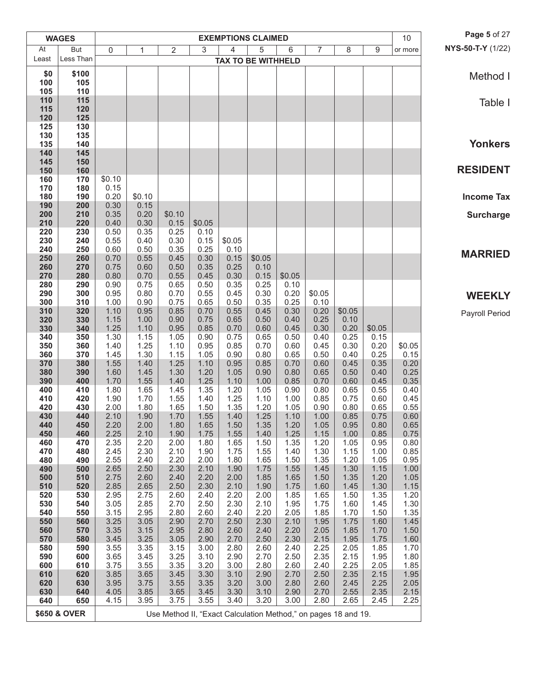|                                        | <b>WAGES</b>            |              |              |                                                                |              |                | <b>EXEMPTIONS CLAIMED</b> |              |                |              |              | 10           | Page 5 of 27      |
|----------------------------------------|-------------------------|--------------|--------------|----------------------------------------------------------------|--------------|----------------|---------------------------|--------------|----------------|--------------|--------------|--------------|-------------------|
| At<br><b>But</b><br>Less Than<br>Least |                         | $\mathbf 0$  | 1            | $\overline{2}$                                                 | 3            | $\overline{4}$ | 5                         | 6            | $\overline{7}$ | 8            | 9            | or more      | NYS-50-T-Y (1/22) |
|                                        |                         |              |              |                                                                |              |                | <b>TAX TO BE WITHHELD</b> |              |                |              |              |              |                   |
| \$0                                    | \$100                   |              |              |                                                                |              |                |                           |              |                |              |              |              | Method I          |
| 100                                    | 105                     |              |              |                                                                |              |                |                           |              |                |              |              |              |                   |
| 105<br>110                             | 110<br>115              |              |              |                                                                |              |                |                           |              |                |              |              |              |                   |
| 115                                    | 120                     |              |              |                                                                |              |                |                           |              |                |              |              |              | Table I           |
| 120                                    | 125                     |              |              |                                                                |              |                |                           |              |                |              |              |              |                   |
| 125                                    | 130                     |              |              |                                                                |              |                |                           |              |                |              |              |              |                   |
| 130<br>135                             | 135<br>140              |              |              |                                                                |              |                |                           |              |                |              |              |              | <b>Yonkers</b>    |
| 140                                    | 145                     |              |              |                                                                |              |                |                           |              |                |              |              |              |                   |
| 145                                    | 150                     |              |              |                                                                |              |                |                           |              |                |              |              |              |                   |
| 150<br>160                             | 160<br>170              | \$0.10       |              |                                                                |              |                |                           |              |                |              |              |              | <b>RESIDENT</b>   |
| 170                                    | 180                     | 0.15         |              |                                                                |              |                |                           |              |                |              |              |              |                   |
| 180                                    | 190                     | 0.20         | \$0.10       |                                                                |              |                |                           |              |                |              |              |              | <b>Income Tax</b> |
| 190                                    | 200                     | 0.30         | 0.15         |                                                                |              |                |                           |              |                |              |              |              |                   |
| 200<br>210                             | 210<br>220              | 0.35<br>0.40 | 0.20<br>0.30 | \$0.10<br>0.15                                                 | \$0.05       |                |                           |              |                |              |              |              | <b>Surcharge</b>  |
| 220                                    | 230                     | 0.50         | 0.35         | 0.25                                                           | 0.10         |                |                           |              |                |              |              |              |                   |
| 230                                    | 240                     | 0.55         | 0.40         | 0.30                                                           | 0.15         | \$0.05         |                           |              |                |              |              |              |                   |
| 240<br>250                             | 250<br>260              | 0.60<br>0.70 | 0.50<br>0.55 | 0.35<br>0.45                                                   | 0.25<br>0.30 | 0.10<br>0.15   | \$0.05                    |              |                |              |              |              | <b>MARRIED</b>    |
| 260                                    | 270                     | 0.75         | 0.60         | 0.50                                                           | 0.35         | 0.25           | 0.10                      |              |                |              |              |              |                   |
| 270                                    | 280                     | 0.80         | 0.70         | 0.55                                                           | 0.45         | 0.30           | 0.15                      | \$0.05       |                |              |              |              |                   |
| 280                                    | 290                     | 0.90         | 0.75         | 0.65                                                           | 0.50         | 0.35           | 0.25                      | 0.10         |                |              |              |              |                   |
| 290<br>300                             | 300<br>310              | 0.95<br>1.00 | 0.80<br>0.90 | 0.70<br>0.75                                                   | 0.55<br>0.65 | 0.45<br>0.50   | 0.30<br>0.35              | 0.20<br>0.25 | \$0.05<br>0.10 |              |              |              | <b>WEEKLY</b>     |
| 310                                    | 320                     | 1.10         | 0.95         | 0.85                                                           | 0.70         | 0.55           | 0.45                      | 0.30         | 0.20           | \$0.05       |              |              | Payroll Period    |
| 320                                    | 330                     | 1.15         | 1.00         | 0.90                                                           | 0.75         | 0.65           | 0.50                      | 0.40         | 0.25           | 0.10         |              |              |                   |
| 330                                    | 340                     | 1.25         | 1.10         | 0.95                                                           | 0.85         | 0.70           | 0.60                      | 0.45         | 0.30           | 0.20         | \$0.05       |              |                   |
| 340<br>350                             | 350<br>360              | 1.30<br>1.40 | 1.15<br>1.25 | 1.05<br>1.10                                                   | 0.90<br>0.95 | 0.75<br>0.85   | 0.65<br>0.70              | 0.50<br>0.60 | 0.40<br>0.45   | 0.25<br>0.30 | 0.15<br>0.20 | \$0.05       |                   |
| 360                                    | 370                     | 1.45         | 1.30         | 1.15                                                           | 1.05         | 0.90           | 0.80                      | 0.65         | 0.50           | 0.40         | 0.25         | 0.15         |                   |
| 370                                    | 380                     | 1.55         | 1.40         | 1.25                                                           | 1.10         | 0.95           | 0.85                      | 0.70         | 0.60           | 0.45         | 0.35         | 0.20         |                   |
| 380<br>390                             | 390<br>400              | 1.60<br>1.70 | 1.45<br>1.55 | 1.30<br>1.40                                                   | 1.20<br>1.25 | 1.05<br>1.10   | 0.90<br>1.00              | 0.80<br>0.85 | 0.65<br>0.70   | 0.50<br>0.60 | 0.40<br>0.45 | 0.25<br>0.35 |                   |
| 400                                    | 410                     | 1.80         | 1.65         | 1.45                                                           | 1.35         | 1.20           | 1.05                      | 0.90         | 0.80           | 0.65         | 0.55         | 0.40         |                   |
| 410                                    | 420                     | 1.90         | 1.70         | 1.55                                                           | 1.40         | 1.25           | 1.10                      | 1.00         | 0.85           | 0.75         | 0.60         | 0.45         |                   |
| 420<br>430                             | 430<br>440              | 2.00<br>2.10 | 1.80<br>1.90 | 1.65<br>1.70                                                   | 1.50<br>1.55 | 1.35<br>1.40   | 1.20<br>1.25              | 1.05<br>1.10 | 0.90<br>1.00   | 0.80<br>0.85 | 0.65<br>0.75 | 0.55<br>0.60 |                   |
| 440                                    | 450                     | 2.20         | 2.00         | 1.80                                                           | 1.65         | 1.50           | 1.35                      | 1.20         | 1.05           | 0.95         | 0.80         | 0.65         |                   |
| 450                                    | 460                     | 2.25         | 2.10         | 1.90                                                           | 1.75         | 1.55           | 1.40                      | 1.25         | 1.15           | 1.00         | 0.85         | 0.75         |                   |
| 460                                    | 470                     | 2.35         | 2.20<br>2.30 | 2.00                                                           | 1.80         | 1.65           | 1.50                      | 1.35         | 1.20           | 1.05         | 0.95         | 0.80<br>0.85 |                   |
| 470<br>480                             | 480<br>490              | 2.45<br>2.55 | 2.40         | 2.10<br>2.20                                                   | 1.90<br>2.00 | 1.75<br>1.80   | 1.55<br>1.65              | 1.40<br>1.50 | 1.30<br>1.35   | 1.15<br>1.20 | 1.00<br>1.05 | 0.95         |                   |
| 490                                    | 500                     | 2.65         | 2.50         | 2.30                                                           | 2.10         | 1.90           | 1.75                      | 1.55         | 1.45           | 1.30         | 1.15         | 1.00         |                   |
| 500                                    | 510                     | 2.75         | 2.60         | 2.40                                                           | 2.20         | 2.00           | 1.85                      | 1.65         | 1.50           | 1.35         | 1.20         | 1.05         |                   |
| 510<br>520                             | 520<br>530              | 2.85<br>2.95 | 2.65<br>2.75 | 2.50<br>2.60                                                   | 2.30<br>2.40 | 2.10<br>2.20   | 1.90<br>2.00              | 1.75<br>1.85 | 1.60<br>1.65   | 1.45<br>1.50 | 1.30<br>1.35 | 1.15<br>1.20 |                   |
| 530                                    | 540                     | 3.05         | 2.85         | 2.70                                                           | 2.50         | 2.30           | 2.10                      | 1.95         | 1.75           | 1.60         | 1.45         | 1.30         |                   |
| 540                                    | 550                     | 3.15         | 2.95         | 2.80                                                           | 2.60         | 2.40           | 2.20                      | 2.05         | 1.85           | 1.70         | 1.50         | 1.35         |                   |
| 550<br>560                             | 560<br>570              | 3.25<br>3.35 | 3.05<br>3.15 | 2.90<br>2.95                                                   | 2.70<br>2.80 | 2.50<br>2.60   | 2.30<br>2.40              | 2.10<br>2.20 | 1.95<br>2.05   | 1.75<br>1.85 | 1.60<br>1.70 | 1.45<br>1.50 |                   |
| 570                                    | 580                     | 3.45         | 3.25         | 3.05                                                           | 2.90         | 2.70           | 2.50                      | 2.30         | 2.15           | 1.95         | 1.75         | 1.60         |                   |
| 580                                    | 590                     | 3.55         | 3.35         | 3.15                                                           | 3.00         | 2.80           | 2.60                      | 2.40         | 2.25           | 2.05         | 1.85         | 1.70         |                   |
| 590                                    | 600                     | 3.65         | 3.45         | 3.25                                                           | 3.10         | 2.90           | 2.70                      | 2.50         | 2.35           | 2.15         | 1.95         | 1.80         |                   |
| 600<br>610                             | 610<br>620              | 3.75<br>3.85 | 3.55<br>3.65 | 3.35<br>3.45                                                   | 3.20<br>3.30 | 3.00<br>3.10   | 2.80<br>2.90              | 2.60<br>2.70 | 2.40<br>2.50   | 2.25<br>2.35 | 2.05<br>2.15 | 1.85<br>1.95 |                   |
| 620                                    | 630                     | 3.95         | 3.75         | 3.55                                                           | 3.35         | 3.20           | 3.00                      | 2.80         | 2.60           | 2.45         | 2.25         | 2.05         |                   |
| 630                                    | 640                     | 4.05         | 3.85         | 3.65                                                           | 3.45         | 3.30           | 3.10                      | 2.90         | 2.70           | 2.55         | 2.35         | 2.15         |                   |
| 640                                    | 650                     | 4.15         | 3.95         | 3.75                                                           | 3.55         | 3.40           | 3.20                      | 3.00         | 2.80           | 2.65         | 2.45         | 2.25         |                   |
|                                        | <b>\$650 &amp; OVER</b> |              |              | Use Method II, "Exact Calculation Method," on pages 18 and 19. |              |                |                           |              |                |              |              |              |                   |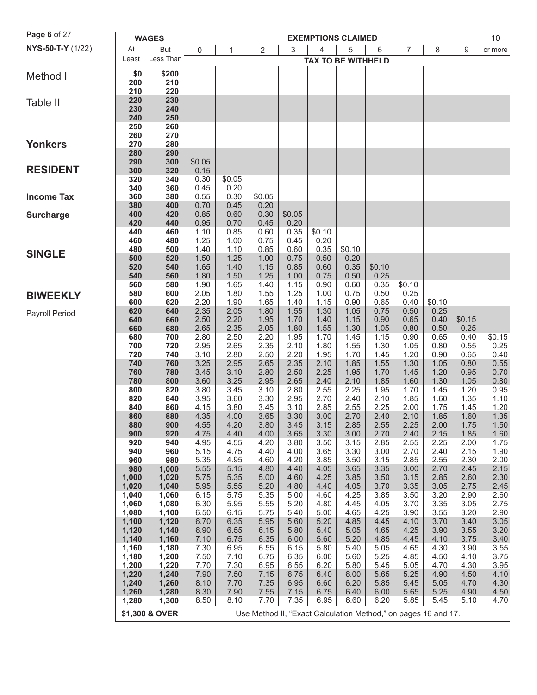| Page 6 of 27          |                |                |              |              |                                                                |              |                |                           |              |              |              |              |                |
|-----------------------|----------------|----------------|--------------|--------------|----------------------------------------------------------------|--------------|----------------|---------------------------|--------------|--------------|--------------|--------------|----------------|
|                       |                | <b>WAGES</b>   |              |              |                                                                |              |                | <b>EXEMPTIONS CLAIMED</b> |              |              |              |              | 10             |
| NYS-50-T-Y (1/22)     | At             | But            | 0            | 1            | 2                                                              | 3            | $\overline{4}$ | 5                         | 6            | 7            | 8            | 9            | or more        |
|                       | Least          | Less Than      |              |              |                                                                |              |                | <b>TAX TO BE WITHHELD</b> |              |              |              |              |                |
| Method I              | \$0            | \$200          |              |              |                                                                |              |                |                           |              |              |              |              |                |
|                       | 200            | 210            |              |              |                                                                |              |                |                           |              |              |              |              |                |
|                       | 210            | 220            |              |              |                                                                |              |                |                           |              |              |              |              |                |
| Table II              | 220            | 230            |              |              |                                                                |              |                |                           |              |              |              |              |                |
|                       | 230            | 240            |              |              |                                                                |              |                |                           |              |              |              |              |                |
|                       | 240            | 250            |              |              |                                                                |              |                |                           |              |              |              |              |                |
|                       | 250            | 260            |              |              |                                                                |              |                |                           |              |              |              |              |                |
| <b>Yonkers</b>        | 260<br>270     | 270<br>280     |              |              |                                                                |              |                |                           |              |              |              |              |                |
|                       | 280            | 290            |              |              |                                                                |              |                |                           |              |              |              |              |                |
|                       | 290            | 300            | \$0.05       |              |                                                                |              |                |                           |              |              |              |              |                |
| <b>RESIDENT</b>       | 300            | 320            | 0.15         |              |                                                                |              |                |                           |              |              |              |              |                |
|                       | 320            | 340            | 0.30         | \$0.05       |                                                                |              |                |                           |              |              |              |              |                |
|                       | 340            | 360            | 0.45         | 0.20         |                                                                |              |                |                           |              |              |              |              |                |
| <b>Income Tax</b>     | 360            | 380            | 0.55         | 0.30         | \$0.05                                                         |              |                |                           |              |              |              |              |                |
|                       | 380            | 400            | 0.70         | 0.45         | 0.20                                                           |              |                |                           |              |              |              |              |                |
| <b>Surcharge</b>      | 400            | 420            | 0.85         | 0.60         | 0.30                                                           | \$0.05       |                |                           |              |              |              |              |                |
|                       | 420            | 440            | 0.95         | 0.70         | 0.45                                                           | 0.20         |                |                           |              |              |              |              |                |
|                       | 440<br>460     | 460            | 1.10         | 0.85         | 0.60<br>0.75                                                   | 0.35<br>0.45 | \$0.10<br>0.20 |                           |              |              |              |              |                |
|                       | 480            | 480<br>500     | 1.25<br>1.40 | 1.00<br>1.10 | 0.85                                                           | 0.60         | 0.35           | \$0.10                    |              |              |              |              |                |
| <b>SINGLE</b>         | 500            | 520            | 1.50         | 1.25         | 1.00                                                           | 0.75         | 0.50           | 0.20                      |              |              |              |              |                |
|                       | 520            | 540            | 1.65         | 1.40         | 1.15                                                           | 0.85         | 0.60           | 0.35                      | \$0.10       |              |              |              |                |
|                       | 540            | 560            | 1.80         | 1.50         | 1.25                                                           | 1.00         | 0.75           | 0.50                      | 0.25         |              |              |              |                |
|                       | 560            | 580            | 1.90         | 1.65         | 1.40                                                           | 1.15         | 0.90           | 0.60                      | 0.35         | \$0.10       |              |              |                |
| <b>BIWEEKLY</b>       | 580            | 600            | 2.05         | 1.80         | 1.55                                                           | 1.25         | 1.00           | 0.75                      | 0.50         | 0.25         |              |              |                |
|                       | 600            | 620            | 2.20         | 1.90         | 1.65                                                           | 1.40         | 1.15           | 0.90                      | 0.65         | 0.40         | \$0.10       |              |                |
| <b>Payroll Period</b> | 620            | 640            | 2.35         | 2.05         | 1.80                                                           | 1.55         | 1.30           | 1.05                      | 0.75         | 0.50         | 0.25         |              |                |
|                       | 640            | 660            | 2.50         | 2.20         | 1.95                                                           | 1.70         | 1.40           | 1.15                      | 0.90         | 0.65         | 0.40         | \$0.15       |                |
|                       | 660            | 680            | 2.65         | 2.35         | 2.05                                                           | 1.80         | 1.55           | 1.30                      | 1.05         | 0.80         | 0.50         | 0.25         |                |
|                       | 680<br>700     | 700<br>720     | 2.80<br>2.95 | 2.50<br>2.65 | 2.20<br>2.35                                                   | 1.95<br>2.10 | 1.70<br>1.80   | 1.45<br>1.55              | 1.15<br>1.30 | 0.90<br>1.05 | 0.65<br>0.80 | 0.40<br>0.55 | \$0.15<br>0.25 |
|                       | 720            | 740            | 3.10         | 2.80         | 2.50                                                           | 2.20         | 1.95           | 1.70                      | 1.45         | 1.20         | 0.90         | 0.65         | 0.40           |
|                       | 740            | 760            | 3.25         | 2.95         | 2.65                                                           | 2.35         | 2.10           | 1.85                      | 1.55         | 1.30         | 1.05         | 0.80         | 0.55           |
|                       | 760            | 780            | 3.45         | 3.10         | 2.80                                                           | 2.50         | 2.25           | 1.95                      | 1.70         | 1.45         | 1.20         | 0.95         | 0.70           |
|                       | 780            | 800            | 3.60         | 3.25         | 2.95                                                           | 2.65         | 2.40           | 2.10                      | 1.85         | 1.60         | 1.30         | 1.05         | 0.80           |
|                       | 800            | 820            | 3.80         | 3.45         | 3.10                                                           | 2.80         | 2.55           | 2.25                      | 1.95         | 1.70         | 1.45         | 1.20         | 0.95           |
|                       | 820            | 840            | 3.95         | 3.60         | 3.30                                                           | 2.95         | 2.70           | 2.40                      | 2.10         | 1.85         | 1.60         | 1.35         | 1.10           |
|                       | 840            | 860            | 4.15         | 3.80         | 3.45                                                           | 3.10         | 2.85           | 2.55                      | 2.25         | 2.00         | 1.75         | 1.45         | 1.20           |
|                       | 860            | 880            | 4.35         | 4.00         | 3.65                                                           | 3.30         | 3.00           | 2.70                      | 2.40         | 2.10         | 1.85         | 1.60         | $1.35$         |
|                       | 880<br>900     | 900<br>920     | 4.55<br>4.75 | 4.20<br>4.40 | 3.80<br>4.00                                                   | 3.45<br>3.65 | 3.15<br>3.30   | 2.85<br>3.00              | 2.55<br>2.70 | 2.25<br>2.40 | 2.00<br>2.15 | 1.75<br>1.85 | 1.50<br>1.60   |
|                       | 920            | 940            | 4.95         | 4.55         | 4.20                                                           | 3.80         | 3.50           | 3.15                      | 2.85         | 2.55         | 2.25         | 2.00         | 1.75           |
|                       | 940            | 960            | 5.15         | 4.75         | 4.40                                                           | 4.00         | 3.65           | 3.30                      | 3.00         | 2.70         | 2.40         | 2.15         | 1.90           |
|                       | 960            | 980            | 5.35         | 4.95         | 4.60                                                           | 4.20         | 3.85           | 3.50                      | 3.15         | 2.85         | 2.55         | 2.30         | 2.00           |
|                       | 980            | 1,000          | 5.55         | 5.15         | 4.80                                                           | 4.40         | 4.05           | 3.65                      | 3.35         | 3.00         | 2.70         | 2.45         | 2.15           |
|                       | 1,000          | 1,020          | 5.75         | 5.35         | 5.00                                                           | 4.60         | 4.25           | 3.85                      | 3.50         | 3.15         | 2.85         | 2.60         | 2.30           |
|                       | 1,020          | 1,040          | 5.95         | 5.55         | 5.20                                                           | 4.80         | 4.40           | 4.05                      | 3.70         | 3.35         | 3.05         | 2.75         | 2.45           |
|                       | 1,040          | 1,060          | 6.15         | 5.75         | 5.35                                                           | 5.00         | 4.60           | 4.25                      | 3.85         | 3.50         | 3.20         | 2.90         | 2.60           |
|                       | 1,060          | 1,080          | 6.30         | 5.95         | 5.55                                                           | 5.20         | 4.80           | 4.45                      | 4.05         | 3.70         | 3.35         | 3.05         | 2.75           |
|                       | 1,080<br>1,100 | 1,100<br>1,120 | 6.50<br>6.70 | 6.15<br>6.35 | 5.75<br>5.95                                                   | 5.40<br>5.60 | 5.00<br>5.20   | 4.65<br>4.85              | 4.25<br>4.45 | 3.90<br>4.10 | 3.55<br>3.70 | 3.20<br>3.40 | 2.90<br>3.05   |
|                       | 1,120          | 1,140          | 6.90         | 6.55         | 6.15                                                           | 5.80         | 5.40           | 5.05                      | 4.65         | 4.25         | 3.90         | 3.55         | 3.20           |
|                       | 1,140          | 1,160          | 7.10         | 6.75         | 6.35                                                           | 6.00         | 5.60           | 5.20                      | 4.85         | 4.45         | 4.10         | 3.75         | 3.40           |
|                       | 1,160          | 1,180          | 7.30         | 6.95         | 6.55                                                           | 6.15         | 5.80           | 5.40                      | 5.05         | 4.65         | 4.30         | 3.90         | 3.55           |
|                       | 1,180          | 1,200          | 7.50         | 7.10         | 6.75                                                           | 6.35         | 6.00           | 5.60                      | 5.25         | 4.85         | 4.50         | 4.10         | 3.75           |
|                       | 1,200          | 1,220          | 7.70         | 7.30         | 6.95                                                           | 6.55         | 6.20           | 5.80                      | 5.45         | 5.05         | 4.70         | 4.30         | 3.95           |
|                       | 1,220          | 1,240          | 7.90         | 7.50         | 7.15                                                           | 6.75         | 6.40           | 6.00                      | 5.65         | 5.25         | 4.90         | 4.50         | 4.10           |
|                       | 1,240          | 1,260          | 8.10         | 7.70         | 7.35                                                           | 6.95         | 6.60           | 6.20                      | 5.85         | 5.45         | 5.05         | 4.70         | 4.30           |
|                       | 1,260          | 1,280          | 8.30         | 7.90         | 7.55                                                           | 7.15         | 6.75           | 6.40                      | 6.00         | 5.65         | 5.25         | 4.90         | 4.50           |
|                       | 1,280          | 1,300          | 8.50         | 8.10         | 7.70                                                           | 7.35         | 6.95           | 6.60                      | 6.20         | 5.85         | 5.45         | 5.10         | 4.70           |
|                       |                | \$1,300 & OVER |              |              | Use Method II, "Exact Calculation Method," on pages 16 and 17. |              |                |                           |              |              |              |              |                |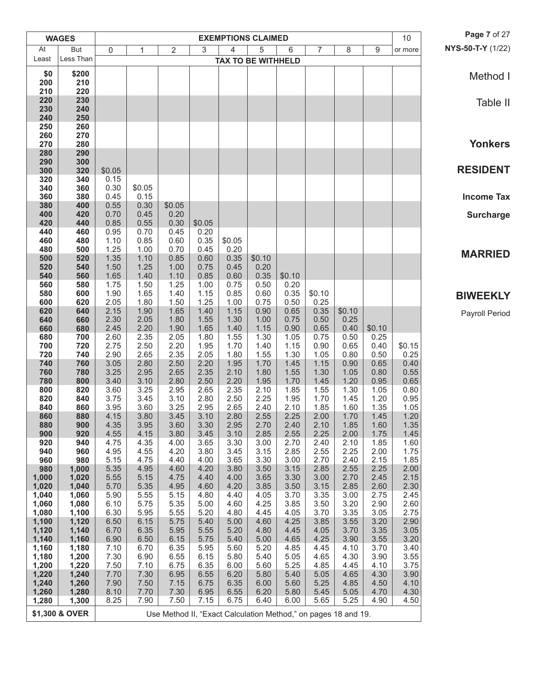|                | <b>WAGES</b>   |                  |                |                                                                |              | <b>EXEMPTIONS CLAIMED</b> |              |                |                |              |              | 10           | Page 7 of 27      |
|----------------|----------------|------------------|----------------|----------------------------------------------------------------|--------------|---------------------------|--------------|----------------|----------------|--------------|--------------|--------------|-------------------|
| At             | <b>But</b>     | $\boldsymbol{0}$ | 1              | $\overline{2}$                                                 | 3            | $\overline{4}$            | 5            | 6              | $\overline{7}$ | 8            | 9            | or more      | NYS-50-T-Y (1/22) |
| Least          | Less Than      |                  |                |                                                                |              | <b>TAX TO BE WITHHELD</b> |              |                |                |              |              |              |                   |
| \$0            | \$200          |                  |                |                                                                |              |                           |              |                |                |              |              |              | Method I          |
| 200            | 210            |                  |                |                                                                |              |                           |              |                |                |              |              |              |                   |
| 210            | 220            |                  |                |                                                                |              |                           |              |                |                |              |              |              |                   |
| 220<br>230     | 230<br>240     |                  |                |                                                                |              |                           |              |                |                |              |              |              | Table II          |
| 240            | 250            |                  |                |                                                                |              |                           |              |                |                |              |              |              |                   |
| 250            | 260            |                  |                |                                                                |              |                           |              |                |                |              |              |              |                   |
| 260            | 270            |                  |                |                                                                |              |                           |              |                |                |              |              |              |                   |
| 270<br>280     | 280<br>290     |                  |                |                                                                |              |                           |              |                |                |              |              |              | <b>Yonkers</b>    |
| 290            | 300            |                  |                |                                                                |              |                           |              |                |                |              |              |              |                   |
| 300            | 320            | \$0.05           |                |                                                                |              |                           |              |                |                |              |              |              | <b>RESIDENT</b>   |
| 320            | 340<br>360     | 0.15             |                |                                                                |              |                           |              |                |                |              |              |              |                   |
| 340<br>360     | 380            | 0.30<br>0.45     | \$0.05<br>0.15 |                                                                |              |                           |              |                |                |              |              |              | <b>Income Tax</b> |
| 380            | 400            | 0.55             | 0.30           | \$0.05                                                         |              |                           |              |                |                |              |              |              |                   |
| 400            | 420            | 0.70             | 0.45           | 0.20                                                           |              |                           |              |                |                |              |              |              | <b>Surcharge</b>  |
| 420            | 440            | 0.85             | 0.55           | 0.30                                                           | \$0.05       |                           |              |                |                |              |              |              |                   |
| 440<br>460     | 460<br>480     | 0.95<br>1.10     | 0.70<br>0.85   | 0.45<br>0.60                                                   | 0.20<br>0.35 | \$0.05                    |              |                |                |              |              |              |                   |
| 480            | 500            | 1.25             | 1.00           | 0.70                                                           | 0.45         | 0.20                      |              |                |                |              |              |              |                   |
| 500            | 520            | 1.35             | 1.10           | 0.85                                                           | 0.60         | 0.35                      | \$0.10       |                |                |              |              |              | <b>MARRIED</b>    |
| 520            | 540            | 1.50             | 1.25           | 1.00                                                           | 0.75         | 0.45                      | 0.20         |                |                |              |              |              |                   |
| 540<br>560     | 560<br>580     | 1.65<br>1.75     | 1.40<br>1.50   | 1.10<br>1.25                                                   | 0.85<br>1.00 | 0.60<br>0.75              | 0.35<br>0.50 | \$0.10<br>0.20 |                |              |              |              |                   |
| 580            | 600            | 1.90             | 1.65           | 1.40                                                           | 1.15         | 0.85                      | 0.60         | 0.35           | \$0.10         |              |              |              | <b>BIWEEKLY</b>   |
| 600            | 620            | 2.05             | 1.80           | 1.50                                                           | 1.25         | 1.00                      | 0.75         | 0.50           | 0.25           |              |              |              |                   |
| 620            | 640            | 2.15             | 1.90           | 1.65                                                           | 1.40         | 1.15                      | 0.90         | 0.65           | 0.35           | \$0.10       |              |              | Payroll Period    |
| 640<br>660     | 660<br>680     | 2.30<br>2.45     | 2.05<br>2.20   | 1.80<br>1.90                                                   | 1.55<br>1.65 | 1.30<br>1.40              | 1.00<br>1.15 | 0.75<br>0.90   | 0.50<br>0.65   | 0.25<br>0.40 | \$0.10       |              |                   |
| 680            | 700            | 2.60             | 2.35           | 2.05                                                           | 1.80         | 1.55                      | 1.30         | 1.05           | 0.75           | 0.50         | 0.25         |              |                   |
| 700            | 720            | 2.75             | 2.50           | 2.20                                                           | 1.95         | 1.70                      | 1.40         | 1.15           | 0.90           | 0.65         | 0.40         | \$0.15       |                   |
| 720            | 740            | 2.90             | 2.65<br>2.80   | 2.35                                                           | 2.05         | 1.80                      | 1.55         | 1.30           | 1.05           | 0.80         | 0.50         | 0.25<br>0.40 |                   |
| 740<br>760     | 760<br>780     | 3.05<br>3.25     | 2.95           | 2.50<br>2.65                                                   | 2.20<br>2.35 | 1.95<br>2.10              | 1.70<br>1.80 | 1.45<br>1.55   | 1.15<br>1.30   | 0.90<br>1.05 | 0.65<br>0.80 | 0.55         |                   |
| 780            | 800            | 3.40             | 3.10           | 2.80                                                           | 2.50         | 2.20                      | 1.95         | 1.70           | 1.45           | 1.20         | 0.95         | 0.65         |                   |
| 800            | 820            | 3.60             | 3.25           | 2.95                                                           | 2.65         | 2.35                      | 2.10         | 1.85           | 1.55           | 1.30         | 1.05         | 0.80         |                   |
| 820<br>840     | 840<br>860     | 3.75<br>3.95     | 3.45<br>3.60   | 3.10<br>3.25                                                   | 2.80<br>2.95 | 2.50<br>2.65              | 2.25<br>2.40 | 1.95<br>2.10   | 1.70<br>1.85   | 1.45<br>1.60 | 1.20<br>1.35 | 0.95<br>1.05 |                   |
| 860            | 880            | 4.15             | 3.80           | 3.45                                                           | 3.10         | 2.80                      | 2.55         | 2.25           | 2.00           | 1.70         | 1.45         | 1.20         |                   |
| 880            | 900            | 4.35             | 3.95           | 3.60                                                           | 3.30         | 2.95                      | 2.70         | 2.40           | 2.10           | 1.85         | 1.60         | 1.35         |                   |
| 900            | 920            | 4.55             | 4.15           | 3.80                                                           | 3.45         | 3.10                      | 2.85         | 2.55           | 2.25           | 2.00         | 1.75         | 1.45         |                   |
| 920<br>940     | 940<br>960     | 4.75<br>4.95     | 4.35<br>4.55   | 4.00<br>4.20                                                   | 3.65<br>3.80 | 3.30<br>3.45              | 3.00<br>3.15 | 2.70<br>2.85   | 2.40<br>2.55   | 2.10<br>2.25 | 1.85<br>2.00 | 1.60<br>1.75 |                   |
| 960            | 980            | 5.15             | 4.75           | 4.40                                                           | 4.00         | 3.65                      | 3.30         | 3.00           | 2.70           | 2.40         | 2.15         | 1.85         |                   |
| 980            | 1,000          | 5.35             | 4.95           | 4.60                                                           | 4.20         | 3.80                      | 3.50         | 3.15           | 2.85           | 2.55         | 2.25         | 2.00         |                   |
| 1,000          | 1,020          | 5.55             | 5.15           | 4.75                                                           | 4.40         | 4.00                      | 3.65         | 3.30           | 3.00           | 2.70         | 2.45         | 2.15         |                   |
| 1,020<br>1,040 | 1,040<br>1,060 | 5.70<br>5.90     | 5.35<br>5.55   | 4.95<br>5.15                                                   | 4.60<br>4.80 | 4.20<br>4.40              | 3.85<br>4.05 | 3.50<br>3.70   | 3.15<br>3.35   | 2.85<br>3.00 | 2.60<br>2.75 | 2.30<br>2.45 |                   |
| 1,060          | 1,080          | 6.10             | 5.75           | 5.35                                                           | 5.00         | 4.60                      | 4.25         | 3.85           | 3.50           | 3.20         | 2.90         | 2.60         |                   |
| 1,080          | 1,100          | 6.30             | 5.95           | 5.55                                                           | 5.20         | 4.80                      | 4.45         | 4.05           | 3.70           | 3.35         | 3.05         | 2.75         |                   |
| 1,100          | 1,120          | 6.50             | 6.15           | 5.75                                                           | 5.40         | 5.00                      | 4.60         | 4.25           | 3.85           | 3.55         | 3.20         | 2.90         |                   |
| 1,120<br>1,140 | 1,140<br>1,160 | 6.70<br>6.90     | 6.35<br>6.50   | 5.95<br>6.15                                                   | 5.55<br>5.75 | 5.20<br>5.40              | 4.80<br>5.00 | 4.45<br>4.65   | 4.05<br>4.25   | 3.70<br>3.90 | 3.35<br>3.55 | 3.05<br>3.20 |                   |
| 1,160          | 1,180          | 7.10             | 6.70           | 6.35                                                           | 5.95         | 5.60                      | 5.20         | 4.85           | 4.45           | 4.10         | 3.70         | 3.40         |                   |
| 1,180          | 1,200          | 7.30             | 6.90           | 6.55                                                           | 6.15         | 5.80                      | 5.40         | 5.05           | 4.65           | 4.30         | 3.90         | 3.55         |                   |
| 1,200          | 1,220          | 7.50             | 7.10           | 6.75                                                           | 6.35         | 6.00                      | 5.60         | 5.25           | 4.85           | 4.45         | 4.10         | 3.75         |                   |
| 1,220<br>1,240 | 1,240<br>1,260 | 7.70<br>7.90     | 7.30<br>7.50   | 6.95<br>7.15                                                   | 6.55<br>6.75 | 6.20<br>6.35              | 5.80<br>6.00 | 5.40<br>5.60   | 5.05<br>5.25   | 4.65<br>4.85 | 4.30<br>4.50 | 3.90<br>4.10 |                   |
| 1,260          | 1,280          | 8.10             | 7.70           | 7.30                                                           | 6.95         | 6.55                      | 6.20         | 5.80           | 5.45           | 5.05         | 4.70         | 4.30         |                   |
| 1,280          | 1,300          | 8.25             | 7.90           | 7.50                                                           | 7.15         | 6.75                      | 6.40         | 6.00           | 5.65           | 5.25         | 4.90         | 4.50         |                   |
|                | \$1,300 & OVER |                  |                | Use Method II, "Exact Calculation Method," on pages 18 and 19. |              |                           |              |                |                |              |              |              |                   |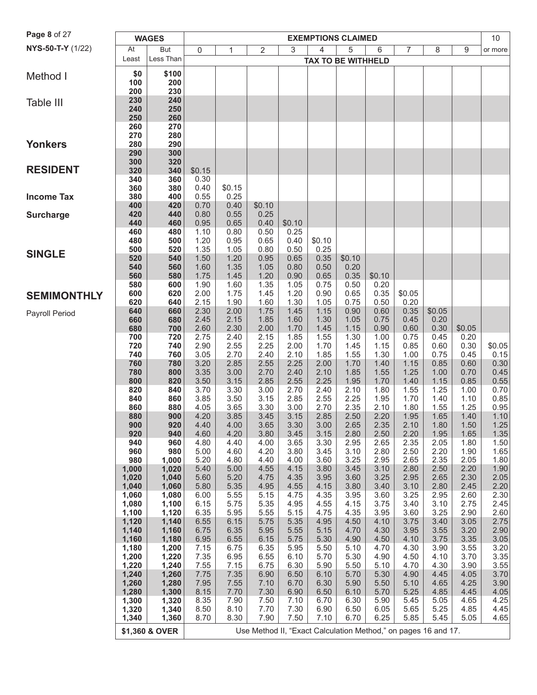| Page 8 of 27          | <b>WAGES</b><br><b>EXEMPTIONS CLAIMED</b> |                |              |                |                                                                |              |                           |              |                |              |              | 10           |              |
|-----------------------|-------------------------------------------|----------------|--------------|----------------|----------------------------------------------------------------|--------------|---------------------------|--------------|----------------|--------------|--------------|--------------|--------------|
| NYS-50-T-Y (1/22)     | At                                        | But            | 0            | 1              | $\overline{2}$                                                 | 3            | 4                         | 5            | 6              | 7            | 8            | 9            | or more      |
|                       | Least                                     | Less Than      |              |                |                                                                |              | <b>TAX TO BE WITHHELD</b> |              |                |              |              |              |              |
| Method I              | \$0                                       | \$100          |              |                |                                                                |              |                           |              |                |              |              |              |              |
|                       | 100                                       | 200            |              |                |                                                                |              |                           |              |                |              |              |              |              |
|                       | 200                                       | 230            |              |                |                                                                |              |                           |              |                |              |              |              |              |
| Table III             | 230<br>240                                | 240<br>250     |              |                |                                                                |              |                           |              |                |              |              |              |              |
|                       | 250                                       | 260            |              |                |                                                                |              |                           |              |                |              |              |              |              |
|                       | 260                                       | 270            |              |                |                                                                |              |                           |              |                |              |              |              |              |
|                       | 270                                       | 280            |              |                |                                                                |              |                           |              |                |              |              |              |              |
| <b>Yonkers</b>        | 280<br>290                                | 290<br>300     |              |                |                                                                |              |                           |              |                |              |              |              |              |
|                       | 300                                       | 320            |              |                |                                                                |              |                           |              |                |              |              |              |              |
| <b>RESIDENT</b>       | 320                                       | 340            | \$0.15       |                |                                                                |              |                           |              |                |              |              |              |              |
|                       | 340                                       | 360            | 0.30         |                |                                                                |              |                           |              |                |              |              |              |              |
| <b>Income Tax</b>     | 360<br>380                                | 380<br>400     | 0.40<br>0.55 | \$0.15<br>0.25 |                                                                |              |                           |              |                |              |              |              |              |
|                       | 400                                       | 420            | 0.70         | 0.40           | \$0.10                                                         |              |                           |              |                |              |              |              |              |
| <b>Surcharge</b>      | 420                                       | 440            | 0.80         | 0.55           | 0.25                                                           |              |                           |              |                |              |              |              |              |
|                       | 440                                       | 460            | 0.95         | 0.65           | 0.40                                                           | \$0.10       |                           |              |                |              |              |              |              |
|                       | 460<br>480                                | 480<br>500     | 1.10<br>1.20 | 0.80<br>0.95   | 0.50<br>0.65                                                   | 0.25<br>0.40 | \$0.10                    |              |                |              |              |              |              |
|                       | 500                                       | 520            | 1.35         | 1.05           | 0.80                                                           | 0.50         | 0.25                      |              |                |              |              |              |              |
| <b>SINGLE</b>         | 520                                       | 540            | 1.50         | 1.20           | 0.95                                                           | 0.65         | 0.35                      | \$0.10       |                |              |              |              |              |
|                       | 540                                       | 560            | 1.60         | 1.35           | 1.05                                                           | 0.80         | 0.50                      | 0.20         |                |              |              |              |              |
|                       | 560<br>580                                | 580<br>600     | 1.75<br>1.90 | 1.45<br>1.60   | 1.20<br>1.35                                                   | 0.90<br>1.05 | 0.65<br>0.75              | 0.35<br>0.50 | \$0.10<br>0.20 |              |              |              |              |
| <b>SEMIMONTHLY</b>    | 600                                       | 620            | 2.00         | 1.75           | 1.45                                                           | 1.20         | 0.90                      | 0.65         | 0.35           | \$0.05       |              |              |              |
|                       | 620                                       | 640            | 2.15         | 1.90           | 1.60                                                           | 1.30         | 1.05                      | 0.75         | 0.50           | 0.20         |              |              |              |
| <b>Payroll Period</b> | 640                                       | 660            | 2.30         | 2.00           | 1.75                                                           | 1.45         | 1.15                      | 0.90         | 0.60           | 0.35         | \$0.05       |              |              |
|                       | 660<br>680                                | 680<br>700     | 2.45<br>2.60 | 2.15<br>2.30   | 1.85<br>2.00                                                   | 1.60<br>1.70 | 1.30<br>1.45              | 1.05<br>1.15 | 0.75<br>0.90   | 0.45<br>0.60 | 0.20<br>0.30 | \$0.05       |              |
|                       | 700                                       | 720            | 2.75         | 2.40           | 2.15                                                           | 1.85         | 1.55                      | 1.30         | 1.00           | 0.75         | 0.45         | 0.20         |              |
|                       | 720                                       | 740            | 2.90         | 2.55           | 2.25                                                           | 2.00         | 1.70                      | 1.45         | 1.15           | 0.85         | 0.60         | 0.30         | \$0.05       |
|                       | 740                                       | 760            | 3.05         | 2.70           | 2.40                                                           | 2.10         | 1.85                      | 1.55         | 1.30           | 1.00         | 0.75         | 0.45         | 0.15         |
|                       | 760<br>780                                | 780<br>800     | 3.20<br>3.35 | 2.85<br>3.00   | 2.55<br>2.70                                                   | 2.25<br>2.40 | 2.00<br>2.10              | 1.70<br>1.85 | 1.40<br>1.55   | 1.15<br>1.25 | 0.85<br>1.00 | 0.60<br>0.70 | 0.30<br>0.45 |
|                       | 800                                       | 820            | 3.50         | 3.15           | 2.85                                                           | 2.55         | 2.25                      | 1.95         | 1.70           | 1.40         | 1.15         | 0.85         | 0.55         |
|                       | 820                                       | 840            | 3.70         | 3.30           | 3.00                                                           | 2.70         | 2.40                      | 2.10         | 1.80           | 1.55         | 1.25         | 1.00         | 0.70         |
|                       | 840                                       | 860            | 3.85<br>4.05 | 3.50           | 3.15                                                           | 2.85<br>3.00 | 2.55                      | 2.25<br>2.35 | 1.95           | 1.70         | 1.40         | 1.10         | 0.85         |
|                       | 860<br>880                                | 880<br>900     | 4.20         | 3.65<br>3.85   | 3.30<br>3.45                                                   | 3.15         | 2.70<br>2.85              | 2.50         | 2.10<br>2.20   | 1.80<br>1.95 | 1.55<br>1.65 | 1.25<br>1.40 | 0.95<br>1.10 |
|                       | 900                                       | 920            | 4.40         | 4.00           | 3.65                                                           | 3.30         | 3.00                      | 2.65         | 2.35           | 2.10         | 1.80         | 1.50         | $1.25$       |
|                       | 920                                       | 940            | 4.60         | 4.20           | 3.80                                                           | 3.45         | 3.15                      | 2.80         | 2.50           | 2.20         | 1.95         | 1.65         | 1.35         |
|                       | 940<br>960                                | 960<br>980     | 4.80<br>5.00 | 4.40<br>4.60   | 4.00<br>4.20                                                   | 3.65<br>3.80 | 3.30<br>3.45              | 2.95<br>3.10 | 2.65<br>2.80   | 2.35<br>2.50 | 2.05<br>2.20 | 1.80<br>1.90 | 1.50<br>1.65 |
|                       | 980                                       | 1,000          | 5.20         | 4.80           | 4.40                                                           | 4.00         | 3.60                      | 3.25         | 2.95           | 2.65         | 2.35         | 2.05         | 1.80         |
|                       | 1,000                                     | 1,020          | 5.40         | 5.00           | 4.55                                                           | 4.15         | 3.80                      | 3.45         | 3.10           | 2.80         | 2.50         | 2.20         | 1.90         |
|                       | 1,020                                     | 1,040          | 5.60         | 5.20           | 4.75                                                           | 4.35         | 3.95                      | 3.60         | 3.25           | 2.95         | 2.65         | 2.30         | 2.05         |
|                       | 1,040<br>1,060                            | 1,060<br>1,080 | 5.80<br>6.00 | 5.35<br>5.55   | 4.95<br>5.15                                                   | 4.55<br>4.75 | 4.15<br>4.35              | 3.80<br>3.95 | 3.40<br>3.60   | 3.10<br>3.25 | 2.80<br>2.95 | 2.45<br>2.60 | 2.20<br>2.30 |
|                       | 1,080                                     | 1,100          | 6.15         | 5.75           | 5.35                                                           | 4.95         | 4.55                      | 4.15         | 3.75           | 3.40         | 3.10         | 2.75         | 2.45         |
|                       | 1,100                                     | 1,120          | 6.35         | 5.95           | 5.55                                                           | 5.15         | 4.75                      | 4.35         | 3.95           | 3.60         | 3.25         | 2.90         | 2.60         |
|                       | 1,120                                     | 1,140          | 6.55         | 6.15           | 5.75                                                           | 5.35         | 4.95                      | 4.50         | 4.10           | 3.75         | 3.40         | 3.05         | 2.75         |
|                       | 1,140<br>1,160                            | 1,160<br>1,180 | 6.75<br>6.95 | 6.35<br>6.55   | 5.95<br>6.15                                                   | 5.55<br>5.75 | 5.15<br>5.30              | 4.70<br>4.90 | 4.30<br>4.50   | 3.95<br>4.10 | 3.55<br>3.75 | 3.20<br>3.35 | 2.90<br>3.05 |
|                       | 1,180                                     | 1,200          | 7.15         | 6.75           | 6.35                                                           | 5.95         | 5.50                      | 5.10         | 4.70           | 4.30         | 3.90         | 3.55         | 3.20         |
|                       | 1,200                                     | 1,220          | 7.35         | 6.95           | 6.55                                                           | 6.10         | 5.70                      | 5.30         | 4.90           | 4.50         | 4.10         | 3.70         | 3.35         |
|                       | 1,220                                     | 1,240          | 7.55         | 7.15           | 6.75                                                           | 6.30         | 5.90                      | 5.50         | 5.10           | 4.70         | 4.30         | 3.90         | 3.55         |
|                       | 1,240<br>1,260                            | 1,260<br>1,280 | 7.75<br>7.95 | 7.35<br>7.55   | 6.90<br>7.10                                                   | 6.50<br>6.70 | 6.10<br>6.30              | 5.70<br>5.90 | 5.30<br>5.50   | 4.90<br>5.10 | 4.45<br>4.65 | 4.05<br>4.25 | 3.70<br>3.90 |
|                       | 1,280                                     | 1,300          | 8.15         | 7.70           | 7.30                                                           | 6.90         | 6.50                      | 6.10         | 5.70           | 5.25         | 4.85         | 4.45         | 4.05         |
|                       | 1,300                                     | 1,320          | 8.35         | 7.90           | 7.50                                                           | 7.10         | 6.70                      | 6.30         | 5.90           | 5.45         | 5.05         | 4.65         | 4.25         |
|                       | 1,320                                     | 1,340          | 8.50<br>8.70 | 8.10<br>8.30   | 7.70<br>7.90                                                   | 7.30<br>7.50 | 6.90<br>7.10              | 6.50         | 6.05<br>6.25   | 5.65         | 5.25<br>5.45 | 4.85<br>5.05 | 4.45         |
|                       | 1,340                                     | 1,360          |              |                |                                                                |              |                           | 6.70         |                | 5.85         |              |              | 4.65         |
|                       |                                           | \$1,360 & OVER |              |                | Use Method II, "Exact Calculation Method," on pages 16 and 17. |              |                           |              |                |              |              |              |              |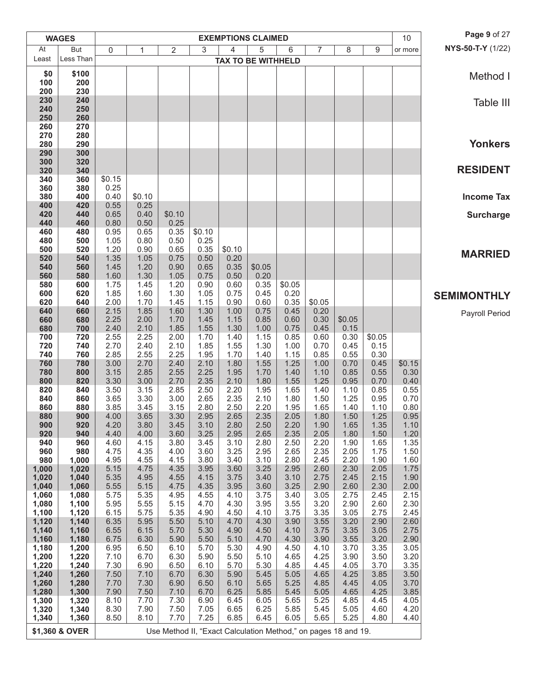|                | <b>WAGES</b>   |              |              |                                                                |              |              | <b>EXEMPTIONS CLAIMED</b> |                |              |              |              | 10             | Page 9 of 27       |
|----------------|----------------|--------------|--------------|----------------------------------------------------------------|--------------|--------------|---------------------------|----------------|--------------|--------------|--------------|----------------|--------------------|
| At             | <b>But</b>     | 0            | 1            | $\overline{2}$                                                 | 3            | 4            | 5                         | 6              | 7            | 8            | 9            | or more        | NYS-50-T-Y (1/22)  |
| Least          | Less Than      |              |              |                                                                |              |              | <b>TAX TO BE WITHHELD</b> |                |              |              |              |                |                    |
| \$0            | \$100          |              |              |                                                                |              |              |                           |                |              |              |              |                | Method I           |
| 100<br>200     | 200<br>230     |              |              |                                                                |              |              |                           |                |              |              |              |                |                    |
| 230            | 240            |              |              |                                                                |              |              |                           |                |              |              |              |                | Table III          |
| 240            | 250            |              |              |                                                                |              |              |                           |                |              |              |              |                |                    |
| 250            | 260            |              |              |                                                                |              |              |                           |                |              |              |              |                |                    |
| 260<br>270     | 270<br>280     |              |              |                                                                |              |              |                           |                |              |              |              |                |                    |
| 280            | 290            |              |              |                                                                |              |              |                           |                |              |              |              |                | <b>Yonkers</b>     |
| 290            | 300            |              |              |                                                                |              |              |                           |                |              |              |              |                |                    |
| 300<br>320     | 320<br>340     |              |              |                                                                |              |              |                           |                |              |              |              |                | <b>RESIDENT</b>    |
| 340            | 360            | \$0.15       |              |                                                                |              |              |                           |                |              |              |              |                |                    |
| 360            | 380            | 0.25         |              |                                                                |              |              |                           |                |              |              |              |                |                    |
| 380            | 400            | 0.40         | \$0.10       |                                                                |              |              |                           |                |              |              |              |                | <b>Income Tax</b>  |
| 400<br>420     | 420<br>440     | 0.55<br>0.65 | 0.25<br>0.40 | \$0.10                                                         |              |              |                           |                |              |              |              |                | <b>Surcharge</b>   |
| 440            | 460            | 0.80         | 0.50         | 0.25                                                           |              |              |                           |                |              |              |              |                |                    |
| 460            | 480            | 0.95         | 0.65         | 0.35                                                           | \$0.10       |              |                           |                |              |              |              |                |                    |
| 480<br>500     | 500<br>520     | 1.05<br>1.20 | 0.80<br>0.90 | 0.50<br>0.65                                                   | 0.25<br>0.35 | \$0.10       |                           |                |              |              |              |                |                    |
| 520            | 540            | 1.35         | 1.05         | 0.75                                                           | 0.50         | 0.20         |                           |                |              |              |              |                | <b>MARRIED</b>     |
| 540            | 560            | 1.45         | 1.20         | 0.90                                                           | 0.65         | 0.35         | \$0.05                    |                |              |              |              |                |                    |
| 560            | 580            | 1.60         | 1.30         | 1.05                                                           | 0.75         | 0.50         | 0.20                      |                |              |              |              |                |                    |
| 580<br>600     | 600<br>620     | 1.75<br>1.85 | 1.45<br>1.60 | 1.20<br>1.30                                                   | 0.90<br>1.05 | 0.60<br>0.75 | 0.35<br>0.45              | \$0.05<br>0.20 |              |              |              |                |                    |
| 620            | 640            | 2.00         | 1.70         | 1.45                                                           | 1.15         | 0.90         | 0.60                      | 0.35           | \$0.05       |              |              |                | <b>SEMIMONTHLY</b> |
| 640            | 660            | 2.15         | 1.85         | 1.60                                                           | 1.30         | 1.00         | 0.75                      | 0.45           | 0.20         |              |              |                | Payroll Period     |
| 660            | 680            | 2.25         | 2.00         | 1.70                                                           | 1.45         | 1.15         | 0.85                      | 0.60           | 0.30         | \$0.05       |              |                |                    |
| 680<br>700     | 700<br>720     | 2.40<br>2.55 | 2.10<br>2.25 | 1.85<br>2.00                                                   | 1.55<br>1.70 | 1.30<br>1.40 | 1.00<br>1.15              | 0.75<br>0.85   | 0.45<br>0.60 | 0.15<br>0.30 | \$0.05       |                |                    |
| 720            | 740            | 2.70         | 2.40         | 2.10                                                           | 1.85         | 1.55         | 1.30                      | 1.00           | 0.70         | 0.45         | 0.15         |                |                    |
| 740            | 760            | 2.85         | 2.55         | 2.25                                                           | 1.95         | 1.70         | 1.40                      | 1.15           | 0.85         | 0.55         | 0.30         |                |                    |
| 760<br>780     | 780<br>800     | 3.00<br>3.15 | 2.70<br>2.85 | 2.40<br>2.55                                                   | 2.10<br>2.25 | 1.80<br>1.95 | 1.55<br>1.70              | 1.25<br>1.40   | 1.00<br>1.10 | 0.70<br>0.85 | 0.45<br>0.55 | \$0.15<br>0.30 |                    |
| 800            | 820            | 3.30         | 3.00         | 2.70                                                           | 2.35         | 2.10         | 1.80                      | 1.55           | 1.25         | 0.95         | 0.70         | 0.40           |                    |
| 820            | 840            | 3.50         | 3.15         | 2.85                                                           | 2.50         | 2.20         | 1.95                      | 1.65           | 1.40         | 1.10         | 0.85         | 0.55           |                    |
| 840            | 860            | 3.65         | 3.30         | 3.00                                                           | 2.65         | 2.35         | 2.10                      | 1.80           | 1.50         | 1.25         | 0.95         | 0.70           |                    |
| 860<br>880     | 880<br>900     | 3.85<br>4.00 | 3.45<br>3.65 | 3.15<br>3.30                                                   | 2.80<br>2.95 | 2.50<br>2.65 | 2.20<br>2.35              | 1.95<br>2.05   | 1.65<br>1.80 | 1.40<br>1.50 | 1.10<br>1.25 | 0.80<br>0.95   |                    |
| 900            | 920            | 4.20         | 3.80         | 3.45                                                           | 3.10         | 2.80         | 2.50                      | 2.20           | 1.90         | 1.65         | 1.35         | 1.10           |                    |
| 920            | 940            | 4.40         | 4.00         | 3.60                                                           | 3.25         | 2.95         | 2.65                      | 2.35           | 2.05         | 1.80         | 1.50         | 1.20           |                    |
| 940<br>960     | 960            | 4.60         | 4.15         | 3.80                                                           | 3.45         | 3.10<br>3.25 | 2.80                      | 2.50<br>2.65   | 2.20<br>2.35 | 1.90<br>2.05 | 1.65         | 1.35<br>1.50   |                    |
| 980            | 980<br>1,000   | 4.75<br>4.95 | 4.35<br>4.55 | 4.00<br>4.15                                                   | 3.60<br>3.80 | 3.40         | 2.95<br>3.10              | 2.80           | 2.45         | 2.20         | 1.75<br>1.90 | 1.60           |                    |
| 1,000          | 1,020          | 5.15         | 4.75         | 4.35                                                           | 3.95         | 3.60         | 3.25                      | 2.95           | 2.60         | 2.30         | 2.05         | 1.75           |                    |
| 1,020          | 1,040          | 5.35         | 4.95         | 4.55                                                           | 4.15         | 3.75         | 3.40                      | 3.10           | 2.75         | 2.45         | 2.15         | 1.90           |                    |
| 1,040<br>1,060 | 1,060<br>1,080 | 5.55<br>5.75 | 5.15<br>5.35 | 4.75<br>4.95                                                   | 4.35<br>4.55 | 3.95<br>4.10 | 3.60<br>3.75              | 3.25<br>3.40   | 2.90<br>3.05 | 2.60<br>2.75 | 2.30<br>2.45 | 2.00<br>2.15   |                    |
| 1,080          | 1,100          | 5.95         | 5.55         | 5.15                                                           | 4.70         | 4.30         | 3.95                      | 3.55           | 3.20         | 2.90         | 2.60         | 2.30           |                    |
| 1,100          | 1,120          | 6.15         | 5.75         | 5.35                                                           | 4.90         | 4.50         | 4.10                      | 3.75           | 3.35         | 3.05         | 2.75         | 2.45           |                    |
| 1,120          | 1,140          | 6.35         | 5.95         | 5.50                                                           | 5.10         | 4.70         | 4.30                      | 3.90           | 3.55         | 3.20         | 2.90         | 2.60           |                    |
| 1,140<br>1,160 | 1,160<br>1,180 | 6.55<br>6.75 | 6.15<br>6.30 | 5.70<br>5.90                                                   | 5.30<br>5.50 | 4.90<br>5.10 | 4.50<br>4.70              | 4.10<br>4.30   | 3.75<br>3.90 | 3.35<br>3.55 | 3.05<br>3.20 | 2.75<br>2.90   |                    |
| 1,180          | 1,200          | 6.95         | 6.50         | 6.10                                                           | 5.70         | 5.30         | 4.90                      | 4.50           | 4.10         | 3.70         | 3.35         | 3.05           |                    |
| 1,200          | 1,220          | 7.10         | 6.70         | 6.30                                                           | 5.90         | 5.50         | 5.10                      | 4.65           | 4.25         | 3.90         | 3.50         | 3.20           |                    |
| 1,220          | 1,240          | 7.30<br>7.50 | 6.90         | 6.50<br>6.70                                                   | 6.10<br>6.30 | 5.70         | 5.30<br>5.45              | 4.85           | 4.45<br>4.65 | 4.05<br>4.25 | 3.70<br>3.85 | 3.35<br>3.50   |                    |
| 1,240<br>1,260 | 1,260<br>1,280 | 7.70         | 7.10<br>7.30 | 6.90                                                           | 6.50         | 5.90<br>6.10 | 5.65                      | 5.05<br>5.25   | 4.85         | 4.45         | 4.05         | 3.70           |                    |
| 1,280          | 1,300          | 7.90         | 7.50         | 7.10                                                           | 6.70         | 6.25         | 5.85                      | 5.45           | 5.05         | 4.65         | 4.25         | 3.85           |                    |
| 1,300          | 1,320          | 8.10         | 7.70         | 7.30                                                           | 6.90         | 6.45         | 6.05                      | 5.65           | 5.25         | 4.85         | 4.45         | 4.05           |                    |
| 1,320          | 1,340          | 8.30<br>8.50 | 7.90<br>8.10 | 7.50<br>7.70                                                   | 7.05<br>7.25 | 6.65<br>6.85 | 6.25<br>6.45              | 5.85<br>6.05   | 5.45<br>5.65 | 5.05<br>5.25 | 4.60<br>4.80 | 4.20<br>4.40   |                    |
| 1,340          | 1,360          |              |              |                                                                |              |              |                           |                |              |              |              |                |                    |
|                | \$1,360 & OVER |              |              | Use Method II, "Exact Calculation Method," on pages 18 and 19. |              |              |                           |                |              |              |              |                |                    |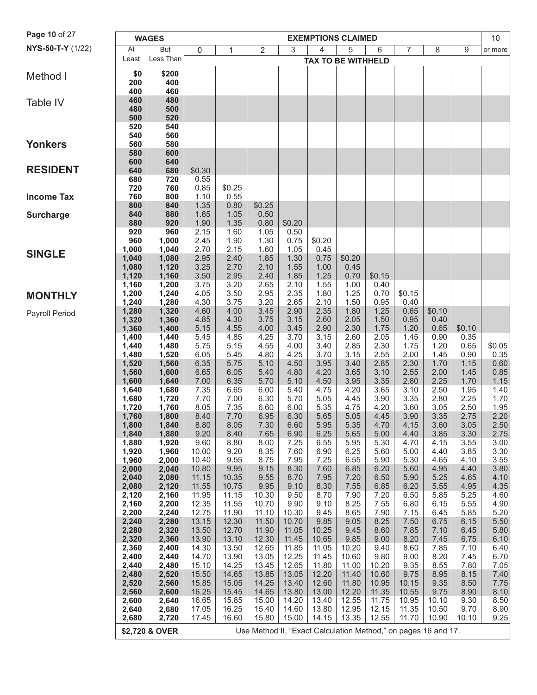| Page 10 of 27     |                | <b>WAGES</b>   |                |                |                                                                |                | <b>EXEMPTIONS CLAIMED</b> |                |                |                |              |              | 10             |
|-------------------|----------------|----------------|----------------|----------------|----------------------------------------------------------------|----------------|---------------------------|----------------|----------------|----------------|--------------|--------------|----------------|
| NYS-50-T-Y (1/22) | At             | But            | 0              | 1              | 2                                                              | 3              | 4                         | 5              | 6              | 7              | 8            | 9            | or more        |
|                   | Least          | Less Than      |                |                |                                                                |                | <b>TAX TO BE WITHHELD</b> |                |                |                |              |              |                |
|                   | \$0            | \$200          |                |                |                                                                |                |                           |                |                |                |              |              |                |
| Method I          | 200            | 400            |                |                |                                                                |                |                           |                |                |                |              |              |                |
|                   | 400            | 460            |                |                |                                                                |                |                           |                |                |                |              |              |                |
| Table IV          | 460<br>480     | 480<br>500     |                |                |                                                                |                |                           |                |                |                |              |              |                |
|                   | 500            | 520            |                |                |                                                                |                |                           |                |                |                |              |              |                |
|                   | 520            | 540            |                |                |                                                                |                |                           |                |                |                |              |              |                |
|                   | 540            | 560            |                |                |                                                                |                |                           |                |                |                |              |              |                |
| <b>Yonkers</b>    | 560<br>580     | 580<br>600     |                |                |                                                                |                |                           |                |                |                |              |              |                |
|                   | 600            | 640            |                |                |                                                                |                |                           |                |                |                |              |              |                |
| <b>RESIDENT</b>   | 640            | 680            | \$0.30         |                |                                                                |                |                           |                |                |                |              |              |                |
|                   | 680            | 720            | 0.55           |                |                                                                |                |                           |                |                |                |              |              |                |
| <b>Income Tax</b> | 720<br>760     | 760<br>800     | 0.85<br>1.10   | \$0.25<br>0.55 |                                                                |                |                           |                |                |                |              |              |                |
|                   | 800            | 840            | 1.35           | 0.80           | \$0.25                                                         |                |                           |                |                |                |              |              |                |
| <b>Surcharge</b>  | 840            | 880            | 1.65           | 1.05           | 0.50                                                           |                |                           |                |                |                |              |              |                |
|                   | 880            | 920            | 1.90           | 1.35           | 0.80                                                           | \$0.20         |                           |                |                |                |              |              |                |
|                   | 920<br>960     | 960<br>1,000   | 2.15<br>2.45   | 1.60<br>1.90   | 1.05<br>1.30                                                   | 0.50<br>0.75   | \$0.20                    |                |                |                |              |              |                |
| <b>SINGLE</b>     | 1,000          | 1,040          | 2.70           | 2.15           | 1.60                                                           | 1.05           | 0.45                      |                |                |                |              |              |                |
|                   | 1,040          | 1,080          | 2.95           | 2.40           | 1.85                                                           | 1.30           | 0.75                      | \$0.20         |                |                |              |              |                |
|                   | 1,080<br>1,120 | 1,120<br>1,160 | 3.25<br>3.50   | 2.70<br>2.95   | 2.10<br>2.40                                                   | 1.55<br>1.85   | 1.00<br>1.25              | 0.45<br>0.70   | \$0.15         |                |              |              |                |
|                   | 1,160          | 1,200          | 3.75           | 3.20           | 2.65                                                           | 2.10           | 1.55                      | 1.00           | 0.40           |                |              |              |                |
| <b>MONTHLY</b>    | 1,200          | 1,240          | 4.05           | 3.50           | 2.95                                                           | 2.35           | 1.80                      | 1.25           | 0.70           | \$0.15         |              |              |                |
|                   | 1,240          | 1,280<br>1,320 | 4.30<br>4.60   | 3.75<br>4.00   | 3.20<br>3.45                                                   | 2.65<br>2.90   | 2.10<br>2.35              | 1.50<br>1.80   | 0.95<br>1.25   | 0.40<br>0.65   | \$0.10       |              |                |
| Payroll Period    | 1,280<br>1,320 | 1,360          | 4.85           | 4.30           | 3.75                                                           | 3.15           | 2.60                      | 2.05           | 1.50           | 0.95           | 0.40         |              |                |
|                   | 1,360          | 1,400          | 5.15           | 4.55           | 4.00                                                           | 3.45           | 2.90                      | 2.30           | 1.75           | 1.20           | 0.65         | \$0.10       |                |
|                   | 1,400          | 1,440          | 5.45           | 4.85           | 4.25                                                           | 3.70           | 3.15                      | 2.60           | 2.05           | 1.45           | 0.90         | 0.35         |                |
|                   | 1,440<br>1,480 | 1,480<br>1,520 | 5.75<br>6.05   | 5.15<br>5.45   | 4.55<br>4.80                                                   | 4.00<br>4.25   | 3.40<br>3.70              | 2.85<br>3.15   | 2.30<br>2.55   | 1.75<br>2.00   | 1.20<br>1.45 | 0.65<br>0.90 | \$0.05<br>0.35 |
|                   | 1,520          | 1,560          | 6.35           | 5.75           | 5.10                                                           | 4.50           | 3.95                      | 3.40           | 2.85           | 2.30           | 1.70         | 1.15         | 0.60           |
|                   | 1,560          | 1,600          | 6.65           | 6.05           | 5.40                                                           | 4.80           | 4.20                      | 3.65           | 3.10           | 2.55           | 2.00         | 1.45         | 0.85           |
|                   | 1,600<br>1,640 | 1,640<br>1,680 | 7.00<br>7.35   | 6.35<br>6.65   | 5.70<br>6.00                                                   | 5.10<br>5.40   | 4.50<br>4.75              | 3.95<br>4.20   | 3.35<br>3.65   | 2.80<br>3.10   | 2.25<br>2.50 | 1.70<br>1.95 | 1.15<br>1.40   |
|                   | 1,680          | 1,720          | 7.70           | 7.00           | 6.30                                                           | 5.70           | 5.05                      | 4.45           | 3.90           | 3.35           | 2.80         | 2.25         | 1.70           |
|                   | 1,720          | 1,760          | 8.05           | 7.35           | 6.60                                                           | 6.00           | 5.35                      | 4.75           | 4.20           | 3.60           | 3.05         | 2.50         | 1.95           |
|                   | 1,760          | 1,800          | 8.40           | 7.70           | 6.95                                                           | 6.30           | 5.65                      | 5.05           | 4.45           | 3.90           | 3.35         | 2.75         | 2.20           |
|                   | 1,800<br>1,840 | 1,840<br>1,880 | 8.80<br>9.20   | 8.05<br>8.40   | 7.30<br>7.65                                                   | 6.60<br>6.90   | 5.95<br>6.25              | 5.35<br>5.65   | 4.70<br>5.00   | 4.15<br>4.40   | 3.60<br>3.85 | 3.05<br>3.30 | 2.50<br>2.75   |
|                   | 1,880          | 1,920          | 9.60           | 8.80           | 8.00                                                           | 7.25           | 6.55                      | 5.95           | 5.30           | 4.70           | 4.15         | 3.55         | 3.00           |
|                   | 1,920          | 1,960          | 10.00          | 9.20           | 8.35                                                           | 7.60           | 6.90                      | 6.25           | 5.60           | 5.00           | 4.40         | 3.85         | 3.30           |
|                   | 1,960<br>2,000 | 2,000<br>2,040 | 10.40<br>10.80 | 9.55<br>9.95   | 8.75<br>9.15                                                   | 7.95<br>8.30   | 7.25<br>7.60              | 6.55<br>6.85   | 5.90<br>6.20   | 5.30<br>5.60   | 4.65<br>4.95 | 4.10<br>4.40 | 3.55<br>3.80   |
|                   | 2,040          | 2,080          | 11.15          | 10.35          | 9.55                                                           | 8.70           | 7.95                      | 7.20           | 6.50           | 5.90           | 5.25         | 4.65         | 4.10           |
|                   | 2,080          | 2,120          | 11.55          | 10.75          | 9.95                                                           | 9.10           | 8.30                      | 7.55           | 6.85           | 6.20           | 5.55         | 4.95         | 4.35           |
|                   | 2,120          | 2,160          | 11.95          | 11.15          | 10.30                                                          | 9.50           | 8.70                      | 7.90           | 7.20           | 6.50           | 5.85         | 5.25         | 4.60           |
|                   | 2,160<br>2,200 | 2,200<br>2,240 | 12.35<br>12.75 | 11.55<br>11.90 | 10.70<br>11.10                                                 | 9.90<br>10.30  | 9.10<br>9.45              | 8.25<br>8.65   | 7.55<br>7.90   | 6.80<br>7.15   | 6.15<br>6.45 | 5.55<br>5.85 | 4.90<br>5.20   |
|                   | 2,240          | 2,280          | 13.15          | 12.30          | 11.50                                                          | 10.70          | 9.85                      | 9.05           | 8.25           | 7.50           | 6.75         | 6.15         | 5.50           |
|                   | 2,280          | 2,320          | 13.50          | 12.70          | 11.90                                                          | 11.05          | 10.25                     | 9.45           | 8.60           | 7.85           | 7.10         | 6.45         | 5.80           |
|                   | 2,320          | 2,360          | 13.90<br>14.30 | 13.10          | 12.30<br>12.65                                                 | 11.45          | 10.65                     | 9.85           | 9.00           | 8.20           | 7.45         | 6.75         | 6.10           |
|                   | 2,360<br>2,400 | 2,400<br>2,440 | 14.70          | 13.50<br>13.90 | 13.05                                                          | 11.85<br>12.25 | 11.05<br>11.45            | 10.20<br>10.60 | 9.40<br>9.80   | 8.60<br>9.00   | 7.85<br>8.20 | 7.10<br>7.45 | 6.40<br>6.70   |
|                   | 2,440          | 2,480          | 15.10          | 14.25          | 13.45                                                          | 12.65          | 11.80                     | 11.00          | 10.20          | 9.35           | 8.55         | 7.80         | 7.05           |
|                   | 2,480          | 2,520          | 15.50          | 14.65          | 13.85                                                          | 13.05          | 12.20                     | 11.40          | 10.60          | 9.75           | 8.95         | 8.15         | 7.40           |
|                   | 2,520<br>2,560 | 2,560<br>2,600 | 15.85<br>16.25 | 15.05<br>15.45 | 14.25<br>14.65                                                 | 13.40<br>13.80 | 12.60<br>13.00            | 11.80<br>12.20 | 10.95<br>11.35 | 10.15<br>10.55 | 9.35<br>9.75 | 8.50<br>8.90 | 7.75<br>8.10   |
|                   | 2,600          | 2,640          | 16.65          | 15.85          | 15.00                                                          | 14.20          | 13.40                     | 12.55          | 11.75          | 10.95          | 10.10        | 9.30         | 8.50           |
|                   | 2,640          | 2,680          | 17.05          | 16.25          | 15.40                                                          | 14.60          | 13.80                     | 12.95          | 12.15          | 11.35          | 10.50        | 9.70         | 8.90           |
|                   | 2,680          | 2,720          | 17.45          | 16.60          | 15.80                                                          | 15.00          | 14.15                     | 13.35          | 12.55          | 11.70          | 10.90        | 10.10        | 9.25           |
|                   |                | \$2,720 & OVER |                |                | Use Method II, "Exact Calculation Method," on pages 16 and 17. |                |                           |                |                |                |              |              |                |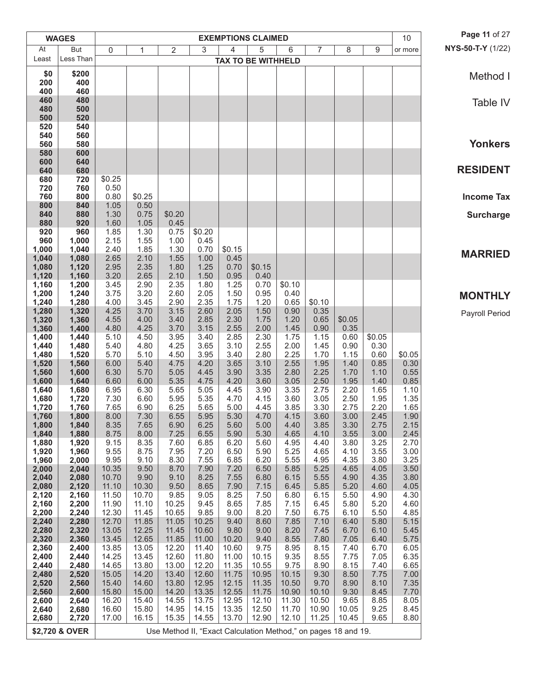|                | <b>WAGES</b>   |                |                |                                                                |                |                | <b>EXEMPTIONS CLAIMED</b> |                |                |                |              | 10             | Page 11 of 27     |
|----------------|----------------|----------------|----------------|----------------------------------------------------------------|----------------|----------------|---------------------------|----------------|----------------|----------------|--------------|----------------|-------------------|
| At             | But            | 0              | 1              | $\overline{2}$                                                 | 3              | 4              | 5                         | 6              | $\overline{7}$ | 8              | $9\,$        | or more        | NYS-50-T-Y (1/22) |
| Least          | Less Than      |                |                |                                                                |                |                | <b>TAX TO BE WITHHELD</b> |                |                |                |              |                |                   |
| \$0            | \$200          |                |                |                                                                |                |                |                           |                |                |                |              |                | Method I          |
| 200            | 400            |                |                |                                                                |                |                |                           |                |                |                |              |                |                   |
| 400<br>460     | 460<br>480     |                |                |                                                                |                |                |                           |                |                |                |              |                |                   |
| 480            | 500            |                |                |                                                                |                |                |                           |                |                |                |              |                | Table IV          |
| 500            | 520            |                |                |                                                                |                |                |                           |                |                |                |              |                |                   |
| 520<br>540     | 540<br>560     |                |                |                                                                |                |                |                           |                |                |                |              |                |                   |
| 560            | 580            |                |                |                                                                |                |                |                           |                |                |                |              |                | <b>Yonkers</b>    |
| 580            | 600            |                |                |                                                                |                |                |                           |                |                |                |              |                |                   |
| 600            | 640            |                |                |                                                                |                |                |                           |                |                |                |              |                | <b>RESIDENT</b>   |
| 640<br>680     | 680<br>720     | \$0.25         |                |                                                                |                |                |                           |                |                |                |              |                |                   |
| 720            | 760            | 0.50           |                |                                                                |                |                |                           |                |                |                |              |                |                   |
| 760            | 800            | 0.80           | \$0.25         |                                                                |                |                |                           |                |                |                |              |                | <b>Income Tax</b> |
| 800<br>840     | 840<br>880     | 1.05<br>1.30   | 0.50<br>0.75   | \$0.20                                                         |                |                |                           |                |                |                |              |                | <b>Surcharge</b>  |
| 880            | 920            | 1.60           | 1.05           | 0.45                                                           |                |                |                           |                |                |                |              |                |                   |
| 920            | 960            | 1.85           | 1.30           | 0.75                                                           | \$0.20         |                |                           |                |                |                |              |                |                   |
| 960<br>1,000   | 1,000<br>1,040 | 2.15<br>2.40   | 1.55<br>1.85   | 1.00<br>1.30                                                   | 0.45<br>0.70   | \$0.15         |                           |                |                |                |              |                |                   |
| 1,040          | 1,080          | 2.65           | 2.10           | 1.55                                                           | 1.00           | 0.45           |                           |                |                |                |              |                | <b>MARRIED</b>    |
| 1,080          | 1,120          | 2.95           | 2.35           | 1.80                                                           | 1.25           | 0.70           | \$0.15                    |                |                |                |              |                |                   |
| 1,120          | 1,160          | 3.20           | 2.65           | 2.10                                                           | 1.50           | 0.95           | 0.40                      |                |                |                |              |                |                   |
| 1,160<br>1,200 | 1,200<br>1,240 | 3.45<br>3.75   | 2.90<br>3.20   | 2.35<br>2.60                                                   | 1.80<br>2.05   | 1.25<br>1.50   | 0.70<br>0.95              | \$0.10<br>0.40 |                |                |              |                |                   |
| 1,240          | 1,280          | 4.00           | 3.45           | 2.90                                                           | 2.35           | 1.75           | 1.20                      | 0.65           | \$0.10         |                |              |                | <b>MONTHLY</b>    |
| 1,280          | 1,320          | 4.25           | 3.70           | 3.15                                                           | 2.60           | 2.05           | 1.50                      | 0.90           | 0.35           |                |              |                | Payroll Period    |
| 1,320<br>1,360 | 1,360<br>1,400 | 4.55<br>4.80   | 4.00<br>4.25   | 3.40<br>3.70                                                   | 2.85<br>3.15   | 2.30<br>2.55   | 1.75<br>2.00              | 1.20<br>1.45   | 0.65<br>0.90   | \$0.05<br>0.35 |              |                |                   |
| 1,400          | 1,440          | 5.10           | 4.50           | 3.95                                                           | 3.40           | 2.85           | 2.30                      | 1.75           | 1.15           | 0.60           | \$0.05       |                |                   |
| 1,440          | 1,480          | 5.40           | 4.80           | 4.25                                                           | 3.65           | 3.10           | 2.55                      | 2.00           | 1.45           | 0.90           | 0.30         |                |                   |
| 1,480<br>1,520 | 1,520<br>1,560 | 5.70<br>6.00   | 5.10<br>5.40   | 4.50<br>4.75                                                   | 3.95<br>4.20   | 3.40<br>3.65   | 2.80<br>3.10              | 2.25<br>2.55   | 1.70<br>1.95   | 1.15<br>1.40   | 0.60<br>0.85 | \$0.05<br>0.30 |                   |
| 1,560          | 1,600          | 6.30           | 5.70           | 5.05                                                           | 4.45           | 3.90           | 3.35                      | 2.80           | 2.25           | 1.70           | 1.10         | 0.55           |                   |
| 1,600          | 1,640          | 6.60           | 6.00           | 5.35                                                           | 4.75           | 4.20           | 3.60                      | 3.05           | 2.50           | 1.95           | 1.40         | 0.85           |                   |
| 1,640<br>1,680 | 1,680<br>1,720 | 6.95<br>7.30   | 6.30<br>6.60   | 5.65<br>5.95                                                   | 5.05<br>5.35   | 4.45<br>4.70   | 3.90<br>4.15              | 3.35<br>3.60   | 2.75<br>3.05   | 2.20<br>2.50   | 1.65<br>1.95 | 1.10<br>1.35   |                   |
| 1,720          | 1,760          | 7.65           | 6.90           | 6.25                                                           | 5.65           | 5.00           | 4.45                      | 3.85           | 3.30           | 2.75           | 2.20         | 1.65           |                   |
| 1,760          | 1,800          | 8.00           | 7.30           | 6.55                                                           | 5.95           | 5.30           | 4.70                      | 4.15           | 3.60           | 3.00           | 2.45         | 1.90           |                   |
| 1,800          | 1,840          | 8.35           | 7.65           | 6.90                                                           | 6.25           | 5.60           | 5.00                      | 4.40           | 3.85           | 3.30           | 2.75         | 2.15           |                   |
| 1,840<br>1,880 | 1,880<br>1,920 | 8.75<br>9.15   | 8.00<br>8.35   | 7.25<br>7.60                                                   | 6.55<br>6.85   | 5.90<br>6.20   | 5.30<br>5.60              | 4.65<br>4.95   | 4.10<br>4.40   | 3.55<br>3.80   | 3.00<br>3.25 | 2.45<br>2.70   |                   |
| 1,920          | 1,960          | 9.55           | 8.75           | 7.95                                                           | 7.20           | 6.50           | 5.90                      | 5.25           | 4.65           | 4.10           | 3.55         | 3.00           |                   |
| 1,960          | 2,000          | 9.95           | 9.10           | 8.30                                                           | 7.55           | 6.85           | 6.20                      | 5.55           | 4.95           | 4.35           | 3.80         | 3.25           |                   |
| 2,000<br>2,040 | 2,040<br>2,080 | 10.35<br>10.70 | 9.50<br>9.90   | 8.70<br>9.10                                                   | 7.90<br>8.25   | 7.20<br>7.55   | 6.50<br>6.80              | 5.85<br>6.15   | 5.25<br>5.55   | 4.65<br>4.90   | 4.05<br>4.35 | 3.50<br>3.80   |                   |
| 2,080          | 2,120          | 11.10          | 10.30          | 9.50                                                           | 8.65           | 7.90           | 7.15                      | 6.45           | 5.85           | 5.20           | 4.60         | 4.05           |                   |
| 2,120          | 2,160          | 11.50          | 10.70          | 9.85                                                           | 9.05           | 8.25           | 7.50                      | 6.80           | 6.15           | 5.50           | 4.90         | 4.30           |                   |
| 2,160<br>2,200 | 2,200<br>2,240 | 11.90<br>12.30 | 11.10<br>11.45 | 10.25<br>10.65                                                 | 9.45<br>9.85   | 8.65<br>9.00   | 7.85<br>8.20              | 7.15<br>7.50   | 6.45<br>6.75   | 5.80<br>6.10   | 5.20<br>5.50 | 4.60<br>4.85   |                   |
| 2,240          | 2,280          | 12.70          | 11.85          | 11.05                                                          | 10.25          | 9.40           | 8.60                      | 7.85           | 7.10           | 6.40           | 5.80         | 5.15           |                   |
| 2,280          | 2,320          | 13.05          | 12.25          | 11.45                                                          | 10.60          | 9.80           | 9.00                      | 8.20           | 7.45           | 6.70           | 6.10         | 5.45           |                   |
| 2,320<br>2,360 | 2,360          | 13.45<br>13.85 | 12.65<br>13.05 | 11.85<br>12.20                                                 | 11.00<br>11.40 | 10.20<br>10.60 | 9.40<br>9.75              | 8.55<br>8.95   | 7.80<br>8.15   | 7.05<br>7.40   | 6.40<br>6.70 | 5.75<br>6.05   |                   |
| 2,400          | 2,400<br>2,440 | 14.25          | 13.45          | 12.60                                                          | 11.80          | 11.00          | 10.15                     | 9.35           | 8.55           | 7.75           | 7.05         | 6.35           |                   |
| 2,440          | 2,480          | 14.65          | 13.80          | 13.00                                                          | 12.20          | 11.35          | 10.55                     | 9.75           | 8.90           | 8.15           | 7.40         | 6.65           |                   |
| 2,480          | 2,520          | 15.05          | 14.20          | 13.40                                                          | 12.60          | 11.75          | 10.95                     | 10.15          | 9.30           | 8.50           | 7.75         | 7.00           |                   |
| 2,520<br>2,560 | 2,560<br>2,600 | 15.40<br>15.80 | 14.60<br>15.00 | 13.80<br>14.20                                                 | 12.95<br>13.35 | 12.15<br>12.55 | 11.35<br>11.75            | 10.50<br>10.90 | 9.70<br>10.10  | 8.90<br>9.30   | 8.10<br>8.45 | 7.35<br>7.70   |                   |
| 2,600          | 2,640          | 16.20          | 15.40          | 14.55                                                          | 13.75          | 12.95          | 12.10                     | 11.30          | 10.50          | 9.65           | 8.85         | 8.05           |                   |
| 2,640          | 2,680          | 16.60          | 15.80          | 14.95                                                          | 14.15          | 13.35          | 12.50                     | 11.70          | 10.90          | 10.05          | 9.25         | 8.45           |                   |
| 2,680          | 2,720          | 17.00          | 16.15          | 15.35                                                          | 14.55          | 13.70          | 12.90                     | 12.10          | 11.25          | 10.45          | 9.65         | 8.80           |                   |
|                | \$2,720 & OVER |                |                | Use Method II, "Exact Calculation Method," on pages 18 and 19. |                |                |                           |                |                |                |              |                |                   |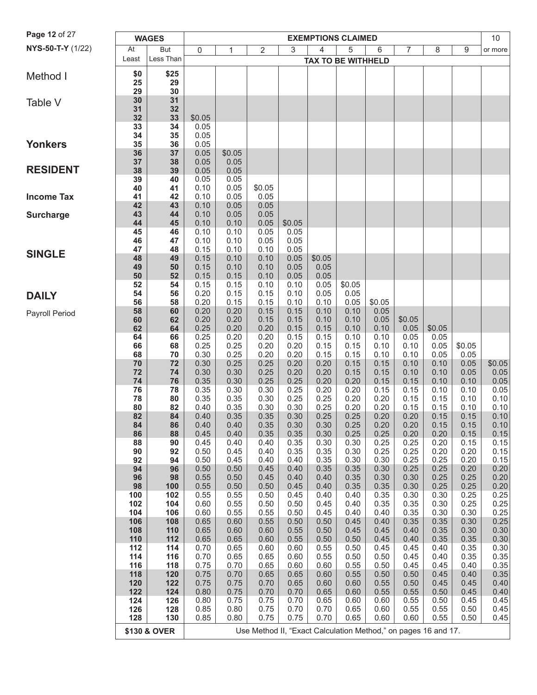| Page 12 of 27     |            | <b>WAGES</b> |              |              |                                                                |              | <b>EXEMPTIONS CLAIMED</b> |              |              |                |              |              | 10           |
|-------------------|------------|--------------|--------------|--------------|----------------------------------------------------------------|--------------|---------------------------|--------------|--------------|----------------|--------------|--------------|--------------|
| NYS-50-T-Y (1/22) | At         | But          | $\mathbf 0$  | 1            | $\overline{2}$                                                 | 3            | 4                         | 5            | 6            | $\overline{7}$ | 8            | 9            | or more      |
|                   | Least      | Less Than    |              |              |                                                                |              | <b>TAX TO BE WITHHELD</b> |              |              |                |              |              |              |
| Method I          | \$0        | \$25         |              |              |                                                                |              |                           |              |              |                |              |              |              |
|                   | 25         | 29           |              |              |                                                                |              |                           |              |              |                |              |              |              |
|                   | 29         | 30           |              |              |                                                                |              |                           |              |              |                |              |              |              |
| Table V           | 30<br>31   | 31<br>32     |              |              |                                                                |              |                           |              |              |                |              |              |              |
|                   | 32         | 33           | \$0.05       |              |                                                                |              |                           |              |              |                |              |              |              |
|                   | 33         | 34           | 0.05         |              |                                                                |              |                           |              |              |                |              |              |              |
| <b>Yonkers</b>    | 34<br>35   | 35<br>36     | 0.05         |              |                                                                |              |                           |              |              |                |              |              |              |
|                   | 36         | 37           | 0.05<br>0.05 | \$0.05       |                                                                |              |                           |              |              |                |              |              |              |
|                   | 37         | 38           | 0.05         | 0.05         |                                                                |              |                           |              |              |                |              |              |              |
| <b>RESIDENT</b>   | 38         | 39           | 0.05         | 0.05         |                                                                |              |                           |              |              |                |              |              |              |
|                   | 39<br>40   | 40<br>41     | 0.05<br>0.10 | 0.05<br>0.05 | \$0.05                                                         |              |                           |              |              |                |              |              |              |
| <b>Income Tax</b> | 41         | 42           | 0.10         | 0.05         | 0.05                                                           |              |                           |              |              |                |              |              |              |
|                   | 42         | 43           | 0.10         | 0.05         | 0.05                                                           |              |                           |              |              |                |              |              |              |
| <b>Surcharge</b>  | 43<br>44   | 44<br>45     | 0.10<br>0.10 | 0.05<br>0.10 | 0.05<br>0.05                                                   | \$0.05       |                           |              |              |                |              |              |              |
|                   | 45         | 46           | 0.10         | 0.10         | 0.05                                                           | 0.05         |                           |              |              |                |              |              |              |
|                   | 46         | 47           | 0.10         | 0.10         | 0.05                                                           | 0.05         |                           |              |              |                |              |              |              |
| <b>SINGLE</b>     | 47         | 48           | 0.15         | 0.10         | 0.10                                                           | 0.05         |                           |              |              |                |              |              |              |
|                   | 48<br>49   | 49<br>50     | 0.15<br>0.15 | 0.10<br>0.10 | 0.10<br>0.10                                                   | 0.05<br>0.05 | \$0.05<br>0.05            |              |              |                |              |              |              |
|                   | 50         | 52           | 0.15         | 0.15         | 0.10                                                           | 0.05         | 0.05                      |              |              |                |              |              |              |
|                   | 52         | 54           | 0.15         | 0.15         | 0.10                                                           | 0.10         | 0.05                      | \$0.05       |              |                |              |              |              |
| <b>DAILY</b>      | 54<br>56   | 56<br>58     | 0.20<br>0.20 | 0.15<br>0.15 | 0.15<br>0.15                                                   | 0.10<br>0.10 | 0.05<br>0.10              | 0.05<br>0.05 | \$0.05       |                |              |              |              |
| Payroll Period    | 58         | 60           | 0.20         | 0.20         | 0.15                                                           | 0.15         | 0.10                      | 0.10         | 0.05         |                |              |              |              |
|                   | 60         | 62           | 0.20         | 0.20         | 0.15                                                           | 0.15         | 0.10                      | 0.10         | 0.05         | \$0.05         |              |              |              |
|                   | 62         | 64           | 0.25         | 0.20         | 0.20                                                           | 0.15         | 0.15                      | 0.10         | 0.10         | 0.05           | \$0.05       |              |              |
|                   | 64<br>66   | 66<br>68     | 0.25<br>0.25 | 0.20<br>0.25 | 0.20<br>0.20                                                   | 0.15<br>0.20 | 0.15<br>0.15              | 0.10<br>0.15 | 0.10<br>0.10 | 0.05<br>0.10   | 0.05<br>0.05 | \$0.05       |              |
|                   | 68         | 70           | 0.30         | 0.25         | 0.20                                                           | 0.20         | 0.15                      | 0.15         | 0.10         | 0.10           | 0.05         | 0.05         |              |
|                   | 70         | 72           | 0.30         | 0.25         | 0.25                                                           | 0.20         | 0.20                      | 0.15         | 0.15         | 0.10           | 0.10         | 0.05         | \$0.05       |
|                   | 72<br>74   | 74<br>76     | 0.30<br>0.35 | 0.30<br>0.30 | 0.25<br>0.25                                                   | 0.20<br>0.25 | 0.20<br>0.20              | 0.15<br>0.20 | 0.15<br>0.15 | 0.10<br>0.15   | 0.10<br>0.10 | 0.05<br>0.10 | 0.05<br>0.05 |
|                   | 76         | 78           | 0.35         | 0.30         | 0.30                                                           | 0.25         | 0.20                      | 0.20         | 0.15         | 0.15           | 0.10         | 0.10         | 0.05         |
|                   | 78         | 80           | 0.35         | 0.35         | 0.30                                                           | 0.25         | 0.25                      | 0.20         | 0.20         | 0.15           | 0.15         | 0.10         | 0.10         |
|                   | 80<br>82   | 82<br>84     | 0.40<br>0.40 | 0.35<br>0.35 | 0.30<br>0.35                                                   | 0.30<br>0.30 | 0.25<br>0.25              | 0.20<br>0.25 | 0.20<br>0.20 | 0.15<br>0.20   | 0.15<br>0.15 | 0.10         | 0.10<br>0.10 |
|                   | 84         | 86           | 0.40         | 0.40         | 0.35                                                           | 0.30         | 0.30                      | 0.25         | 0.20         | 0.20           | 0.15         | 0.15<br>0.15 | 0.10         |
|                   | 86         | 88           | 0.45         | 0.40         | 0.35                                                           | 0.35         | 0.30                      | 0.25         | 0.25         | 0.20           | 0.20         | 0.15         | 0.15         |
|                   | 88         | 90           | 0.45         | 0.40         | 0.40                                                           | 0.35         | 0.30                      | 0.30         | 0.25         | 0.25           | 0.20         | 0.15         | 0.15         |
|                   | 90<br>92   | 92<br>94     | 0.50<br>0.50 | 0.45<br>0.45 | 0.40<br>0.40                                                   | 0.35<br>0.40 | 0.35<br>0.35              | 0.30<br>0.30 | 0.25<br>0.30 | 0.25<br>0.25   | 0.20<br>0.25 | 0.20<br>0.20 | 0.15<br>0.15 |
|                   | 94         | 96           | 0.50         | 0.50         | 0.45                                                           | 0.40         | 0.35                      | 0.35         | 0.30         | 0.25           | 0.25         | 0.20         | 0.20         |
|                   | 96         | 98           | 0.55         | 0.50         | 0.45                                                           | 0.40         | 0.40                      | 0.35         | 0.30         | 0.30           | 0.25         | 0.25         | 0.20         |
|                   | 98<br>100  | 100<br>102   | 0.55<br>0.55 | 0.50<br>0.55 | 0.50<br>0.50                                                   | 0.45<br>0.45 | 0.40<br>0.40              | 0.35<br>0.40 | 0.35<br>0.35 | 0.30<br>0.30   | 0.25<br>0.30 | 0.25<br>0.25 | 0.20<br>0.25 |
|                   | 102        | 104          | 0.60         | 0.55         | 0.50                                                           | 0.50         | 0.45                      | 0.40         | 0.35         | 0.35           | 0.30         | 0.25         | 0.25         |
|                   | 104        | 106          | 0.60         | 0.55         | 0.55                                                           | 0.50         | 0.45                      | 0.40         | 0.40         | 0.35           | 0.30         | 0.30         | 0.25         |
|                   | 106        | 108          | 0.65         | 0.60         | 0.55                                                           | 0.50         | 0.50                      | 0.45         | 0.40         | 0.35           | 0.35         | 0.30         | 0.25         |
|                   | 108<br>110 | 110<br>112   | 0.65<br>0.65 | 0.60<br>0.65 | 0.60<br>0.60                                                   | 0.55<br>0.55 | 0.50<br>0.50              | 0.45<br>0.50 | 0.45<br>0.45 | 0.40<br>0.40   | 0.35<br>0.35 | 0.30<br>0.35 | 0.30<br>0.30 |
|                   | 112        | 114          | 0.70         | 0.65         | 0.60                                                           | 0.60         | 0.55                      | 0.50         | 0.45         | 0.45           | 0.40         | 0.35         | 0.30         |
|                   | 114        | 116          | 0.70         | 0.65         | 0.65                                                           | 0.60         | 0.55                      | 0.50         | 0.50         | 0.45           | 0.40         | 0.35         | 0.35         |
|                   | 116<br>118 | 118<br>120   | 0.75<br>0.75 | 0.70<br>0.70 | 0.65<br>0.65                                                   | 0.60<br>0.65 | 0.60<br>0.60              | 0.55<br>0.55 | 0.50<br>0.50 | 0.45<br>0.50   | 0.45<br>0.45 | 0.40<br>0.40 | 0.35<br>0.35 |
|                   | 120        | 122          | 0.75         | 0.75         | 0.70                                                           | 0.65         | 0.60                      | 0.60         | 0.55         | 0.50           | 0.45         | 0.45         | 0.40         |
|                   | 122        | 124          | 0.80         | 0.75         | 0.70                                                           | 0.70         | 0.65                      | 0.60         | 0.55         | 0.55           | 0.50         | 0.45         | 0.40         |
|                   | 124        | 126          | 0.80         | 0.75         | 0.75                                                           | 0.70         | 0.65                      | 0.60         | 0.60         | 0.55           | 0.50         | 0.45         | 0.45         |
|                   | 126<br>128 | 128<br>130   | 0.85<br>0.85 | 0.80<br>0.80 | 0.75<br>0.75                                                   | 0.70<br>0.75 | 0.70<br>0.70              | 0.65<br>0.65 | 0.60<br>0.60 | 0.55<br>0.60   | 0.55<br>0.55 | 0.50<br>0.50 | 0.45<br>0.45 |
|                   |            |              |              |              |                                                                |              |                           |              |              |                |              |              |              |
|                   |            | \$130 & OVER |              |              | Use Method II, "Exact Calculation Method," on pages 16 and 17. |              |                           |              |              |                |              |              |              |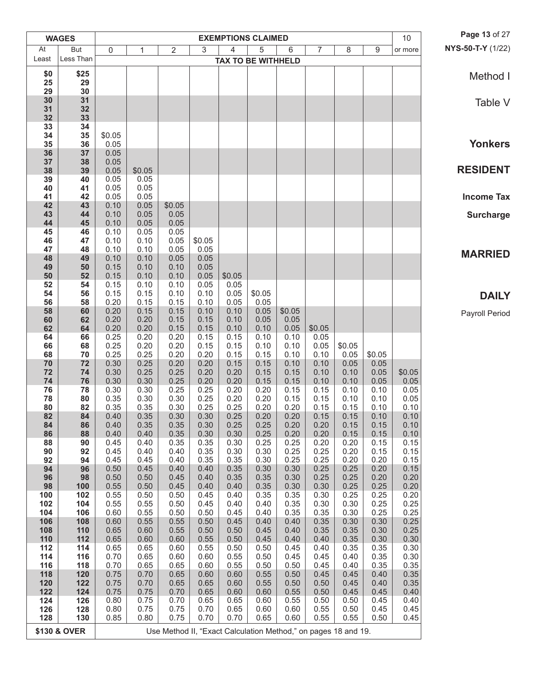|            | <b>WAGES</b> |              |              |                                                                |              |              | <b>EXEMPTIONS CLAIMED</b> |              |              |              |              | 10             | Page 13 of 27     |
|------------|--------------|--------------|--------------|----------------------------------------------------------------|--------------|--------------|---------------------------|--------------|--------------|--------------|--------------|----------------|-------------------|
| At         | But          | 0            | 1            | $\overline{2}$                                                 | 3            | 4            | 5                         | 6            | 7            | 8            | 9            | or more        | NYS-50-T-Y (1/22) |
| Least      | Less Than    |              |              |                                                                |              |              | <b>TAX TO BE WITHHELD</b> |              |              |              |              |                |                   |
| \$0        | \$25         |              |              |                                                                |              |              |                           |              |              |              |              |                | Method I          |
| 25<br>29   | 29<br>30     |              |              |                                                                |              |              |                           |              |              |              |              |                |                   |
| 30         | 31           |              |              |                                                                |              |              |                           |              |              |              |              |                | Table V           |
| 31         | 32           |              |              |                                                                |              |              |                           |              |              |              |              |                |                   |
| 32<br>33   | 33<br>34     |              |              |                                                                |              |              |                           |              |              |              |              |                |                   |
| 34         | 35           | \$0.05       |              |                                                                |              |              |                           |              |              |              |              |                |                   |
| 35         | 36           | 0.05         |              |                                                                |              |              |                           |              |              |              |              |                | <b>Yonkers</b>    |
| 36<br>37   | 37<br>38     | 0.05<br>0.05 |              |                                                                |              |              |                           |              |              |              |              |                |                   |
| 38         | 39           | 0.05         | \$0.05       |                                                                |              |              |                           |              |              |              |              |                | <b>RESIDENT</b>   |
| 39         | 40           | 0.05         | 0.05         |                                                                |              |              |                           |              |              |              |              |                |                   |
| 40<br>41   | 41<br>42     | 0.05<br>0.05 | 0.05<br>0.05 |                                                                |              |              |                           |              |              |              |              |                | <b>Income Tax</b> |
| 42         | 43           | 0.10         | 0.05         | \$0.05                                                         |              |              |                           |              |              |              |              |                |                   |
| 43         | 44           | 0.10         | 0.05         | 0.05                                                           |              |              |                           |              |              |              |              |                | <b>Surcharge</b>  |
| 44         | 45<br>46     | 0.10<br>0.10 | 0.05         | 0.05                                                           |              |              |                           |              |              |              |              |                |                   |
| 45<br>46   | 47           | 0.10         | 0.05<br>0.10 | 0.05<br>0.05                                                   | \$0.05       |              |                           |              |              |              |              |                |                   |
| 47         | 48           | 0.10         | 0.10         | 0.05                                                           | 0.05         |              |                           |              |              |              |              |                | <b>MARRIED</b>    |
| 48         | 49           | 0.10         | 0.10         | 0.05                                                           | 0.05         |              |                           |              |              |              |              |                |                   |
| 49<br>50   | 50<br>52     | 0.15<br>0.15 | 0.10<br>0.10 | 0.10<br>0.10                                                   | 0.05<br>0.05 | \$0.05       |                           |              |              |              |              |                |                   |
| 52         | 54           | 0.15         | 0.10         | 0.10                                                           | 0.05         | 0.05         |                           |              |              |              |              |                |                   |
| 54         | 56           | 0.15         | 0.15         | 0.10                                                           | 0.10         | 0.05         | \$0.05                    |              |              |              |              |                | <b>DAILY</b>      |
| 56<br>58   | 58<br>60     | 0.20<br>0.20 | 0.15<br>0.15 | 0.15<br>0.15                                                   | 0.10<br>0.10 | 0.05<br>0.10 | 0.05<br>0.05              | \$0.05       |              |              |              |                |                   |
| 60         | 62           | 0.20         | 0.20         | 0.15                                                           | 0.15         | 0.10         | 0.05                      | 0.05         |              |              |              |                | Payroll Period    |
| 62         | 64           | 0.20         | 0.20         | 0.15                                                           | 0.15         | 0.10         | 0.10                      | 0.05         | \$0.05       |              |              |                |                   |
| 64<br>66   | 66<br>68     | 0.25<br>0.25 | 0.20<br>0.20 | 0.20<br>0.20                                                   | 0.15<br>0.15 | 0.15<br>0.15 | 0.10<br>0.10              | 0.10<br>0.10 | 0.05<br>0.05 | \$0.05       |              |                |                   |
| 68         | 70           | 0.25         | 0.25         | 0.20                                                           | 0.20         | 0.15         | 0.15                      | 0.10         | 0.10         | 0.05         | \$0.05       |                |                   |
| 70         | 72           | 0.30         | 0.25         | 0.20                                                           | 0.20         | 0.15         | 0.15                      | 0.10         | 0.10         | 0.05         | 0.05         |                |                   |
| 72<br>74   | 74<br>76     | 0.30<br>0.30 | 0.25<br>0.30 | 0.25<br>0.25                                                   | 0.20<br>0.20 | 0.20<br>0.20 | 0.15<br>0.15              | 0.15<br>0.15 | 0.10<br>0.10 | 0.10<br>0.10 | 0.05<br>0.05 | \$0.05<br>0.05 |                   |
| 76         | 78           | 0.30         | 0.30         | 0.25                                                           | 0.25         | 0.20         | 0.20                      | 0.15         | 0.15         | 0.10         | 0.10         | 0.05           |                   |
| 78         | 80           | 0.35         | 0.30         | 0.30                                                           | 0.25         | 0.20         | 0.20                      | 0.15         | 0.15         | 0.10         | 0.10         | 0.05           |                   |
| 80<br>82   | 82<br>84     | 0.35<br>0.40 | 0.35<br>0.35 | 0.30<br>0.30                                                   | 0.25<br>0.30 | 0.25<br>0.25 | 0.20<br>0.20              | 0.20<br>0.20 | 0.15<br>0.15 | 0.15<br>0.15 | 0.10<br>0.10 | 0.10<br>0.10   |                   |
| 84         | 86           | 0.40         | 0.35         | 0.35                                                           | 0.30         | 0.25         | 0.25                      | $0.20\,$     | 0.20         | 0.15         | 0.15         | 0.10           |                   |
| 86         | 88           | 0.40         | 0.40         | 0.35                                                           | 0.30         | 0.30         | 0.25                      | 0.20         | 0.20         | 0.15         | 0.15         | 0.10           |                   |
| 88<br>90   | 90<br>92     | 0.45<br>0.45 | 0.40<br>0.40 | 0.35<br>0.40                                                   | 0.35<br>0.35 | 0.30<br>0.30 | 0.25<br>0.30              | 0.25<br>0.25 | 0.20<br>0.25 | 0.20<br>0.20 | 0.15<br>0.15 | 0.15<br>0.15   |                   |
| 92         | 94           | 0.45         | 0.45         | 0.40                                                           | 0.35         | 0.35         | 0.30                      | 0.25         | 0.25         | 0.20         | 0.20         | 0.15           |                   |
| 94         | 96           | 0.50         | 0.45         | 0.40                                                           | 0.40         | 0.35         | 0.30                      | 0.30         | 0.25         | 0.25         | 0.20         | 0.15           |                   |
| 96<br>98   | 98<br>100    | 0.50<br>0.55 | 0.50<br>0.50 | 0.45<br>0.45                                                   | 0.40<br>0.40 | 0.35<br>0.40 | 0.35<br>0.35              | 0.30<br>0.30 | 0.25<br>0.30 | 0.25<br>0.25 | 0.20<br>0.25 | 0.20<br>0.20   |                   |
| 100        | 102          | 0.55         | 0.50         | 0.50                                                           | 0.45         | 0.40         | 0.35                      | 0.35         | 0.30         | 0.25         | 0.25         | 0.20           |                   |
| 102        | 104          | 0.55         | 0.55         | 0.50                                                           | 0.45         | 0.40         | 0.40                      | 0.35         | 0.30         | 0.30         | 0.25         | 0.25           |                   |
| 104<br>106 | 106<br>108   | 0.60<br>0.60 | 0.55<br>0.55 | 0.50<br>0.55                                                   | 0.50<br>0.50 | 0.45<br>0.45 | 0.40<br>0.40              | 0.35<br>0.40 | 0.35<br>0.35 | 0.30<br>0.30 | 0.25<br>0.30 | 0.25<br>0.25   |                   |
| 108        | 110          | 0.65         | 0.60         | 0.55                                                           | 0.50         | 0.50         | 0.45                      | 0.40         | 0.35         | 0.35         | 0.30         | 0.25           |                   |
| 110        | 112          | 0.65         | 0.60         | 0.60                                                           | 0.55         | 0.50         | 0.45                      | 0.40         | 0.40         | 0.35         | 0.30         | 0.30           |                   |
| 112<br>114 | 114<br>116   | 0.65<br>0.70 | 0.65<br>0.65 | 0.60<br>0.60                                                   | 0.55<br>0.60 | 0.50<br>0.55 | 0.50<br>0.50              | 0.45<br>0.45 | 0.40<br>0.45 | 0.35<br>0.40 | 0.35<br>0.35 | 0.30<br>0.30   |                   |
| 116        | 118          | 0.70         | 0.65         | 0.65                                                           | 0.60         | 0.55         | 0.50                      | 0.50         | 0.45         | 0.40         | 0.35         | 0.35           |                   |
| 118        | 120          | 0.75         | 0.70         | 0.65                                                           | 0.60         | 0.60         | 0.55                      | 0.50         | 0.45         | 0.45         | 0.40         | 0.35           |                   |
| 120<br>122 | 122<br>124   | 0.75<br>0.75 | 0.70<br>0.75 | 0.65<br>0.70                                                   | 0.65<br>0.65 | 0.60<br>0.60 | 0.55<br>0.60              | 0.50<br>0.55 | 0.50<br>0.50 | 0.45<br>0.45 | 0.40<br>0.45 | 0.35<br>0.40   |                   |
| 124        | 126          | 0.80         | 0.75         | 0.70                                                           | 0.65         | 0.65         | 0.60                      | 0.55         | 0.50         | 0.50         | 0.45         | 0.40           |                   |
| 126        | 128          | 0.80         | 0.75         | 0.75                                                           | 0.70         | 0.65         | 0.60                      | 0.60         | 0.55         | 0.50         | 0.45         | 0.45           |                   |
| 128        | 130          | 0.85         | 0.80         | 0.75                                                           | 0.70         | 0.70         | 0.65                      | 0.60         | 0.55         | 0.55         | 0.50         | 0.45           |                   |
|            | \$130 & OVER |              |              | Use Method II, "Exact Calculation Method," on pages 18 and 19. |              |              |                           |              |              |              |              |                |                   |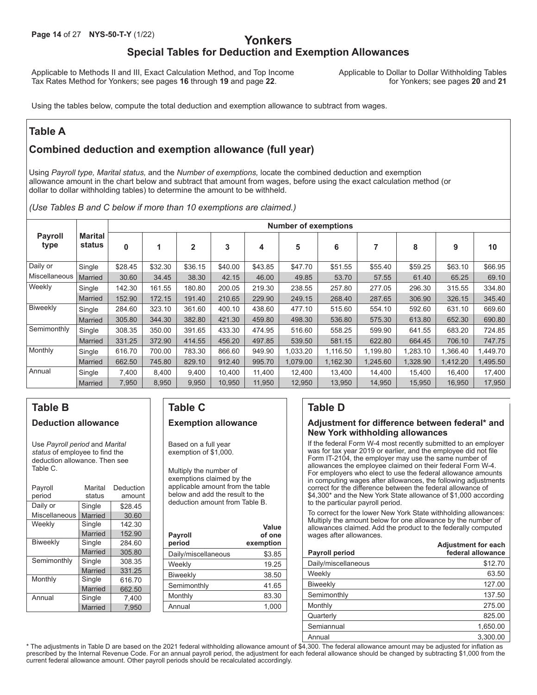## **Yonkers Special Tables for Deduction and Exemption Allowances**

Applicable to Methods II and III, Exact Calculation Method, and Top Income Applicable to Dollar to Dollar Withholding Tables<br>Tax Rates Method for Yonkers; see pages 16 through 19 and page 22. for Yonkers; see pages 20 and Tax Rates Method for Yonkers; see pages 16 through 19 and page 22.

Using the tables below, compute the total deduction and exemption allowance to subtract from wages.

## **Table A**

## **Combined deduction and exemption allowance (full year)**

Using *Payroll type, Marital status,* and the *Number of exemptions,* locate the combined deduction and exemption allowance amount in the chart below and subtract that amount from wages, before using the exact calculation method (or dollar to dollar withholding tables) to determine the amount to be withheld.

*(Use Tables B and C below if more than 10 exemptions are claimed.)*

|                        |                          |          |         |                |         |         | <b>Number of exemptions</b> |          |          |          |          |          |
|------------------------|--------------------------|----------|---------|----------------|---------|---------|-----------------------------|----------|----------|----------|----------|----------|
| <b>Payroll</b><br>type | <b>Marital</b><br>status | $\bf{0}$ |         | $\overline{2}$ | 3       | 4       | 5                           | 6        |          | 8        | 9        | 10       |
| Daily or               | Single                   | \$28.45  | \$32.30 | \$36.15        | \$40.00 | \$43.85 | \$47.70                     | \$51.55  | \$55.40  | \$59.25  | \$63.10  | \$66.95  |
| Miscellaneous          | <b>Married</b>           | 30.60    | 34.45   | 38.30          | 42.15   | 46.00   | 49.85                       | 53.70    | 57.55    | 61.40    | 65.25    | 69.10    |
| Weekly                 | Single                   | 142.30   | 161.55  | 180.80         | 200.05  | 219.30  | 238.55                      | 257.80   | 277.05   | 296.30   | 315.55   | 334.80   |
|                        | <b>Married</b>           | 152.90   | 172.15  | 191.40         | 210.65  | 229.90  | 249.15                      | 268.40   | 287.65   | 306.90   | 326.15   | 345.40   |
| Biweekly               | Single                   | 284.60   | 323.10  | 361.60         | 400.10  | 438.60  | 477.10                      | 515.60   | 554.10   | 592.60   | 631.10   | 669.60   |
|                        | <b>Married</b>           | 305.80   | 344.30  | 382.80         | 421.30  | 459.80  | 498.30                      | 536.80   | 575.30   | 613.80   | 652.30   | 690.80   |
| Semimonthly            | Single                   | 308.35   | 350.00  | 391.65         | 433.30  | 474.95  | 516.60                      | 558.25   | 599.90   | 641.55   | 683.20   | 724.85   |
|                        | <b>Married</b>           | 331.25   | 372.90  | 414.55         | 456.20  | 497.85  | 539.50                      | 581.15   | 622.80   | 664.45   | 706.10   | 747.75   |
| Monthly                | Single                   | 616.70   | 700.00  | 783.30         | 866.60  | 949.90  | 1,033.20                    | 1,116.50 | 1,199.80 | 1,283.10 | 1,366.40 | 1,449.70 |
|                        | <b>Married</b>           | 662.50   | 745.80  | 829.10         | 912.40  | 995.70  | 1.079.00                    | 1,162.30 | 1,245.60 | 1,328.90 | 1,412.20 | 1,495.50 |
| Annual                 | Single                   | 7,400    | 8,400   | 9,400          | 10,400  | 11,400  | 12,400                      | 13,400   | 14,400   | 15,400   | 16,400   | 17,400   |
|                        | <b>Married</b>           | 7,950    | 8,950   | 9,950          | 10,950  | 11,950  | 12,950                      | 13,950   | 14,950   | 15,950   | 16.950   | 17,950   |

## **Table B Deduction allowance**

Use *Payroll period* and *Marital status* of employee to find the deduction allowance. Then see Table C.

| Payroll<br>period | Marital<br>status | Deduction<br>amount |
|-------------------|-------------------|---------------------|
| Daily or          | Single            | \$28.45             |
| Miscellaneous     | Married           | 30.60               |
| Weekly            | Single            | 142.30              |
|                   | Married           | 152.90              |
| <b>Biweekly</b>   | Single            | 284.60              |
|                   | Married           | 305.80              |
| Semimonthly       | Single            | 308.35              |
|                   | Married           | 331.25              |
| Monthly           | Single            | 616.70              |
|                   | Married           | 662.50              |
| Annual            | Single            | 7.400               |
|                   | <b>Married</b>    | 7,950               |

## **Table C Exemption allowance**

Based on a full year exemption of \$1,000.

Multiply the number of exemptions claimed by the applicable amount from the table below and add the result to the deduction amount from Table B.

| <b>Payroll</b><br>period | Value<br>of one<br>exemption |
|--------------------------|------------------------------|
| Daily/miscellaneous      | \$3.85                       |
| Weekly                   | 19.25                        |
| <b>Biweekly</b>          | 38.50                        |
| Semimonthly              | 41.65                        |
| Monthly                  | 83.30                        |
| Annual                   | 1,000                        |
|                          |                              |

## **Table D**

#### **Adjustment for difference between federal\* and New York withholding allowances**

If the federal Form W-4 most recently submitted to an employer was for tax year 2019 or earlier, and the employee did not file Form IT-2104, the employer may use the same number of allowances the employee claimed on their federal Form W-4. For employers who elect to use the federal allowance amounts in computing wages after allowances, the following adjustments correct for the difference between the federal allowance of \$4,300\* and the New York State allowance of \$1,000 according to the particular payroll period.

To correct for the lower New York State withholding allowances: Multiply the amount below for one allowance by the number of allowances claimed. Add the product to the federally computed wages after allowances. **Adjustment for each**

| Payroll period      | <b>AUJUSHIIGHLIVI GUVII</b><br>federal allowance |
|---------------------|--------------------------------------------------|
| Daily/miscellaneous | \$12.70                                          |
| Weekly              | 63.50                                            |
| <b>Biweekly</b>     | 127.00                                           |
| Semimonthly         | 137.50                                           |
| Monthly             | 275.00                                           |
| Quarterly           | 825.00                                           |
| Semiannual          | 1,650.00                                         |
| Annual              | 3.300.00                                         |

\* The adjustments in Table D are based on the 2021 federal withholding allowance amount of \$4,300. The federal allowance amount may be adjusted for inflation as prescribed by the Internal Revenue Code. For an annual payroll period, the adjustment for each federal allowance should be changed by subtracting \$1,000 from the current federal allowance amount. Other payroll periods should be recalculated accordingly.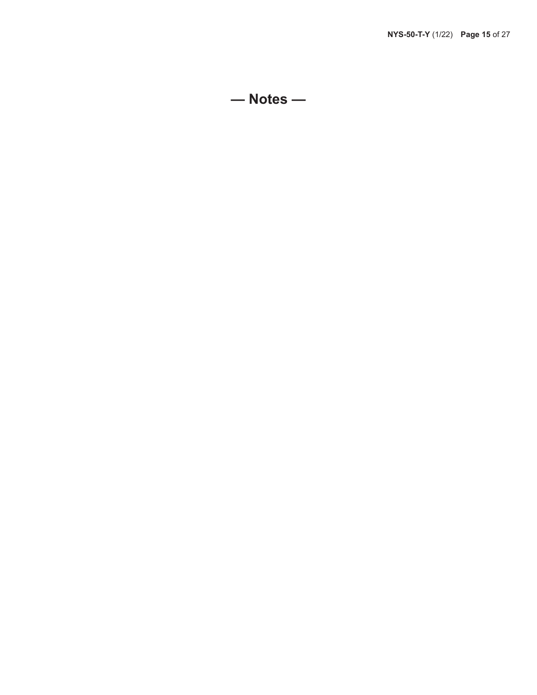**— Notes —**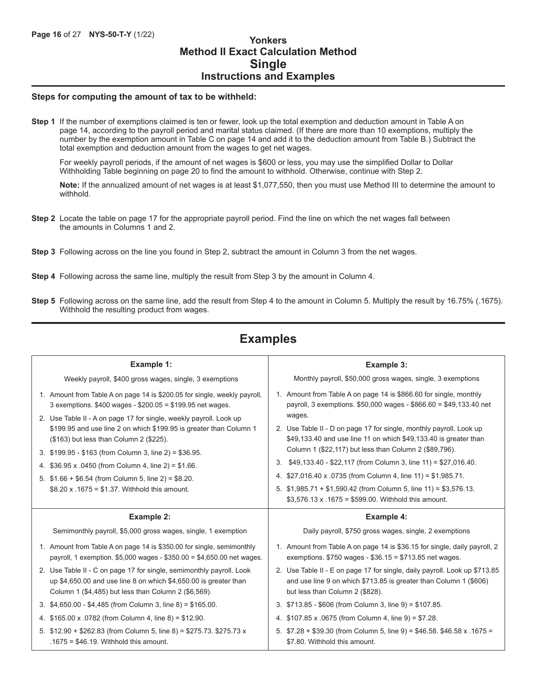## **Method II Exact Calculation Method Single Instructions and Examples**

#### **Steps for computing the amount of tax to be withheld:**

**Step 1** If the number of exemptions claimed is ten or fewer, look up the total exemption and deduction amount in Table A on page 14, according to the payroll period and marital status claimed. (If there are more than 10 exemptions, multiply the number by the exemption amount in Table C on page 14 and add it to the deduction amount from Table B.) Subtract the total exemption and deduction amount from the wages to get net wages.

For weekly payroll periods, if the amount of net wages is \$600 or less, you may use the simplified Dollar to Dollar Withholding Table beginning on page 20 to find the amount to withhold. Otherwise, continue with Step 2.

**Note:** If the annualized amount of net wages is at least \$1,077,550, then you must use Method III to determine the amount to withhold.

- **Step 2** Locate the table on page 17 for the appropriate payroll period. Find the line on which the net wages fall between the amounts in Columns 1 and 2.
- **Step 3** Following across on the line you found in Step 2, subtract the amount in Column 3 from the net wages.
- **Step 4** Following across the same line, multiply the result from Step 3 by the amount in Column 4.
- **Step 5** Following across on the same line, add the result from Step 4 to the amount in Column 5. Multiply the result by 16.75% (.1675). Withhold the resulting product from wages.

## **Examples**

| Example 1:                                                                                                                                                                                                                                                                                                                                                                                                                                                                                                                                                 | Example 3:                                                                                                                                                                                                                                                                                                                                                                                                                                                                                                                                                                                                                      |
|------------------------------------------------------------------------------------------------------------------------------------------------------------------------------------------------------------------------------------------------------------------------------------------------------------------------------------------------------------------------------------------------------------------------------------------------------------------------------------------------------------------------------------------------------------|---------------------------------------------------------------------------------------------------------------------------------------------------------------------------------------------------------------------------------------------------------------------------------------------------------------------------------------------------------------------------------------------------------------------------------------------------------------------------------------------------------------------------------------------------------------------------------------------------------------------------------|
| Weekly payroll, \$400 gross wages, single, 3 exemptions                                                                                                                                                                                                                                                                                                                                                                                                                                                                                                    | Monthly payroll, \$50,000 gross wages, single, 3 exemptions                                                                                                                                                                                                                                                                                                                                                                                                                                                                                                                                                                     |
| 1. Amount from Table A on page 14 is \$200.05 for single, weekly payroll,<br>3 exemptions. \$400 wages - \$200.05 = \$199.95 net wages.<br>2. Use Table II - A on page 17 for single, weekly payroll. Look up<br>\$199.95 and use line 2 on which \$199.95 is greater than Column 1<br>(\$163) but less than Column 2 (\$225).<br>3. \$199.95 - \$163 (from Column 3, line 2) = \$36.95.<br>4. \$36.95 x .0450 (from Column 4, line 2) = \$1.66.<br>5. $$1.66 + $6.54$ (from Column 5, line 2) = \$8.20.<br>\$8.20 x .1675 = \$1.37. Withhold this amount. | 1. Amount from Table A on page 14 is \$866.60 for single, monthly<br>payroll, 3 exemptions. \$50,000 wages - \$866.60 = \$49,133.40 net<br>wages.<br>2. Use Table II - D on page 17 for single, monthly payroll. Look up<br>\$49,133.40 and use line 11 on which \$49,133.40 is greater than<br>Column 1 (\$22,117) but less than Column 2 (\$89,796).<br>3. \$49,133.40 - \$22,117 (from Column 3, line 11) = \$27,016.40.<br>4. \$27,016.40 x .0735 (from Column 4, line 11) = \$1,985.71.<br>5. $$1,985.71 + $1,590.42$ (from Column 5, line 11) = \$3,576.13.<br>$$3,576.13 \times .1675 = $599.00$ . Withhold this amount. |
| Example 2:                                                                                                                                                                                                                                                                                                                                                                                                                                                                                                                                                 | <b>Example 4:</b>                                                                                                                                                                                                                                                                                                                                                                                                                                                                                                                                                                                                               |
| Semimonthly payroll, \$5,000 gross wages, single, 1 exemption                                                                                                                                                                                                                                                                                                                                                                                                                                                                                              | Daily payroll, \$750 gross wages, single, 2 exemptions                                                                                                                                                                                                                                                                                                                                                                                                                                                                                                                                                                          |
| 1. Amount from Table A on page 14 is \$350.00 for single, semimonthly<br>payroll, 1 exemption. \$5,000 wages - \$350.00 = \$4,650.00 net wages.                                                                                                                                                                                                                                                                                                                                                                                                            | 1. Amount from Table A on page 14 is \$36.15 for single, daily payroll, 2<br>exemptions. $$750$ wages - $$36.15 = $713.85$ net wages.                                                                                                                                                                                                                                                                                                                                                                                                                                                                                           |
| 2. Use Table II - C on page 17 for single, semimonthly payroll. Look<br>up \$4,650.00 and use line 8 on which \$4,650.00 is greater than<br>Column 1 (\$4,485) but less than Column 2 (\$6,569).                                                                                                                                                                                                                                                                                                                                                           | 2. Use Table II - E on page 17 for single, daily payroll. Look up \$713.85<br>and use line 9 on which \$713.85 is greater than Column 1 (\$606)<br>but less than Column 2 (\$828).                                                                                                                                                                                                                                                                                                                                                                                                                                              |
| 3. $$4,650.00 - $4,485$ (from Column 3, line 8) = \$165.00.                                                                                                                                                                                                                                                                                                                                                                                                                                                                                                | 3. \$713.85 - \$606 (from Column 3, line 9) = \$107.85.                                                                                                                                                                                                                                                                                                                                                                                                                                                                                                                                                                         |
| 4. \$165.00 x .0782 (from Column 4, line 8) = \$12.90.                                                                                                                                                                                                                                                                                                                                                                                                                                                                                                     | 4. \$107.85 x .0675 (from Column 4, line 9) = \$7.28.                                                                                                                                                                                                                                                                                                                                                                                                                                                                                                                                                                           |
| 5. \$12.90 + \$262.83 (from Column 5, line 8) = \$275.73. \$275.73 x<br>.1675 = $$46.19$ . Withhold this amount.                                                                                                                                                                                                                                                                                                                                                                                                                                           | 5. $$7.28 + $39.30$ (from Column 5, line 9) = \$46.58. \$46.58 x .1675 =<br>\$7.80. Withhold this amount.                                                                                                                                                                                                                                                                                                                                                                                                                                                                                                                       |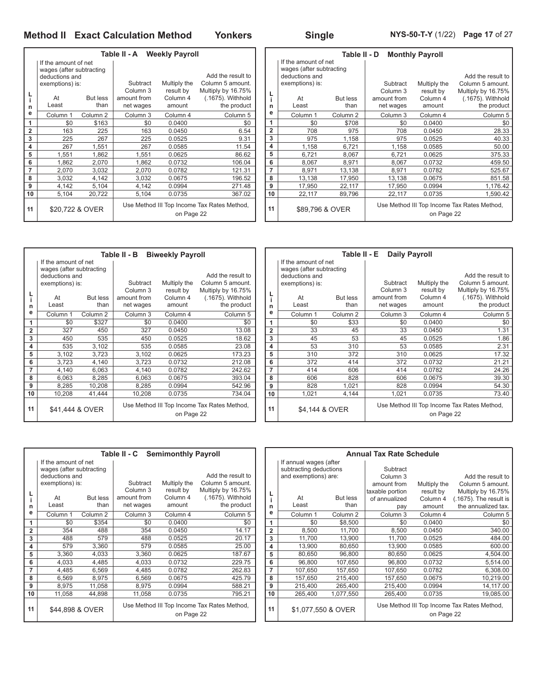ř.

|                |                                                                                       |                     | Table II - A Weekly Payroll |                           |                                                             |                |                                                                                       | Ta     |
|----------------|---------------------------------------------------------------------------------------|---------------------|-----------------------------|---------------------------|-------------------------------------------------------------|----------------|---------------------------------------------------------------------------------------|--------|
|                | If the amount of net<br>wages (after subtracting<br>deductions and<br>exemptions) is: |                     | Subtract<br>Column 3        | Multiply the<br>result by | Add the result to<br>Column 5 amount.<br>Multiply by 16.75% |                | If the amount of net<br>wages (after subtracting<br>deductions and<br>exemptions) is: |        |
|                | At                                                                                    | <b>But less</b>     | amount from                 | Column 4                  | (.1675). Withhold                                           | L              | At                                                                                    | But le |
| n              | Least                                                                                 | than                | net wages                   | amount                    | the product                                                 | n              | Least                                                                                 | th     |
| е              | Column 1                                                                              | Column <sub>2</sub> | Column 3                    | Column 4                  | Column 5                                                    | е              | Column 1                                                                              | Colum  |
| 1              | \$0                                                                                   | \$163               | \$0                         | 0.0400                    | \$0                                                         | 1              | \$0                                                                                   | \$7    |
| $\overline{2}$ | 163                                                                                   | 225                 | 163                         | 0.0450                    | 6.54                                                        | $\overline{2}$ | 708                                                                                   |        |
| 3              | 225                                                                                   | 267                 | 225                         | 0.0525                    | 9.31                                                        | 3              | 975                                                                                   | 1,1    |
| 4              | 267                                                                                   | 1,551               | 267                         | 0.0585                    | 11.54                                                       | 4              | 1,158                                                                                 | 6,7    |
| 5              | 1,551                                                                                 | 1,862               | 1,551                       | 0.0625                    | 86.62                                                       | 5              | 6,721                                                                                 | 8,0    |
| 6              | 1,862                                                                                 | 2,070               | 1,862                       | 0.0732                    | 106.04                                                      | 6              | 8,067                                                                                 | 8,9    |
| 7              | 2,070                                                                                 | 3,032               | 2,070                       | 0.0782                    | 121.31                                                      | 7              | 8,971                                                                                 | 13,1   |
| 8              | 3,032                                                                                 | 4,142               | 3,032                       | 0.0675                    | 196.52                                                      | 8              | 13,138                                                                                | 17,9   |
| 9              | 4,142                                                                                 | 5,104               | 4,142                       | 0.0994                    | 271.48                                                      | 9              | 17,950                                                                                | 22,7   |
| 10             | 5,104                                                                                 | 20,722              | 5,104                       | 0.0735                    | 367.02                                                      | 10             | 22,117                                                                                | 89,7   |
| 11             |                                                                                       | \$20,722 & OVER     |                             | on Page 22                | Use Method III Top Income Tax Rates Method,                 | 11             | \$89,796 & OVER                                                                       |        |

|                |                          | Table II - D        |             | <b>Monthly Payroll</b> |                                             |
|----------------|--------------------------|---------------------|-------------|------------------------|---------------------------------------------|
|                | If the amount of net     |                     |             |                        |                                             |
|                | wages (after subtracting |                     |             |                        |                                             |
|                | deductions and           |                     |             |                        | Add the result to                           |
|                | exemptions) is:          |                     | Subtract    | Multiply the           | Column 5 amount.                            |
| L              |                          |                     | Column 3    | result by              | Multiply by 16.75%                          |
| i              | At                       | <b>But less</b>     | amount from | Column 4               | (.1675). Withhold                           |
| n              | Least                    | than                | net wages   | amount                 | the product                                 |
| е              | Column <sub>1</sub>      | Column <sub>2</sub> | Column 3    | Column 4               | Column 5                                    |
| 1              | \$0                      | \$708               | \$0         | 0.0400                 | \$0                                         |
| $\overline{2}$ | 708                      | 975                 | 708         | 0.0450                 | 28.33                                       |
| 3              | 975                      | 1,158               | 975         | 0.0525                 | 40.33                                       |
| 4              | 1,158                    | 6,721               | 1,158       | 0.0585                 | 50.00                                       |
| 5              | 6,721                    | 8,067               | 6,721       | 0.0625                 | 375.33                                      |
| 6              | 8,067                    | 8,971               | 8,067       | 0.0732                 | 459.50                                      |
| 7              | 8,971                    | 13,138              | 8,971       | 0.0782                 | 525.67                                      |
| 8              | 13,138                   | 17,950              | 13,138      | 0.0675                 | 851.58                                      |
| 9              | 17,950                   | 22,117              | 17,950      | 0.0994                 | 1,176.42                                    |
| 10             | 22,117                   | 89,796              | 22,117      | 0.0735                 | 1,590.42                                    |
| 11             | \$89,796 & OVER          |                     |             | on Page 22             | Use Method III Top Income Tax Rates Method, |

|                |                                                                                       |                         | Table II - B             | <b>Biweekly Payroll</b>   |                                                             |                |                                                                                       | Тε          |
|----------------|---------------------------------------------------------------------------------------|-------------------------|--------------------------|---------------------------|-------------------------------------------------------------|----------------|---------------------------------------------------------------------------------------|-------------|
|                | If the amount of net<br>wages (after subtracting<br>deductions and<br>exemptions) is: |                         | Subtract<br>Column 3     | Multiply the<br>result by | Add the result to<br>Column 5 amount.<br>Multiply by 16.75% |                | If the amount of net<br>wages (after subtracting<br>deductions and<br>exemptions) is: |             |
| L<br>n         | At<br>Least                                                                           | <b>But less</b><br>than | amount from<br>net wages | Column 4<br>amount        | (.1675). Withhold<br>the product                            | n              | At<br>Least                                                                           | But I<br>tl |
| е              | Column 1                                                                              | Column 2                | Column 3                 | Column 4                  | Column <sub>5</sub>                                         | е              | Column 1                                                                              | Colun       |
| 1              | \$0                                                                                   | \$327                   | \$0                      | 0.0400                    | \$0                                                         | 1              | \$0                                                                                   |             |
| $\overline{2}$ | 327                                                                                   | 450                     | 327                      | 0.0450                    | 13.08                                                       | $\overline{2}$ | 33                                                                                    |             |
| 3              | 450                                                                                   | 535                     | 450                      | 0.0525                    | 18.62                                                       | 3              | 45                                                                                    |             |
| 4              | 535                                                                                   | 3,102                   | 535                      | 0.0585                    | 23.08                                                       | 4              | 53                                                                                    |             |
| 5              | 3,102                                                                                 | 3,723                   | 3,102                    | 0.0625                    | 173.23                                                      | 5              | 310                                                                                   |             |
| 6              | 3,723                                                                                 | 4,140                   | 3,723                    | 0.0732                    | 212.08                                                      | 6              | 372                                                                                   |             |
| 7              | 4,140                                                                                 | 6,063                   | 4,140                    | 0.0782                    | 242.62                                                      | 7              | 414                                                                                   |             |
| 8              | 6,063                                                                                 | 8,285                   | 6.063                    | 0.0675                    | 393.04                                                      | 8              | 606                                                                                   |             |
| 9              | 8,285                                                                                 | 10,208                  | 8,285                    | 0.0994                    | 542.96                                                      | 9              | 828                                                                                   | 1,          |
| 10             | 10,208                                                                                | 41,444                  | 10,208                   | 0.0735                    | 734.04                                                      | 10             | 1,021                                                                                 | 4.          |
| 11             | \$41,444 & OVER                                                                       |                         |                          | on Page 22                | Use Method III Top Income Tax Rates Method,                 | 11             | \$4.144 & OVER                                                                        |             |

|                 | Table II - E<br><b>Daily Payroll</b> |                     |             |              |                                             |  |  |  |  |  |  |  |  |
|-----------------|--------------------------------------|---------------------|-------------|--------------|---------------------------------------------|--|--|--|--|--|--|--|--|
|                 | If the amount of net                 |                     |             |              |                                             |  |  |  |  |  |  |  |  |
|                 | wages (after subtracting             |                     |             |              |                                             |  |  |  |  |  |  |  |  |
|                 | deductions and                       |                     |             |              | Add the result to                           |  |  |  |  |  |  |  |  |
|                 | exemptions) is:                      |                     | Subtract    | Multiply the | Column 5 amount.                            |  |  |  |  |  |  |  |  |
|                 |                                      |                     | Column 3    | result by    | Multiply by 16.75%                          |  |  |  |  |  |  |  |  |
| ۲ $\frac{1}{i}$ | At                                   | <b>But less</b>     | amount from | Column 4     | (.1675). Withhold                           |  |  |  |  |  |  |  |  |
| n               | Least                                | than                | net wages   | amount       | the product                                 |  |  |  |  |  |  |  |  |
| e               | Column <sub>1</sub>                  | Column <sub>2</sub> | Column 3    | Column 4     | Column 5                                    |  |  |  |  |  |  |  |  |
| 1               | \$0                                  | \$33                | \$0         | 0.0400       | \$0                                         |  |  |  |  |  |  |  |  |
| $\overline{2}$  | 33                                   | 45                  | 33          | 0.0450       | 1.31                                        |  |  |  |  |  |  |  |  |
| 3               | 45                                   | 53                  | 45          | 0.0525       | 1.86                                        |  |  |  |  |  |  |  |  |
| 4               | 53                                   | 310                 | 53          | 0.0585       | 2.31                                        |  |  |  |  |  |  |  |  |
| 5               | 310                                  | 372                 | 310         | 0.0625       | 17.32                                       |  |  |  |  |  |  |  |  |
| 6               | 372                                  | 414                 | 372         | 0.0732       | 21.21                                       |  |  |  |  |  |  |  |  |
| 7               | 414                                  | 606                 | 414         | 0.0782       | 24.26                                       |  |  |  |  |  |  |  |  |
| 8               | 606                                  | 828                 | 606         | 0.0675       | 39.30                                       |  |  |  |  |  |  |  |  |
| 9               | 828                                  | 1,021               | 828         | 0.0994       | 54.30                                       |  |  |  |  |  |  |  |  |
| 10              | 1,021<br>4.144                       |                     | 1,021       | 0.0735       | 73.40                                       |  |  |  |  |  |  |  |  |
| 11              | \$4,144 & OVER                       |                     |             | on Page 22   | Use Method III Top Income Tax Rates Method, |  |  |  |  |  |  |  |  |

|                       |                                                                    | Table II - C |                                      |                                 | An                                                     |                |                                                                          |                  |
|-----------------------|--------------------------------------------------------------------|--------------|--------------------------------------|---------------------------------|--------------------------------------------------------|----------------|--------------------------------------------------------------------------|------------------|
|                       | If the amount of net<br>wages (after subtracting<br>deductions and |              | Subtract                             | Multiply the                    | Add the result to<br>Column 5 amount.                  |                | If annual wages (after<br>subtracting deductions<br>and exemptions) are: |                  |
| n                     | exemptions) is:<br><b>But less</b><br>At<br>than<br>Least          |              | Column 3<br>amount from<br>net wages | result by<br>Column 4<br>amount | Multiply by 16.75%<br>(.1675). Withhold<br>the product | L<br>i.<br>n   | At<br>Least                                                              | But less<br>thar |
| е                     | Column 1                                                           | Column 2     | Column 3                             | Column 4                        | Column <sub>5</sub>                                    | е              | Column 1                                                                 | Column           |
| 1                     | \$0                                                                | \$354        | \$0                                  | 0.0400                          | \$0                                                    | 1              | \$0                                                                      | \$8,50           |
| $\overline{2}$        | 354                                                                | 488          | 354                                  | 0.0450                          | 14.17                                                  | $\overline{2}$ | 8,500                                                                    | 11,70            |
| 3                     | 488                                                                | 579          | 488                                  | 0.0525                          | 20.17                                                  | 3              | 11,700                                                                   | 13,90            |
| 4                     | 579                                                                | 3,360        | 579                                  | 0.0585                          | 25.00                                                  | 4              | 13,900                                                                   | 80,65            |
| 5                     | 3,360                                                              | 4,033        | 3,360                                | 0.0625                          | 187.67                                                 | 5              | 80,650                                                                   | 96,80            |
| 6                     | 4,033                                                              | 4,485        | 4,033                                | 0.0732                          | 229.75                                                 | 6              | 96,800                                                                   | 107,65           |
| 7                     | 4,485                                                              | 6,569        | 4,485                                | 0.0782                          | 262.83                                                 | 7              | 107,650                                                                  | 157,65           |
| 8                     | 6,569                                                              | 8,975        | 6,569                                | 0.0675                          | 425.79                                                 | 8              | 157,650                                                                  | 215,40           |
| 9                     | 8,975                                                              | 11,058       | 8,975                                | 0.0994                          | 588.21                                                 | 9              | 215,400                                                                  | 265,40           |
| 10                    | 11,058                                                             | 44,898       | 11,058                               | 0.0735                          | 795.21                                                 | 10             | 265,400                                                                  | 1,077,55         |
| 11<br>\$44,898 & OVER |                                                                    |              |                                      | on Page 22                      | Use Method III Top Income Tax Rates Method,            | 11             | \$1.077.550 & OVER                                                       |                  |

|                |                        |                     | <b>Annual Tax Rate Schedule</b> |              |                                             |
|----------------|------------------------|---------------------|---------------------------------|--------------|---------------------------------------------|
|                | If annual wages (after |                     |                                 |              |                                             |
|                | subtracting deductions |                     | Subtract                        |              |                                             |
|                | and exemptions) are:   |                     | Column 3                        |              | Add the result to                           |
|                |                        |                     | amount from                     | Multiply the | Column 5 amount.                            |
| L              |                        |                     | taxable portion                 | result by    | Multiply by 16.75%                          |
| i              | At                     | <b>But less</b>     | of annualized                   | Column 4     | $(.1675)$ . The result is                   |
| n              | Least                  | than                | pay                             | amount       | the annualized tax.                         |
| e              | Column 1               | Column <sub>2</sub> | Column <sub>3</sub>             | Column 4     | Column <sub>5</sub>                         |
| 1              | \$0                    | \$8,500             | \$0                             | 0.0400       | \$0                                         |
| $\overline{2}$ | 8,500<br>11,700        |                     | 8,500                           | 0.0450       | 340.00                                      |
| 3              | 11,700                 | 13,900              | 11,700                          | 0.0525       | 484.00                                      |
| 4              | 13,900                 | 80,650              | 13.900                          | 0.0585       | 600.00                                      |
| 5              | 80,650                 | 96,800              | 80,650                          | 0.0625       | 4,504.00                                    |
| 6              | 96,800                 | 107,650             | 96,800                          | 0.0732       | 5,514.00                                    |
| 7              | 107,650                | 157,650             | 107,650                         | 0.0782       | 6,308.00                                    |
| 8              | 157,650                | 215,400             | 157,650                         | 0.0675       | 10,219.00                                   |
| 9              | 215,400                | 265,400             | 215,400                         | 0.0994       | 14,117.00                                   |
| 10             | 265,400<br>1,077,550   |                     | 265,400                         | 0.0735       | 19,085.00                                   |
| 11             | \$1,077,550 & OVER     |                     |                                 | on Page 22   | Use Method III Top Income Tax Rates Method, |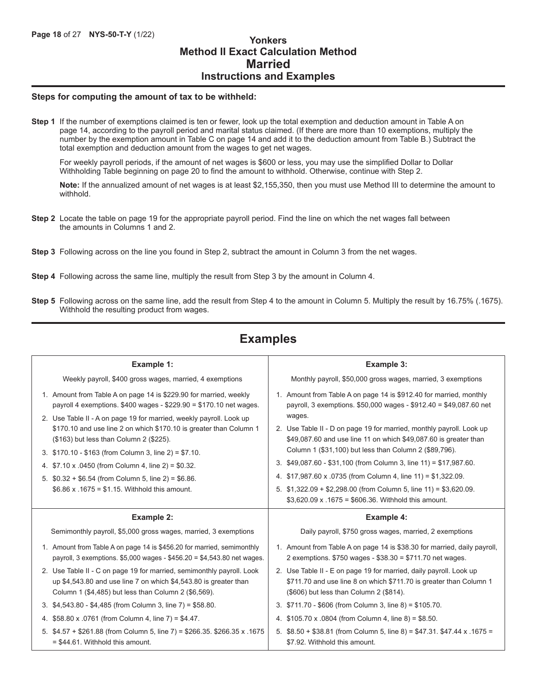## **Method II Exact Calculation Method Married Instructions and Examples**

#### **Steps for computing the amount of tax to be withheld:**

**Step 1** If the number of exemptions claimed is ten or fewer, look up the total exemption and deduction amount in Table A on page 14, according to the payroll period and marital status claimed. (If there are more than 10 exemptions, multiply the number by the exemption amount in Table C on page 14 and add it to the deduction amount from Table B.) Subtract the total exemption and deduction amount from the wages to get net wages.

For weekly payroll periods, if the amount of net wages is \$600 or less, you may use the simplified Dollar to Dollar Withholding Table beginning on page 20 to find the amount to withhold. Otherwise, continue with Step 2.

**Note:** If the annualized amount of net wages is at least \$2,155,350, then you must use Method III to determine the amount to withhold.

- **Step 2** Locate the table on page 19 for the appropriate payroll period. Find the line on which the net wages fall between the amounts in Columns 1 and 2.
- **Step 3** Following across on the line you found in Step 2, subtract the amount in Column 3 from the net wages.
- **Step 4** Following across the same line, multiply the result from Step 3 by the amount in Column 4.
- **Step 5** Following across on the same line, add the result from Step 4 to the amount in Column 5. Multiply the result by 16.75% (.1675). Withhold the resulting product from wages.

## **Examples**

| Example 1:                                                                                                                                                                                                                                                                                                                                                                                                                                                                                                                                                 | Example 3:                                                                                                                                                                                                                                                                                                                                                                                                                                                                                                                                                          |
|------------------------------------------------------------------------------------------------------------------------------------------------------------------------------------------------------------------------------------------------------------------------------------------------------------------------------------------------------------------------------------------------------------------------------------------------------------------------------------------------------------------------------------------------------------|---------------------------------------------------------------------------------------------------------------------------------------------------------------------------------------------------------------------------------------------------------------------------------------------------------------------------------------------------------------------------------------------------------------------------------------------------------------------------------------------------------------------------------------------------------------------|
| Weekly payroll, \$400 gross wages, married, 4 exemptions                                                                                                                                                                                                                                                                                                                                                                                                                                                                                                   | Monthly payroll, \$50,000 gross wages, married, 3 exemptions                                                                                                                                                                                                                                                                                                                                                                                                                                                                                                        |
| 1. Amount from Table A on page 14 is \$229.90 for married, weekly<br>payroll 4 exemptions. $$400$ wages - $$229.90 = $170.10$ net wages.<br>2. Use Table II - A on page 19 for married, weekly payroll. Look up<br>\$170.10 and use line 2 on which \$170.10 is greater than Column 1<br>(\$163) but less than Column 2 (\$225).<br>3. \$170.10 - \$163 (from Column 3, line 2) = \$7.10.<br>4. \$7.10 x .0450 (from Column 4, line 2) = \$0.32.<br>5. $$0.32 + $6.54$ (from Column 5, line 2) = \$6.86.<br>\$6.86 x .1675 = \$1.15. Withhold this amount. | 1. Amount from Table A on page 14 is \$912.40 for married, monthly<br>payroll, 3 exemptions. \$50,000 wages - \$912.40 = \$49,087.60 net<br>wages.<br>2. Use Table II - D on page 19 for married, monthly payroll. Look up<br>\$49,087.60 and use line 11 on which \$49,087.60 is greater than<br>Column 1 (\$31,100) but less than Column 2 (\$89,796).<br>3. \$49,087.60 - \$31,100 (from Column 3, line 11) = \$17,987.60.<br>4. \$17,987.60 x .0735 (from Column 4, line 11) = \$1,322.09.<br>5. $$1,322.09 + $2,298.00$ (from Column 5, line 11) = \$3,620.09. |
|                                                                                                                                                                                                                                                                                                                                                                                                                                                                                                                                                            | \$3,620.09 x .1675 = \$606.36. Withhold this amount.                                                                                                                                                                                                                                                                                                                                                                                                                                                                                                                |
| Example 2:                                                                                                                                                                                                                                                                                                                                                                                                                                                                                                                                                 | <b>Example 4:</b>                                                                                                                                                                                                                                                                                                                                                                                                                                                                                                                                                   |
| Semimonthly payroll, \$5,000 gross wages, married, 3 exemptions                                                                                                                                                                                                                                                                                                                                                                                                                                                                                            | Daily payroll, \$750 gross wages, married, 2 exemptions                                                                                                                                                                                                                                                                                                                                                                                                                                                                                                             |
| 1. Amount from Table A on page 14 is \$456.20 for married, semimonthly<br>payroll, 3 exemptions. $$5,000$ wages - $$456.20 = $4,543.80$ net wages.                                                                                                                                                                                                                                                                                                                                                                                                         | 1. Amount from Table A on page 14 is \$38.30 for married, daily payroll,<br>2 exemptions. $$750$ wages - $$38.30 = $711.70$ net wages.                                                                                                                                                                                                                                                                                                                                                                                                                              |
| 2. Use Table II - C on page 19 for married, semimonthly payroll. Look<br>up \$4,543.80 and use line 7 on which \$4,543.80 is greater than<br>Column 1 (\$4,485) but less than Column 2 (\$6,569).                                                                                                                                                                                                                                                                                                                                                          | 2. Use Table II - E on page 19 for married, daily payroll. Look up<br>\$711.70 and use line 8 on which \$711.70 is greater than Column 1<br>(\$606) but less than Column 2 (\$814).                                                                                                                                                                                                                                                                                                                                                                                 |
| 3. \$4,543.80 - \$4,485 (from Column 3, line 7) = \$58.80.                                                                                                                                                                                                                                                                                                                                                                                                                                                                                                 | 3. \$711.70 - \$606 (from Column 3, line 8) = \$105.70.                                                                                                                                                                                                                                                                                                                                                                                                                                                                                                             |
| 4. \$58.80 x .0761 (from Column 4, line 7) = \$4.47.                                                                                                                                                                                                                                                                                                                                                                                                                                                                                                       | 4. \$105.70 x .0804 (from Column 4, line 8) = \$8.50.                                                                                                                                                                                                                                                                                                                                                                                                                                                                                                               |
| 5. \$4.57 + \$261.88 (from Column 5, line 7) = \$266.35. \$266.35 x .1675                                                                                                                                                                                                                                                                                                                                                                                                                                                                                  | 5. \$8.50 + \$38.81 (from Column 5, line 8) = \$47.31. \$47.44 x .1675 =                                                                                                                                                                                                                                                                                                                                                                                                                                                                                            |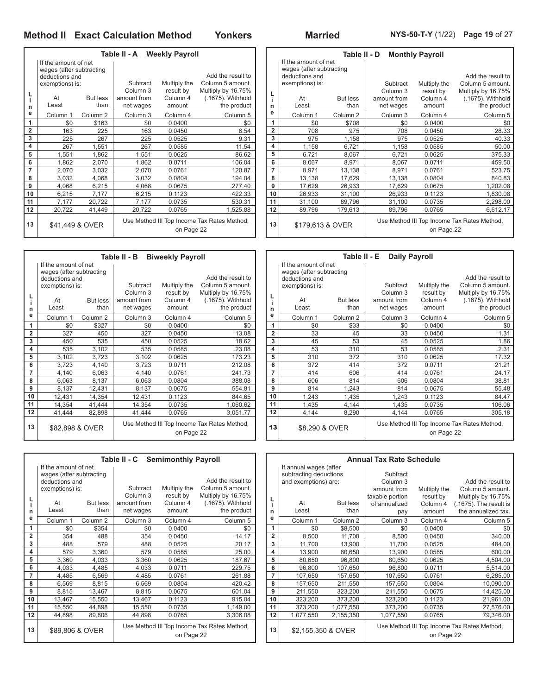|                         |                                                  | Table II - A                                              |                                              |           | Tal                 |                  |                                                  |        |
|-------------------------|--------------------------------------------------|-----------------------------------------------------------|----------------------------------------------|-----------|---------------------|------------------|--------------------------------------------------|--------|
|                         | If the amount of net<br>wages (after subtracting |                                                           |                                              |           |                     |                  | If the amount of net<br>wages (after subtracting |        |
|                         | deductions and                                   |                                                           |                                              |           | Add the result to   |                  | deductions and                                   |        |
|                         | exemptions) is:                                  |                                                           | Column 5 amount.<br>Subtract<br>Multiply the |           |                     |                  | exemptions) is:                                  |        |
|                         |                                                  |                                                           | Column 3                                     | result by | Multiply by 16.75%  |                  |                                                  |        |
| L<br>i.                 | At                                               | But less                                                  | amount from                                  | Column 4  | (.1675). Withhold   | L                | At                                               | But le |
| n                       | Least                                            | than                                                      | net wages                                    | amount    | the product         | n                | Least                                            | th     |
| е                       | Column 1                                         | Column 2                                                  | Column <sub>3</sub>                          | Column 4  | Column <sub>5</sub> | е                | Column 1                                         | Column |
| 1                       | \$0                                              | \$163                                                     | \$0                                          | 0.0400    | \$0                 | 1                | \$0                                              | \$7    |
| $\overline{2}$          | 163                                              | 225                                                       | 163                                          | 0.0450    | 6.54                | 2                | 708                                              | 9      |
| 3                       | 225                                              | 267                                                       | 225                                          | 0.0525    | 9.31                | 3                | 975                                              | 1,1    |
| $\overline{\mathbf{4}}$ | 267                                              | 1,551                                                     | 267                                          | 0.0585    | 11.54               | 4                | 1,158                                            | 6,7    |
| 5                       | 1,551                                            | 1,862                                                     | 1,551                                        | 0.0625    | 86.62               | 5                | 6,721                                            | 8,0    |
| 6                       | 1,862                                            | 2,070                                                     | 1,862                                        | 0.0711    | 106.04              | 6                | 8,067                                            | 8,9    |
| 7                       | 2,070                                            | 3,032                                                     | 2,070                                        | 0.0761    | 120.87              | 7                | 8,971                                            | 13,1   |
| 8                       | 3,032                                            | 4,068                                                     | 3,032                                        | 0.0804    | 194.04              | 8                | 13,138                                           | 17,6   |
| 9                       | 4,068                                            | 6,215                                                     | 4,068                                        | 0.0675    | 277.40              | 9                | 17,629                                           | 26,9   |
| 10                      | 6,215                                            | 7,177                                                     | 6,215                                        | 0.1123    | 422.33              | 10               | 26,933                                           | 31,1   |
| 11                      | 7,177                                            | 20,722                                                    | 7,177                                        | 0.0735    | 530.31              | 11               | 31,100                                           | 89,7   |
| 12                      | 20,722                                           | 41,449                                                    | 20,722                                       | 0.0765    | 1,525.88            | 12               | 89,796                                           | 179,6  |
| 13<br>\$41,449 & OVER   |                                                  | Use Method III Top Income Tax Rates Method,<br>on Page 22 |                                              |           | 13                  | \$179,613 & OVER |                                                  |        |

|                | Table II - D<br><b>Monthly Payroll</b>     |                     |             |              |                                             |  |  |  |  |  |  |  |  |
|----------------|--------------------------------------------|---------------------|-------------|--------------|---------------------------------------------|--|--|--|--|--|--|--|--|
|                | If the amount of net                       |                     |             |              |                                             |  |  |  |  |  |  |  |  |
|                | wages (after subtracting<br>deductions and |                     |             |              | Add the result to                           |  |  |  |  |  |  |  |  |
|                | exemptions) is:                            |                     |             |              |                                             |  |  |  |  |  |  |  |  |
|                |                                            |                     | Subtract    | Multiply the | Column 5 amount.                            |  |  |  |  |  |  |  |  |
| L              |                                            |                     | Column 3    | result by    | Multiply by 16.75%                          |  |  |  |  |  |  |  |  |
| i.             | At                                         | <b>But less</b>     | amount from | Column 4     | (.1675). Withhold                           |  |  |  |  |  |  |  |  |
| n              | Least                                      | than                | net wages   | amount       | the product                                 |  |  |  |  |  |  |  |  |
| е              | Column 1                                   | Column <sub>2</sub> | Column 3    | Column 4     | Column <sub>5</sub>                         |  |  |  |  |  |  |  |  |
| 1              | \$0                                        | \$708               | \$0         | 0.0400       | \$0                                         |  |  |  |  |  |  |  |  |
| $\overline{2}$ | 708                                        | 975                 | 708         | 0.0450       | 28.33                                       |  |  |  |  |  |  |  |  |
| 3              | 975                                        | 1,158               | 975         | 0.0525       | 40.33                                       |  |  |  |  |  |  |  |  |
| 4              | 1,158<br>6,721                             |                     | 1,158       | 0.0585       | 50.00                                       |  |  |  |  |  |  |  |  |
| 5              | 6,721                                      | 8,067               | 6,721       | 0.0625       | 375.33                                      |  |  |  |  |  |  |  |  |
| 6              | 8,067                                      | 8,971               | 8,067       | 0.0711       | 459.50                                      |  |  |  |  |  |  |  |  |
| 7              | 8,971                                      | 13,138              | 8,971       | 0.0761       | 523.75                                      |  |  |  |  |  |  |  |  |
| 8              | 13,138                                     | 17,629              | 13,138      | 0.0804       | 840.83                                      |  |  |  |  |  |  |  |  |
| 9              | 17,629                                     | 26,933              | 17,629      | 0.0675       | 1,202.08                                    |  |  |  |  |  |  |  |  |
| 10             | 26,933                                     | 31,100              | 26,933      | 0.1123       | 1,830.08                                    |  |  |  |  |  |  |  |  |
| 11             | 31,100                                     | 89,796              | 31,100      | 0.0735       | 2,298.00                                    |  |  |  |  |  |  |  |  |
| 12             | 89,796                                     | 179,613             | 89,796      | 0.0765       | 6,612.17                                    |  |  |  |  |  |  |  |  |
| 13             | \$179,613 & OVER                           |                     |             | on Page 22   | Use Method III Top Income Tax Rates Method, |  |  |  |  |  |  |  |  |

|                 |                                                  |                     | Table II - B        | <b>Biweekly Payroll</b>                     |                     |                |                                                  | Τа             |
|-----------------|--------------------------------------------------|---------------------|---------------------|---------------------------------------------|---------------------|----------------|--------------------------------------------------|----------------|
|                 | If the amount of net<br>wages (after subtracting |                     |                     |                                             |                     |                | If the amount of net<br>wages (after subtracting |                |
|                 | deductions and                                   |                     |                     |                                             |                     | deductions and |                                                  |                |
|                 | exemptions) is:                                  |                     | Subtract            | Multiply the                                | Column 5 amount.    |                | exemptions) is:                                  |                |
|                 |                                                  |                     | Column 3            | result by                                   | Multiply by 16.75%  |                |                                                  |                |
|                 | At                                               | <b>But less</b>     | amount from         | Column 4                                    | (.1675). Withhold   | L              | At                                               | But            |
|                 | Least                                            | than                | net wages           | amount                                      | the product         | n              | Least                                            |                |
|                 | Column <sub>1</sub>                              | Column <sub>2</sub> | Column <sub>3</sub> | Column 4                                    | Column <sub>5</sub> | e              | Column <sub>1</sub>                              | Colun          |
|                 | \$0                                              | \$327               | \$0                 | 0.0400                                      | \$0                 | 1              | \$0                                              |                |
|                 | 327                                              | 450                 | 327                 | 0.0450                                      | 13.08               | $\overline{2}$ | 33                                               |                |
|                 | 450                                              | 535                 | 450                 | 0.0525                                      | 18.62               | 3              | 45                                               |                |
|                 | 535                                              | 3,102               | 535                 | 0.0585                                      | 23.08               | 4              | 53                                               |                |
|                 | 3,102                                            | 3,723               | 3,102               | 0.0625                                      | 173.23              | 5              | 310                                              |                |
|                 | 3,723                                            | 4,140               | 3,723               | 0.0711                                      | 212.08              | 6              | 372                                              |                |
|                 | 4,140                                            | 6,063               | 4.140               | 0.0761                                      | 241.73              | 7              | 414                                              |                |
|                 | 6,063                                            | 8,137               | 6,063               | 0.0804                                      | 388.08              | 8              | 606                                              |                |
|                 | 8,137                                            | 12,431              | 8,137               | 0.0675                                      | 554.81              | 9              | 814                                              | 1.             |
|                 | 12,431                                           | 14,354              | 12,431              | 0.1123                                      | 844.65              | 10             | 1,243                                            | $\mathbf{1}$   |
|                 | 14,354                                           | 41,444              | 14,354              | 0.0735                                      | 1,060.62            | 11             | 1,435                                            | $\overline{4}$ |
|                 | 41,444                                           | 82,898              | 41,444              | 0.0765                                      | 3,051.77            | 12             | 4,144                                            | 8.             |
| \$82,898 & OVER |                                                  |                     | on Page 22          | Use Method III Top Income Tax Rates Method, | 13                  | \$8,290 & OVER |                                                  |                |
|                 |                                                  |                     |                     |                                             |                     |                |                                                  |                |

**L i n e**

 $\mathsf{r}$ 

|                |                          |                 | Table II - C Semimonthly Payroll                          |              |                     |                |                        | Ar             |
|----------------|--------------------------|-----------------|-----------------------------------------------------------|--------------|---------------------|----------------|------------------------|----------------|
|                | If the amount of net     |                 |                                                           |              |                     |                | If annual wages (after |                |
|                | wages (after subtracting |                 |                                                           |              |                     |                | subtracting deductions |                |
|                | deductions and           |                 |                                                           |              | Add the result to   |                | and exemptions) are:   |                |
|                | exemptions) is:          |                 | Subtract                                                  | Multiply the | Column 5 amount.    |                |                        |                |
|                |                          |                 | Column 3                                                  | result by    | Multiply by 16.75%  | L              |                        |                |
|                | At                       | But less        | amount from                                               | Column 4     | (.1675). Withhold   |                | At                     | <b>But les</b> |
| n              | Least                    | than            | net wages                                                 | amount       | the product         | n              | Least                  | tha            |
| е              | Column 1                 | Column 2        | Column 3                                                  | Column 4     | Column <sub>5</sub> | е              | Column 1               | Column         |
| 1              | \$0                      | \$354           | \$0                                                       | 0.0400       | \$0                 | 1              | \$0                    | \$8,50         |
| $\overline{2}$ | 354                      | 488             | 354                                                       | 0.0450       | 14.17               | $\overline{2}$ | 8,500                  | 11,70          |
| 3              | 488                      | 579             | 488                                                       | 0.0525       | 20.17               | 3              | 11,700                 | 13,90          |
| 4              | 579                      | 3,360           | 579                                                       | 0.0585       | 25.00               | 4              | 13,900                 | 80,65          |
| 5              | 3,360                    | 4,033           | 3,360                                                     | 0.0625       | 187.67              | 5              | 80,650                 | 96,80          |
| 6              | 4,033                    | 4,485           | 4,033                                                     | 0.0711       | 229.75              | 6              | 96,800                 | 107,65         |
| 7              | 4,485                    | 6,569           | 4,485                                                     | 0.0761       | 261.88              | 7              | 107,650                | 157,65         |
| 8              | 6,569                    | 8,815           | 6,569                                                     | 0.0804       | 420.42              | 8              | 157,650                | 211,55         |
| 9              | 8,815                    | 13,467          | 8,815                                                     | 0.0675       | 601.04              | 9              | 211,550                | 323,20         |
| 10             | 13,467                   | 15,550          | 13,467                                                    | 0.1123       | 915.04              | 10             | 323,200                | 373,20         |
| 11             | 15,550                   | 44,898          | 15,550                                                    | 0.0735       | 1,149.00            | 11             | 373,200                | 1,077,55       |
| 12             | 44,898                   | 89,806          | 44,898                                                    | 0.0765       | 3,306.08            | 12             | 1,077,550              | 2,155,35       |
| 13             |                          | \$89,806 & OVER | Use Method III Top Income Tax Rates Method,<br>on Page 22 |              |                     | 13             | \$2,155,350 & OVER     |                |

|                | Table II - E<br><b>Daily Payroll</b> |                     |                     |              |                                             |  |  |  |  |  |  |  |  |
|----------------|--------------------------------------|---------------------|---------------------|--------------|---------------------------------------------|--|--|--|--|--|--|--|--|
|                | If the amount of net                 |                     |                     |              |                                             |  |  |  |  |  |  |  |  |
|                | wages (after subtracting             |                     |                     |              |                                             |  |  |  |  |  |  |  |  |
|                | deductions and                       |                     |                     |              | Add the result to                           |  |  |  |  |  |  |  |  |
|                | exemptions) is:                      |                     | Subtract            | Multiply the | Column 5 amount.                            |  |  |  |  |  |  |  |  |
| L              |                                      |                     | Column <sub>3</sub> | result by    | Multiply by 16.75%                          |  |  |  |  |  |  |  |  |
| i              | At                                   | <b>But less</b>     | amount from         | Column 4     | (.1675). Withhold                           |  |  |  |  |  |  |  |  |
| n              | Least                                | than                | net wages           | amount       | the product                                 |  |  |  |  |  |  |  |  |
| e              | Column <sub>1</sub>                  | Column <sub>2</sub> | Column 3            | Column 4     | Column 5                                    |  |  |  |  |  |  |  |  |
| 1              | \$0                                  | \$33                | \$0                 | 0.0400       | \$0                                         |  |  |  |  |  |  |  |  |
| $\overline{2}$ | 33                                   | 45                  | 33                  | 0.0450       | 1.31                                        |  |  |  |  |  |  |  |  |
| 3              | 45                                   | 53                  | 45                  | 0.0525       | 1.86                                        |  |  |  |  |  |  |  |  |
| 4              | 53                                   | 310                 | 53                  | 0.0585       | 2.31                                        |  |  |  |  |  |  |  |  |
| 5              | 310                                  | 372                 | 310                 | 0.0625       | 17.32                                       |  |  |  |  |  |  |  |  |
| 6              | 372                                  | 414                 | 372                 | 0.0711       | 21.21                                       |  |  |  |  |  |  |  |  |
| 7              | 414                                  | 606                 | 414                 | 0.0761       | 24.17                                       |  |  |  |  |  |  |  |  |
| 8              | 606                                  | 814                 | 606                 | 0.0804       | 38.81                                       |  |  |  |  |  |  |  |  |
| 9              | 814                                  | 1,243               | 814                 | 0.0675       | 55.48                                       |  |  |  |  |  |  |  |  |
| 10             | 1,243                                | 1,435               | 1,243               | 0.1123       | 84.47                                       |  |  |  |  |  |  |  |  |
| 11             | 1,435                                | 4,144               | 1,435               | 0.0735       | 106.06                                      |  |  |  |  |  |  |  |  |
| 12             | 4,144                                | 8,290               | 4,144               | 0.0765       | 305.18                                      |  |  |  |  |  |  |  |  |
| 13             | \$8,290 & OVER                       |                     |                     | on Page 22   | Use Method III Top Income Tax Rates Method, |  |  |  |  |  |  |  |  |

|                |                        |                 | <b>Annual Tax Rate Schedule</b>                           |              |                           |  |  |
|----------------|------------------------|-----------------|-----------------------------------------------------------|--------------|---------------------------|--|--|
|                | If annual wages (after |                 |                                                           |              |                           |  |  |
|                | subtracting deductions |                 | Subtract                                                  |              |                           |  |  |
|                | and exemptions) are:   |                 | Column 3                                                  |              | Add the result to         |  |  |
|                |                        |                 | amount from                                               | Multiply the | Column 5 amount.          |  |  |
| L              |                        |                 | taxable portion                                           | result by    | Multiply by 16.75%        |  |  |
| i              | At                     | <b>But less</b> | of annualized                                             | Column 4     | $(.1675)$ . The result is |  |  |
| n              | Least                  | than            | pay                                                       | amount       | the annualized tax.       |  |  |
| e              | Column 1               | Column 2        | Column 3                                                  | Column 4     | Column <sub>5</sub>       |  |  |
| 1              | \$0                    | \$8,500         | \$0                                                       | 0.0400       | \$0                       |  |  |
| $\overline{2}$ | 8,500                  | 11,700          | 8,500                                                     | 0.0450       | 340.00                    |  |  |
| 3              | 11,700                 | 13,900          | 11,700                                                    | 0.0525       | 484.00                    |  |  |
| 4              | 13,900                 | 80,650          | 13,900                                                    | 0.0585       | 600.00                    |  |  |
| 5              | 80,650                 | 96,800          | 80,650                                                    | 0.0625       | 4,504.00                  |  |  |
| 6              | 96,800                 | 107,650         | 96,800                                                    | 0.0711       | 5,514.00                  |  |  |
| 7              | 107,650                | 157,650         | 107,650                                                   | 0.0761       | 6,285.00                  |  |  |
| 8              | 157,650                | 211,550         | 157,650                                                   | 0.0804       | 10,090.00                 |  |  |
| 9              | 211,550                | 323,200         | 211,550                                                   | 0.0675       | 14,425.00                 |  |  |
| 10             | 323,200                | 373,200         | 323,200                                                   | 0.1123       | 21,961.00                 |  |  |
| 11             | 373,200                | 1,077,550       | 373,200                                                   | 0.0735       | 27,576.00                 |  |  |
| 12             | 1,077,550              | 2,155,350       | 1,077,550                                                 | 0.0765       | 79,346.00                 |  |  |
| 13             | \$2,155,350 & OVER     |                 | Use Method III Top Income Tax Rates Method,<br>on Page 22 |              |                           |  |  |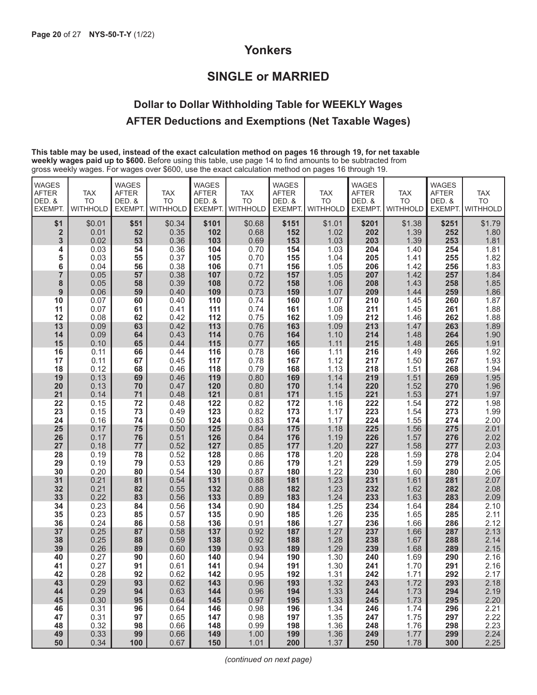## **Yonkers**

## **SINGLE or MARRIED**

## **Dollar to Dollar Withholding Table for WEEKLY Wages AFTER Deductions and Exemptions (Net Taxable Wages)**

**This table may be used, instead of the exact calculation method on pages 16 through 19, for net taxable weekly wages paid up to \$600.** Before using this table, use page 14 to find amounts to be subtracted from gross weekly wages. For wages over \$600, use the exact calculation method on pages 16 through 19.

| <b>WAGES</b><br><b>AFTER</b><br>DED. &<br><b>EXEMPT.</b> | <b>TAX</b><br><b>TO</b><br><b>WITHHOLD</b> | <b>WAGES</b><br><b>AFTER</b><br>DED. &<br>EXEMPT. | <b>TAX</b><br><b>TO</b><br><b>WITHHOLD</b> | <b>WAGES</b><br><b>AFTER</b><br>DED. &<br><b>EXEMPT</b> | <b>TAX</b><br><b>TO</b><br><b>WITHHOLD</b> | <b>WAGES</b><br><b>AFTER</b><br>DED. &<br>EXEMPT. | <b>TAX</b><br><b>TO</b><br><b>WITHHOLD</b> | <b>WAGES</b><br><b>AFTER</b><br>DED. &<br>EXEMPT. | <b>TAX</b><br><b>TO</b><br>WITHHOLD | <b>WAGES</b><br><b>AFTER</b><br>DED. &<br>EXEMPT. | <b>TAX</b><br><b>TO</b><br><b>WITHHOLD</b> |
|----------------------------------------------------------|--------------------------------------------|---------------------------------------------------|--------------------------------------------|---------------------------------------------------------|--------------------------------------------|---------------------------------------------------|--------------------------------------------|---------------------------------------------------|-------------------------------------|---------------------------------------------------|--------------------------------------------|
| \$1                                                      | \$0.01                                     | \$51                                              | \$0.34                                     | \$101                                                   | \$0.68                                     | \$151                                             | \$1.01                                     | \$201                                             | \$1.38                              | \$251                                             | \$1.79                                     |
| $\overline{\mathbf{2}}$<br>3                             | 0.01<br>0.02                               | 52<br>53                                          | 0.35<br>0.36                               | 102<br>103                                              | 0.68<br>0.69                               | 152<br>153                                        | 1.02<br>1.03                               | 202<br>203                                        | 1.39<br>1.39                        | 252<br>253                                        | 1.80<br>1.81                               |
| 4                                                        | 0.03                                       | 54                                                | 0.36                                       | 104                                                     | 0.70                                       | 154                                               | 1.03                                       | 204                                               | 1.40                                | 254                                               | 1.81                                       |
| 5                                                        | 0.03                                       | 55                                                | 0.37                                       | 105                                                     | 0.70                                       | 155                                               | 1.04                                       | 205                                               | 1.41                                | 255                                               | 1.82                                       |
| 6                                                        | 0.04                                       | 56                                                | 0.38                                       | 106                                                     | 0.71                                       | 156                                               | 1.05                                       | 206                                               | 1.42                                | 256                                               | 1.83                                       |
| $\overline{7}$                                           | 0.05                                       | 57                                                | 0.38                                       | 107                                                     | 0.72                                       | 157                                               | 1.05                                       | 207                                               | 1.42                                | 257                                               | 1.84                                       |
| 8                                                        | 0.05                                       | 58                                                | 0.39                                       | 108                                                     | 0.72                                       | 158                                               | 1.06                                       | 208                                               | 1.43                                | 258                                               | 1.85                                       |
| 9                                                        | 0.06                                       | 59                                                | 0.40                                       | 109                                                     | 0.73                                       | 159                                               | 1.07                                       | 209                                               | 1.44                                | 259                                               | 1.86                                       |
| 10<br>11                                                 | 0.07<br>0.07                               | 60<br>61                                          | 0.40<br>0.41                               | 110<br>111                                              | 0.74<br>0.74                               | 160<br>161                                        | 1.07<br>1.08                               | 210<br>211                                        | 1.45<br>1.45                        | 260<br>261                                        | 1.87<br>1.88                               |
| 12                                                       | 0.08                                       | 62                                                | 0.42                                       | 112                                                     | 0.75                                       | 162                                               | 1.09                                       | 212                                               | 1.46                                | 262                                               | 1.88                                       |
| 13                                                       | 0.09                                       | 63                                                | 0.42                                       | 113                                                     | 0.76                                       | 163                                               | 1.09                                       | 213                                               | 1.47                                | 263                                               | 1.89                                       |
| 14                                                       | 0.09                                       | 64                                                | 0.43                                       | 114                                                     | 0.76                                       | 164                                               | 1.10                                       | 214                                               | 1.48                                | 264                                               | 1.90                                       |
| 15                                                       | 0.10                                       | 65                                                | 0.44                                       | 115                                                     | 0.77                                       | 165                                               | 1.11                                       | 215                                               | 1.48                                | 265                                               | 1.91                                       |
| 16                                                       | 0.11                                       | 66                                                | 0.44                                       | 116                                                     | 0.78                                       | 166                                               | 1.11                                       | 216                                               | 1.49                                | 266                                               | 1.92                                       |
| 17                                                       | 0.11                                       | 67                                                | 0.45                                       | 117                                                     | 0.78                                       | 167                                               | 1.12                                       | 217                                               | 1.50                                | 267                                               | 1.93                                       |
| 18                                                       | 0.12                                       | 68                                                | 0.46                                       | 118                                                     | 0.79                                       | 168                                               | 1.13                                       | 218                                               | 1.51                                | 268                                               | 1.94                                       |
| 19<br>20                                                 | 0.13<br>0.13                               | 69<br>70                                          | 0.46<br>0.47                               | 119<br>120                                              | 0.80<br>0.80                               | 169<br>170                                        | 1.14<br>1.14                               | 219<br>220                                        | 1.51<br>1.52                        | 269<br>270                                        | 1.95<br>1.96                               |
| 21                                                       | 0.14                                       | 71                                                | 0.48                                       | 121                                                     | 0.81                                       | 171                                               | 1.15                                       | 221                                               | 1.53                                | 271                                               | 1.97                                       |
| 22                                                       | 0.15                                       | 72                                                | 0.48                                       | 122                                                     | 0.82                                       | 172                                               | 1.16                                       | 222                                               | 1.54                                | 272                                               | 1.98                                       |
| 23                                                       | 0.15                                       | 73                                                | 0.49                                       | 123                                                     |                                            | 173                                               | 1.17                                       | 223                                               | 1.54                                | 273                                               | 1.99                                       |
| 24                                                       | 0.16                                       | 74                                                | 0.50                                       | 124                                                     | $0.82$<br>$0.83$                           | 174                                               | 1.17                                       | 224                                               | 1.55                                | 274                                               | 2.00                                       |
| 25                                                       | 0.17                                       | 75                                                | 0.50                                       | 125                                                     | 0.84                                       | 175                                               | 1.18                                       | 225                                               | 1.56                                | 275                                               | 2.01                                       |
| 26                                                       | 0.17                                       | 76                                                | 0.51                                       | 126                                                     | 0.84                                       | 176                                               | 1.19                                       | 226                                               | 1.57                                | 276                                               | 2.02                                       |
| 27                                                       | 0.18                                       | 77                                                | 0.52                                       | 127                                                     | 0.85                                       | 177                                               | 1.20                                       | 227                                               | 1.58                                | 277                                               | 2.03                                       |
| 28                                                       | 0.19                                       | 78                                                | 0.52                                       | 128                                                     | 0.86                                       | 178                                               | 1.20                                       | 228                                               | 1.59                                | 278                                               | 2.04                                       |
| 29<br>30                                                 | 0.19<br>0.20                               | 79<br>80                                          | 0.53<br>0.54                               | 129<br>130                                              | 0.86<br>0.87                               | 179<br>180                                        | 1.21<br>1.22                               | 229<br>230                                        | 1.59<br>1.60                        | 279<br>280                                        | 2.05<br>2.06                               |
| 31                                                       | 0.21                                       | 81                                                | 0.54                                       | 131                                                     | 0.88                                       | 181                                               | 1.23                                       | 231                                               | 1.61                                | 281                                               | 2.07                                       |
| 32                                                       | 0.21                                       | 82                                                | 0.55                                       | 132                                                     | 0.88                                       | 182                                               | 1.23                                       | 232                                               | 1.62                                | 282                                               | 2.08                                       |
| 33                                                       | 0.22                                       | 83                                                | 0.56                                       | 133                                                     | 0.89                                       | 183                                               |                                            | 233                                               | 1.63                                | 283                                               | 2.09                                       |
| 34                                                       | 0.23                                       | 84                                                | 0.56                                       | 134                                                     | 0.90                                       | 184                                               | $1.24$<br>$1.25$                           | 234                                               | 1.64                                | 284                                               | 2.10                                       |
| 35                                                       | 0.23                                       | 85                                                | 0.57                                       | 135                                                     | 0.90                                       | 185                                               | 1.26                                       | 235                                               | 1.65                                | 285                                               | 2.11                                       |
| 36                                                       | 0.24                                       | 86                                                | 0.58                                       | 136                                                     | 0.91                                       | 186                                               | 1.27                                       | 236                                               | 1.66                                | 286                                               | 2.12                                       |
| 37                                                       | 0.25                                       | 87                                                | 0.58                                       | 137                                                     | 0.92                                       | 187                                               | 1.27                                       | 237                                               | 1.66                                | 287                                               | 2.13                                       |
| 38<br>39                                                 | 0.25<br>0.26                               | 88<br>89                                          | 0.59<br>0.60                               | 138<br>139                                              | 0.92<br>0.93                               | 188<br>189                                        | 1.28<br>1.29                               | 238<br>239                                        | 1.67<br>1.68                        | 288<br>289                                        | 2.14<br>2.15                               |
| 40                                                       | 0.27                                       | 90                                                | 0.60                                       | 140                                                     | 0.94                                       | 190                                               | 1.30                                       | 240                                               | 1.69                                | 290                                               | 2.16                                       |
| 41                                                       | 0.27                                       | 91                                                | 0.61                                       | 141                                                     | 0.94                                       | 191                                               | 1.30                                       | 241                                               | 1.70                                | 291                                               | 2.16                                       |
| 42                                                       | 0.28                                       | 92                                                | 0.62                                       | 142                                                     | 0.95                                       | 192                                               | 1.31                                       | 242                                               | 1.71                                | 292                                               | 2.17                                       |
| 43                                                       | 0.29                                       | 93                                                | 0.62                                       | 143                                                     | 0.96                                       | 193                                               | 1.32                                       | 243                                               | 1.72                                | 293                                               | 2.18                                       |
| 44                                                       | 0.29                                       | 94                                                | 0.63                                       | 144                                                     | 0.96                                       | 194                                               | 1.33                                       | 244                                               | 1.73                                | 294                                               | 2.19                                       |
| 45                                                       | 0.30                                       | 95                                                | 0.64                                       | 145                                                     | 0.97                                       | 195                                               | 1.33                                       | 245                                               | 1.73                                | 295                                               | 2.20                                       |
| 46                                                       | 0.31                                       | 96                                                | 0.64                                       | 146                                                     | 0.98                                       | 196                                               | 1.34                                       | 246                                               | 1.74                                | 296                                               | 2.21                                       |
| 47                                                       | 0.31                                       | 97                                                | 0.65                                       | 147                                                     | 0.98                                       | 197                                               | 1.35                                       | 247                                               | 1.75                                | 297                                               | 2.22                                       |
| 48<br>49                                                 | 0.32<br>0.33                               | 98<br>99                                          | 0.66<br>0.66                               | 148<br>149                                              | 0.99<br>1.00                               | 198<br>199                                        | 1.36<br>1.36                               | 248<br>249                                        | 1.76<br>1.77                        | 298<br>299                                        | 2.23<br>2.24                               |
| 50                                                       | 0.34                                       | 100                                               | 0.67                                       | 150                                                     | 1.01                                       | 200                                               | 1.37                                       | 250                                               | 1.78                                | 300                                               | 2.25                                       |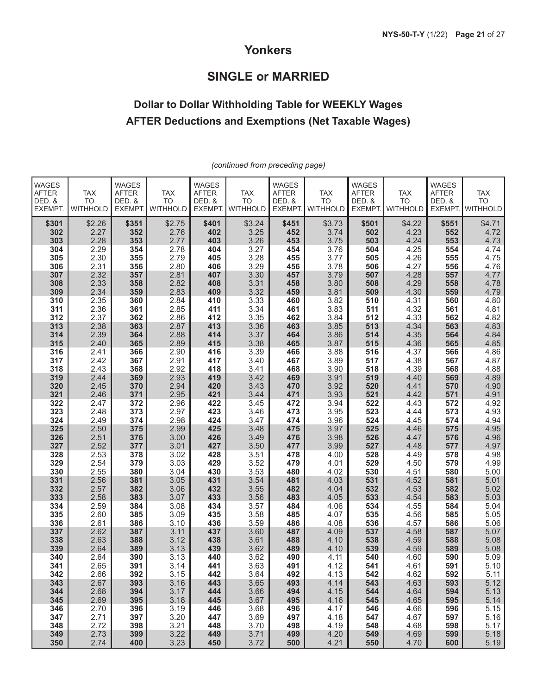## **Yonkers**

## **SINGLE or MARRIED**

## **Dollar to Dollar Withholding Table for WEEKLY Wages AFTER Deductions and Exemptions (Net Taxable Wages)**

| <b>WAGES</b><br><b>AFTER</b><br>DED. &<br>EXEMPT. | <b>TAX</b><br><b>TO</b><br><b>WITHHOLD</b> | <b>WAGES</b><br><b>AFTER</b><br>DED. &<br>EXEMPT. | <b>TAX</b><br><b>TO</b><br><b>WITHHOLD</b> | <b>WAGES</b><br><b>AFTER</b><br>DED. &<br><b>EXEMPT.</b> | <b>TAX</b><br><b>TO</b><br><b>WITHHOLD</b> | <b>WAGES</b><br><b>AFTER</b><br>DED. &<br>EXEMPT. | <b>TAX</b><br><b>TO</b><br><b>WITHHOLD</b> | WAGES<br><b>AFTER</b><br>DED. &<br>EXEMPT. | <b>TAX</b><br><b>TO</b><br><b>WITHHOLD</b> | <b>WAGES</b><br><b>AFTER</b><br>DED. &<br><b>EXEMPT.</b> | <b>TAX</b><br><b>TO</b><br><b>WITHHOLD</b> |
|---------------------------------------------------|--------------------------------------------|---------------------------------------------------|--------------------------------------------|----------------------------------------------------------|--------------------------------------------|---------------------------------------------------|--------------------------------------------|--------------------------------------------|--------------------------------------------|----------------------------------------------------------|--------------------------------------------|
| \$301<br>302<br>303                               | \$2.26<br>2.27<br>2.28                     | \$351<br>352<br>353                               | \$2.75<br>2.76<br>2.77                     | \$401<br>402<br>403                                      | \$3.24<br>3.25<br>3.26                     | \$451<br>452<br>453                               | \$3.73<br>3.74<br>3.75                     | \$501<br>502<br>503                        | \$4.22<br>4.23<br>4.24                     | \$551<br>552<br>553                                      | \$4.71<br>4.72<br>4.73                     |
| 304                                               | 2.29                                       | 354                                               | 2.78                                       | 404                                                      | 3.27                                       | 454                                               | 3.76                                       | 504                                        | 4.25                                       | 554                                                      | 4.74                                       |
| 305                                               | 2.30                                       | 355                                               | 2.79                                       | 405                                                      | 3.28                                       | 455                                               | 3.77                                       | 505                                        | 4.26                                       | 555                                                      | 4.75                                       |
| 306                                               | 2.31                                       | 356                                               | 2.80                                       | 406                                                      | 3.29                                       | 456                                               | 3.78                                       | 506                                        | 4.27                                       | 556                                                      | 4.76                                       |
| 307<br>308                                        | 2.32<br>2.33                               | 357<br>358                                        | 2.81<br>2.82                               | 407<br>408                                               | 3.30<br>3.31                               | 457<br>458                                        | 3.79<br>3.80                               | 507<br>508                                 | 4.28<br>4.29                               | 557<br>558                                               | 4.77<br>4.78                               |
| 309                                               | 2.34                                       | 359                                               | 2.83                                       | 409                                                      | 3.32                                       | 459                                               | 3.81                                       | 509                                        | 4.30                                       | 559                                                      | 4.79                                       |
| 310                                               | 2.35                                       | 360                                               | 2.84                                       | 410                                                      | 3.33                                       | 460                                               | 3.82                                       | 510                                        | 4.31                                       | 560                                                      | 4.80                                       |
| 311                                               | 2.36                                       | 361                                               | 2.85                                       | 411                                                      | 3.34                                       | 461                                               | 3.83                                       | 511                                        | 4.32                                       | 561                                                      | 4.81                                       |
| 312<br>313                                        | 2.37<br>2.38                               | 362<br>363                                        | 2.86<br>2.87                               | 412<br>413                                               | 3.35<br>3.36                               | 462<br>463                                        | 3.84<br>3.85                               | 512<br>513                                 | 4.33<br>4.34                               | 562<br>563                                               | 4.82<br>4.83                               |
| 314                                               | 2.39                                       | 364                                               | 2.88                                       | 414                                                      | 3.37                                       | 464                                               | 3.86                                       | 514                                        | 4.35                                       | 564                                                      | 4.84                                       |
| 315                                               | 2.40                                       | 365                                               | 2.89                                       | 415                                                      | 3.38                                       | 465                                               | 3.87                                       | 515                                        | 4.36                                       | 565                                                      | 4.85                                       |
| 316                                               | 2.41                                       | 366                                               | 2.90                                       | 416                                                      | 3.39                                       | 466                                               | 3.88                                       | 516                                        | 4.37                                       | 566                                                      | 4.86                                       |
| 317                                               | 2.42                                       | 367                                               | 2.91                                       | 417                                                      | 3.40                                       | 467                                               | 3.89                                       | 517                                        | 4.38                                       | 567                                                      | 4.87                                       |
| 318<br>319                                        | 2.43<br>2.44                               | 368<br>369                                        | 2.92<br>2.93                               | 418<br>419                                               | $\frac{3.41}{3.42}$                        | 468<br>469                                        | 3.90<br>3.91                               | 518<br>519                                 | 4.39<br>4.40                               | 568<br>569                                               | 4.88<br>4.89                               |
| 320                                               | 2.45                                       | 370                                               | 2.94                                       | 420                                                      | 3.43                                       | 470                                               | 3.92                                       | 520                                        | 4.41                                       | 570                                                      | 4.90                                       |
| 321                                               | 2.46                                       | 371                                               | 2.95                                       | 421                                                      | 3.44                                       | 471                                               | 3.93                                       | 521                                        | 4.42                                       | 571                                                      | 4.91                                       |
| 322                                               | 2.47                                       | 372                                               | 2.96                                       | 422                                                      | 3.45                                       | 472                                               | 3.94                                       | 522                                        | 4.43                                       | 572                                                      | 4.92                                       |
| 323                                               | 2.48                                       | 373                                               | 2.97                                       | 423                                                      | 3.46                                       | 473                                               | 3.95                                       | 523                                        | 4.44                                       | 573                                                      | 4.93                                       |
| 324<br>325                                        | 2.49<br>2.50                               | 374<br>375                                        | 2.98<br>2.99                               | 424<br>425                                               | 3.47<br>3.48                               | 474<br>475                                        | 3.96<br>3.97                               | 524<br>525                                 | 4.45<br>4.46                               | 574<br>575                                               | 4.94<br>4.95                               |
| 326                                               | 2.51                                       | 376                                               | 3.00                                       | 426                                                      | 3.49                                       | 476                                               | 3.98                                       | 526                                        | 4.47                                       | 576                                                      | 4.96                                       |
| 327                                               | 2.52                                       | 377                                               | 3.01                                       | 427                                                      | 3.50                                       | 477                                               | 3.99                                       | 527                                        | 4.48                                       | 577                                                      | 4.97                                       |
| 328                                               | 2.53                                       | 378                                               | 3.02                                       | 428                                                      | 3.51                                       | 478                                               | 4.00                                       | 528                                        | 4.49                                       | 578                                                      | 4.98                                       |
| 329                                               | 2.54                                       | 379                                               | 3.03                                       | 429                                                      | 3.52                                       | 479                                               | 4.01                                       | 529                                        | 4.50                                       | 579                                                      | 4.99                                       |
| 330<br>331                                        | 2.55<br>2.56                               | 380<br>381                                        | 3.04<br>3.05                               | 430<br>431                                               | 3.53<br>3.54                               | 480<br>481                                        | 4.02<br>4.03                               | 530<br>531                                 | 4.51<br>4.52                               | 580<br>581                                               | 5.00<br>5.01                               |
| 332                                               | 2.57                                       | 382                                               | 3.06                                       | 432                                                      | 3.55                                       | 482                                               | 4.04                                       | 532                                        | 4.53                                       | 582                                                      | 5.02                                       |
| 333                                               | 2.58                                       | 383                                               | 3.07                                       | 433                                                      | 3.56                                       | 483                                               | 4.05                                       | 533                                        | 4.54                                       | 583                                                      | 5.03                                       |
| 334                                               | 2.59                                       | 384                                               | 3.08                                       | 434                                                      | 3.57                                       | 484                                               | 4.06                                       | 534                                        | 4.55                                       | 584                                                      | 5.04                                       |
| 335                                               | 2.60                                       | 385                                               | 3.09                                       | 435                                                      | 3.58                                       | 485                                               | 4.07                                       | 535                                        | 4.56                                       | 585                                                      | 5.05                                       |
| 336<br>337                                        | 2.61<br>2.62                               | 386<br>387                                        | 3.10<br>3.11                               | 436<br>437                                               | 3.59<br>3.60                               | 486<br>487                                        | 4.08<br>4.09                               | 536<br>537                                 | 4.57<br>4.58                               | 586<br>587                                               | 5.06<br>5.07                               |
| 338                                               | 2.63                                       | 388                                               | 3.12                                       | 438                                                      | 3.61                                       | 488                                               | 4.10                                       | 538                                        | 4.59                                       | 588                                                      | 5.08                                       |
| 339                                               | 2.64                                       | 389                                               | 3.13                                       | 439                                                      | 3.62                                       | 489                                               | 4.10                                       | 539                                        | 4.59                                       | 589                                                      | 5.08                                       |
| 340                                               | 2.64                                       | 390                                               | 3.13                                       | 440                                                      | 3.62                                       | 490                                               | 4.11                                       | 540                                        | 4.60                                       | 590                                                      | 5.09                                       |
| 341                                               | 2.65                                       | 391                                               | 3.14                                       | 441                                                      | 3.63                                       | 491                                               | 4.12                                       | 541                                        | 4.61                                       | 591                                                      | 5.10                                       |
| 342<br>343                                        | 2.66<br>2.67                               | 392<br>393                                        | 3.15<br>3.16                               | 442<br>443                                               | 3.64<br>3.65                               | 492<br>493                                        | 4.13<br>4.14                               | 542<br>543                                 | 4.62<br>4.63                               | 592<br>593                                               | 5.11                                       |
| 344                                               | 2.68                                       | 394                                               | 3.17                                       | 444                                                      | 3.66                                       | 494                                               | 4.15                                       | 544                                        | 4.64                                       | 594                                                      | 5.12<br>5.13                               |
| 345                                               | 2.69                                       | 395                                               | 3.18                                       | 445                                                      | 3.67                                       | 495                                               | 4.16                                       | 545                                        | 4.65                                       | 595                                                      | 5.14                                       |
| 346                                               | 2.70                                       | 396                                               | 3.19                                       | 446                                                      | 3.68                                       | 496                                               | 4.17                                       | 546                                        | 4.66                                       | 596                                                      | 5.15                                       |
| 347                                               | 2.71                                       | 397                                               | 3.20                                       | 447                                                      | 3.69                                       | 497                                               | 4.18                                       | 547                                        | 4.67                                       | 597                                                      | 5.16                                       |
| 348<br>349                                        | 2.72<br>2.73                               | 398<br>399                                        | 3.21<br>3.22                               | 448<br>449                                               | 3.70<br>3.71                               | 498<br>499                                        | 4.19<br>4.20                               | 548<br>549                                 | 4.68<br>4.69                               | 598<br>599                                               | 5.17<br>5.18                               |
| 350                                               | 2.74                                       | 400                                               | 3.23                                       | 450                                                      | 3.72                                       | 500                                               | 4.21                                       | 550                                        | 4.70                                       | 600                                                      | 5.19                                       |

*(continued from preceding page)*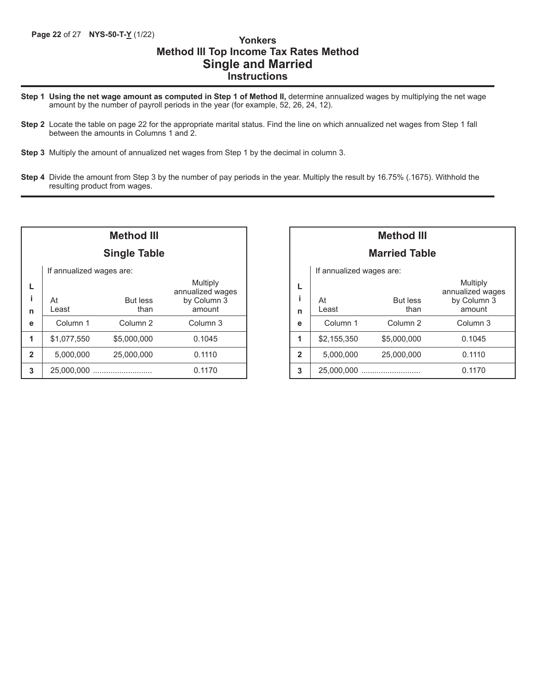## **Method III Top Income Tax Rates Method Single and Married Instructions**

- **Step 1 Using the net wage amount as computed in Step 1 of Method II,** determine annualized wages by multiplying the net wage amount by the number of payroll periods in the year (for example, 52, 26, 24, 12).
- **Step 2** Locate the table on page 22 for the appropriate marital status. Find the line on which annualized net wages from Step 1 fall between the amounts in Columns 1 and 2.
- **Step 3** Multiply the amount of annualized net wages from Step 1 by the decimal in column 3.
- **Step 4** Divide the amount from Step 3 by the number of pay periods in the year. Multiply the result by 16.75% (.1675). Withhold the resulting product from wages.

|              |                          | Method III<br><b>Single Table</b> |                                 |  |  |  |
|--------------|--------------------------|-----------------------------------|---------------------------------|--|--|--|
|              | If annualized wages are: |                                   |                                 |  |  |  |
|              |                          |                                   | Multiply                        |  |  |  |
| i.           | At                       | <b>But less</b>                   | annualized wages<br>by Column 3 |  |  |  |
| n            | I east                   | than                              | amount                          |  |  |  |
| е            | Column 1                 | Column 2                          | Column 3                        |  |  |  |
| 1            | \$1,077,550              | \$5,000,000                       | 0.1045                          |  |  |  |
| $\mathbf{2}$ | 5,000,000                | 25,000,000                        | 0.1110                          |  |  |  |
| 3            | 25,000,000               |                                   | 0.1170                          |  |  |  |

|                | <b>Method III</b>        |                     |                              |  |  |  |  |  |
|----------------|--------------------------|---------------------|------------------------------|--|--|--|--|--|
|                | <b>Married Table</b>     |                     |                              |  |  |  |  |  |
|                | If annualized wages are: |                     |                              |  |  |  |  |  |
|                |                          |                     | Multiply<br>annualized wages |  |  |  |  |  |
| i              | At                       | <b>But less</b>     | by Column 3                  |  |  |  |  |  |
| n              | Least                    | than                | amount                       |  |  |  |  |  |
| e              | Column <sub>1</sub>      | Column <sub>2</sub> | Column 3                     |  |  |  |  |  |
| 1              | \$2,155,350              | \$5,000,000         | 0.1045                       |  |  |  |  |  |
| $\overline{2}$ | 5,000,000                | 25,000,000          | 0.1110                       |  |  |  |  |  |
| 3              | 25,000,000               |                     | 0.1170                       |  |  |  |  |  |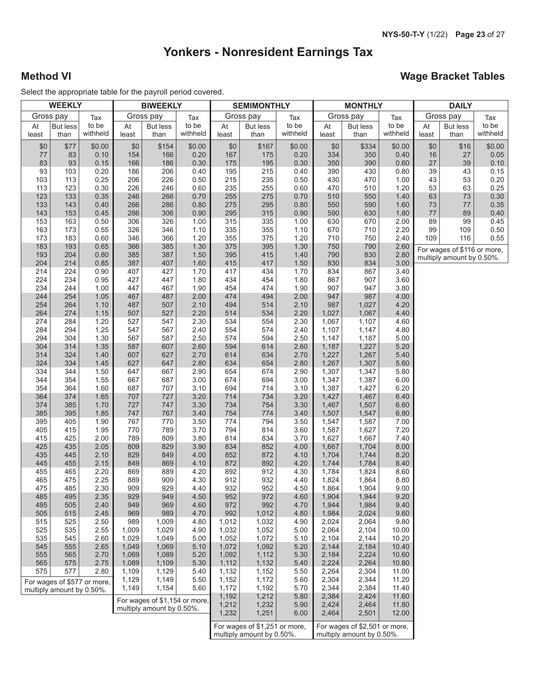## **Yonkers - Nonresident Earnings Tax**

## **Method VI Wage Bracket Tables**

Select the appropriate table for the payroll period covered.

|             | <b>WEEKLY</b>             |                             |                | <b>BIWEEKLY</b>               |                   | <b>SEMIMONTHLY</b> |                               | <b>MONTHLY</b>    |                | <b>DAILY</b>                  |                   |             |                                                          |                   |
|-------------|---------------------------|-----------------------------|----------------|-------------------------------|-------------------|--------------------|-------------------------------|-------------------|----------------|-------------------------------|-------------------|-------------|----------------------------------------------------------|-------------------|
| Gross pay   |                           | Tax                         |                | Gross pay                     | Tax               |                    | Gross pay                     | Tax               |                | Gross pay                     | Tax               |             | Gross pay                                                | Tax               |
| At<br>least | <b>But less</b><br>than   | to be<br>withheld           | At<br>least    | <b>But less</b><br>than       | to be<br>withheld | At<br>least        | <b>But less</b><br>than       | to be<br>withheld | At<br>least    | <b>But less</b><br>than       | to be<br>withheld | At<br>least | <b>But less</b><br>than                                  | to be<br>withheld |
| \$0         | \$77                      | \$0.00                      | \$0            | \$154                         | \$0.00            | \$0                | \$167                         | \$0.00            | \$0            | \$334                         | \$0.00            | \$0         | \$16                                                     | \$0.00            |
| 77          | 83                        | 0.10                        | 154            | 166                           | 0.20              | 167                | 175                           | 0.20              | 334            | 350                           | 0.40              | 16          | 27                                                       | 0.05              |
| 83          | 93                        | 0.15                        | 166            | 186                           | 0.30              | 175                | 195                           | 0.30              | 350            | 390                           | 0.60              | 27          | 39                                                       | 0.10              |
| 93          | 103                       | 0.20                        | 186            | 206                           | 0.40              | 195                | 215                           | 0.40              | 390            | 430                           | 0.80              | 39          | 43                                                       | 0.15              |
| 103<br>113  | 113<br>123                | 0.25<br>0.30                | 206<br>226     | 226<br>246                    | 0.50<br>0.60      | 215<br>235         | 235<br>255                    | 0.50<br>0.60      | 430<br>470     | 470<br>510                    | 1.00<br>1.20      | 43<br>53    | 53<br>63                                                 | 0.20<br>0.25      |
| 123         | 133                       | 0.35                        | 246            | 266                           | 0.70              | 255                | 275                           | 0.70              | 510            | 550                           | 1.40              | 63          | 73                                                       | 0.30              |
| 133         | 143                       | 0.40                        | 266            | 286                           | 0.80              | 275                | 295                           | 0.80              | 550            | 590                           | 1.60              | 73          | 77                                                       | 0.35              |
| 143         | 153                       | 0.45                        | 286            | 306                           | 0.90              | 295                | 315                           | 0.90              | 590            | 630                           | 1.80              | 77          | 89                                                       | 0.40              |
| 153         | 163                       | 0.50                        | 306            | 326                           | 1.00              | 315                | 335                           | 1.00              | 630            | 670                           | 2.00              | 89          | 99                                                       | 0.45              |
| 163         | 173                       | 0.55                        | 326            | 346                           | 1.10              | 335                | 355                           | 1.10              | 670            | 710                           | 2.20              | 99          | 109                                                      | 0.50              |
| 173<br>183  | 183<br>193                | 0.60<br>0.65                | 346<br>366     | 366<br>385                    | 1.20<br>1.30      | 355<br>375         | 375<br>395                    | 1.20<br>1.30      | 710<br>750     | 750<br>790                    | 2.40<br>2.60      | 109         | 116                                                      | 0.55              |
| 193         | 204                       | 0.80                        | 385            | 387                           | 1.50              | 395                | 415                           | 1.40              | 790            | 830                           | 2.80              |             | For wages of \$116 or more,<br>multiply amount by 0.50%. |                   |
| 204         | 214                       | 0.85                        | 387            | 407                           | 1.60              | 415                | 417                           | 1.50              | 830            | 834                           | 3.00              |             |                                                          |                   |
| 214         | 224                       | 0.90                        | 407            | 427                           | 1.70              | 417                | 434                           | 1.70              | 834            | 867                           | 3.40              |             |                                                          |                   |
| 224         | 234                       | 0.95                        | 427            | 447                           | 1.80              | 434                | 454                           | 1.80              | 867            | 907                           | 3.60              |             |                                                          |                   |
| 234<br>244  | 244<br>254                | 1.00<br>1.05                | 447<br>467     | 467<br>487                    | 1.90<br>2.00      | 454<br>474         | 474<br>494                    | 1.90<br>2.00      | 907<br>947     | 947<br>987                    | 3.80<br>4.00      |             |                                                          |                   |
| 254         | 264                       | 1.10                        | 487            | 507                           | 2.10              | 494                | 514                           | 2.10              | 987            | 1,027                         | 4.20              |             |                                                          |                   |
| 264         | 274                       | 1.15                        | 507            | 527                           | 2.20              | 514                | 534                           | 2.20              | 1,027          | 1,067                         | 4.40              |             |                                                          |                   |
| 274         | 284                       | 1.20                        | 527            | 547                           | 2.30              | 534                | 554                           | 2.30              | 1,067          | 1,107                         | 4.60              |             |                                                          |                   |
| 284         | 294                       | 1.25                        | 547            | 567                           | 2.40              | 554                | 574                           | 2.40              | 1,107          | 1,147                         | 4.80              |             |                                                          |                   |
| 294         | 304                       | 1.30                        | 567            | 587                           | 2.50              | 574                | 594                           | 2.50              | 1,147          | 1,187                         | 5.00              |             |                                                          |                   |
| 304<br>314  | 314<br>324                | 1.35<br>1.40                | 587<br>607     | 607<br>627                    | 2.60<br>2.70      | 594<br>614         | 614<br>634                    | 2.60<br>2.70      | 1,187<br>1,227 | 1,227<br>1,267                | 5.20<br>5.40      |             |                                                          |                   |
| 324         | 334                       | 1.45                        | 627            | 647                           | 2.80              | 634                | 654                           | 2.80              | 1,267          | 1,307                         | 5.60              |             |                                                          |                   |
| 334         | 344                       | 1.50                        | 647            | 667                           | 2.90              | 654                | 674                           | 2.90              | 1,307          | 1,347                         | 5.80              |             |                                                          |                   |
| 344         | 354                       | 1.55                        | 667            | 687                           | 3.00              | 674                | 694                           | 3.00              | 1,347          | 1,387                         | 6.00              |             |                                                          |                   |
| 354         | 364                       | 1.60                        | 687            | 707                           | 3.10              | 694                | 714                           | 3.10              | 1,387          | 1,427                         | 6.20              |             |                                                          |                   |
| 364         | 374                       | 1.65                        | 707            | 727                           | 3.20              | 714                | 734                           | 3.20              | 1,427          | 1,467                         | 6.40              |             |                                                          |                   |
| 374<br>385  | 385<br>395                | 1.70<br>1.85                | 727<br>747     | 747<br>767                    | 3.30<br>3.40      | 734<br>754         | 754<br>774                    | 3.30<br>3.40      | 1,467<br>1,507 | 1,507<br>1,547                | 6.60<br>6.80      |             |                                                          |                   |
| 395         | 405                       | 1.90                        | 767            | 770                           | 3.50              | 774                | 794                           | 3.50              | 1,547          | 1,587                         | 7.00              |             |                                                          |                   |
| 405         | 415                       | 1.95                        | 770            | 789                           | 3.70              | 794                | 814                           | 3.60              | 1,587          | 1,627                         | 7.20              |             |                                                          |                   |
| 415         | 425                       | 2.00                        | 789            | 809                           | 3.80              | 814                | 834                           | 3.70              | 1,627          | 1,667                         | 7.40              |             |                                                          |                   |
| 425         | 435                       | 2.05                        | 809            | 829                           | 3.90              | 834                | 852                           | 4.00              | 1,667          | 1,704                         | 8.00              |             |                                                          |                   |
| 435<br>445  | 445<br>455                | 2.10<br>2.15                | 829<br>849     | 849<br>869                    | 4.00<br>4.10      | 852<br>872         | 872<br>892                    | 4.10<br>4.20      | 1,704<br>1,744 | 1,744<br>1,784                | 8.20<br>8.40      |             |                                                          |                   |
| 455         | 465                       | 2.20                        | 869            | 889                           | 4.20              | 892                | 912                           | 4.30              | 1,784          | 1,824                         | 8.60              |             |                                                          |                   |
| 465         | 475                       | 2.25                        | 889            | 909                           | 4.30              | 912                | 932                           | 4.40              | 1,824          | 1,864                         | 8.80              |             |                                                          |                   |
| 475         | 485                       | 2.30                        | 909            | 929                           | 4.40              | 932                | 952                           | 4.50              | 1,864          | 1,904                         | 9.00              |             |                                                          |                   |
| 485         | 495                       | 2.35                        | 929            | 949                           | 4.50              | 952                | 972                           | 4.60              | 1,904          | 1,944                         | 9.20              |             |                                                          |                   |
| 495         | 505                       | 2.40                        | 949            | 969                           | 4.60              | 972                | 992                           | 4.70              | 1,944          | 1,984                         | 9.40              |             |                                                          |                   |
| 505<br>515  | 515<br>525                | 2.45<br>2.50                | 969<br>989     | 989<br>1,009                  | 4.70<br>4.80      | 992<br>1,012       | 1,012<br>1,032                | 4.80<br>4.90      | 1,984<br>2,024 | 2,024<br>2,064                | 9.60<br>9.80      |             |                                                          |                   |
| 525         | 535                       | 2.55                        | 1,009          | 1,029                         | 4.90              | 1,032              | 1,052                         | 5.00              | 2,064          | 2,104                         | 10.00             |             |                                                          |                   |
| 535         | 545                       | 2.60                        | 1,029          | 1,049                         | 5.00              | 1,052              | 1,072                         | 5.10              | 2,104          | 2,144                         | 10.20             |             |                                                          |                   |
| 545         | 555                       | 2.65                        | 1,049          | 1,069                         | 5.10              | 1,072              | 1,092                         | 5.20              | 2,144          | 2,184                         | 10.40             |             |                                                          |                   |
| 555         | 565                       | 2.70                        | 1,069          | 1,089                         | 5.20              | 1,092              | 1,112                         | 5.30              | 2,184          | 2,224                         | 10.60             |             |                                                          |                   |
| 565         | 575                       | 2.75                        | 1,089          | 1,109                         | 5.30              | 1,112              | 1,132                         | 5.40              | 2,224          | 2,264                         | 10.80             |             |                                                          |                   |
| 575         | 577                       | 2.80                        | 1,109<br>1,129 | 1,129<br>1,149                | 5.40<br>5.50      | 1,132<br>1,152     | 1,152<br>1,172                | 5.50<br>5.60      | 2,264<br>2,304 | 2,304<br>2,344                | 11.00<br>11.20    |             |                                                          |                   |
|             | multiply amount by 0.50%. | For wages of \$577 or more, | 1,149          | 1,154                         | 5.60              | 1,172              | 1,192                         | 5.70              | 2,344          | 2,384                         | 11.40             |             |                                                          |                   |
|             |                           |                             |                | For wages of \$1,154 or more, |                   | 1,192              | 1,212                         | 5.80              | 2,384          | 2,424                         | 11.60             |             |                                                          |                   |
|             |                           |                             |                | multiply amount by 0.50%.     |                   | 1,212              | 1,232                         | 5.90              | 2,424          | 2,464                         | 11.80             |             |                                                          |                   |
|             |                           |                             |                |                               |                   | 1,232              | 1,251                         | 6.00              | 2,464          | 2,501                         | 12.00             |             |                                                          |                   |
|             |                           |                             |                |                               |                   |                    | For wages of \$1,251 or more, |                   |                | For wages of \$2,501 or more, |                   |             |                                                          |                   |
|             |                           |                             |                |                               |                   |                    | multiply amount by 0.50%.     |                   |                | multiply amount by 0.50%.     |                   |             |                                                          |                   |
|             |                           |                             |                |                               |                   |                    |                               |                   |                |                               |                   |             |                                                          |                   |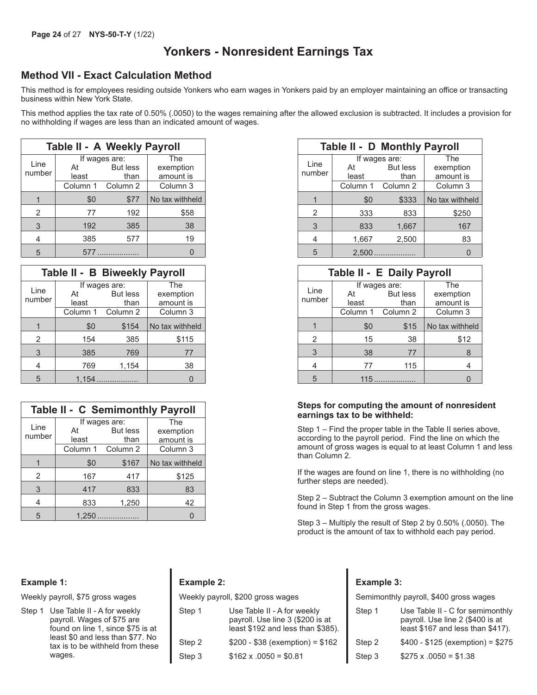## **Yonkers - Nonresident Earnings Tax**

## **Method VII - Exact Calculation Method**

This method is for employees residing outside Yonkers who earn wages in Yonkers paid by an employer maintaining an office or transacting business within New York State.

This method applies the tax rate of 0.50% (.0050) to the wages remaining after the allowed exclusion is subtracted. It includes a provision for no withholding if wages are less than an indicated amount of wages.

|        | <b>Table II - A Weekly Payroll</b> |                   |                 |
|--------|------------------------------------|-------------------|-----------------|
|        |                                    | If wages are:     | The             |
| Line   | At                                 | <b>But less</b>   | exemption       |
| number | least                              | than              | amount is       |
|        |                                    | Column 1 Column 2 | Column 3        |
|        | \$0                                | \$77              | No tax withheld |
| 2      | 77                                 | 192               | \$58            |
| 3      | 192                                | 385               | 38              |
| 4      | 385                                | 577               | 19              |
| 5      | 577                                |                   |                 |

|                | Table II - B Biweekly Payroll |                                   |                               |
|----------------|-------------------------------|-----------------------------------|-------------------------------|
| Line<br>number | At<br>least                   | If wages are:<br>But less<br>than | The<br>exemption<br>amount is |
|                | Column 1                      | Column 2                          | Column 3                      |
|                | \$0                           | \$154                             | No tax withheld               |
| $\mathfrak{p}$ | 154                           | 385                               | \$115                         |
| 3              | 385                           | 769                               | 77                            |
| 4              | 769                           | 1,154                             | 38                            |
| 5              |                               |                                   | $\Omega$                      |

| <b>Table II - C Semimonthly Payroll</b> |          |                 |                 |  |  |  |
|-----------------------------------------|----------|-----------------|-----------------|--|--|--|
|                                         |          | If wages are:   | The             |  |  |  |
| Line                                    | At       | <b>But less</b> | exemption       |  |  |  |
| number                                  | least    | than            | amount is       |  |  |  |
|                                         | Column 1 | Column 2        | Column 3        |  |  |  |
|                                         | \$0      | \$167           | No tax withheld |  |  |  |
| 2                                       | 167      | 417             | \$125           |  |  |  |
| 3                                       | 417      | 833             | 83              |  |  |  |
| 4                                       | 833      | 1,250           | 42              |  |  |  |
| 5                                       | 1,250    | .               |                 |  |  |  |

#### **Table II - D Monthly Payroll** Line number If wages are: At But less least than The exemption amount is Column 1 Column 2 | Column 3 | | | Column 1 Column 2 | Column 3 1 2 3 4 5 \$0 \$333 No tax withheld 333 833 \$250 833 1,667 167 1,667 2,500 83 2,500 ................... 0

|          | e II - B Biweekly Payroll |                 |
|----------|---------------------------|-----------------|
|          | If wages are:             | The             |
| At       | But less                  | exemption       |
| least    | than                      | amount is       |
| Column 1 | Column 2                  | Column 3        |
| \$0      | \$154                     | No tax withheld |
| 154      | 385                       | \$115           |
| 385      | 769                       | 77              |
| 769      | 1,154                     | 38              |
|          | $1,154$                   | $\Omega$        |

#### **Steps for computing the amount of nonresident earnings tax to be withheld:**

Step 1 – Find the proper table in the Table II series above, according to the payroll period. Find the line on which the amount of gross wages is equal to at least Column 1 and less than Column 2.

If the wages are found on line 1, there is no withholding (no further steps are needed).

Step 2 – Subtract the Column 3 exemption amount on the line found in Step 1 from the gross wages.

Step 3 – Multiply the result of Step 2 by 0.50% (.0050). The product is the amount of tax to withhold each pay period.

#### **Example 1:**

Weekly payroll, \$75 gross wages

Step 1 Use Table II - A for weekly payroll. Wages of \$75 are found on line 1, since \$75 is at least \$0 and less than \$77. No tax is to be withheld from these wages.

## **Example 2:**

| Weekly payroll, \$200 gross wages |                                                                                                      |  |  |  |
|-----------------------------------|------------------------------------------------------------------------------------------------------|--|--|--|
| Step 1                            | Use Table II - A for weekly<br>payroll. Use line 3 (\$200 is at<br>least \$192 and less than \$385). |  |  |  |
| Step 2                            | $$200 - $38$ (exemption) = \$162                                                                     |  |  |  |
| Step 3                            | $$162 \times .0050 = $0.81$                                                                          |  |  |  |
|                                   |                                                                                                      |  |  |  |

#### **Example 3:**

Semimonthly payroll, \$400 gross wages

| Step 1 | Use Table II - C for semimonthly<br>payroll. Use line 2 (\$400 is at<br>least \$167 and less than \$417). |
|--------|-----------------------------------------------------------------------------------------------------------|
| Step 2 | $$400 - $125$ (exemption) = \$275                                                                         |
| Step 3 | $$275 \times .0050 = $1.38$                                                                               |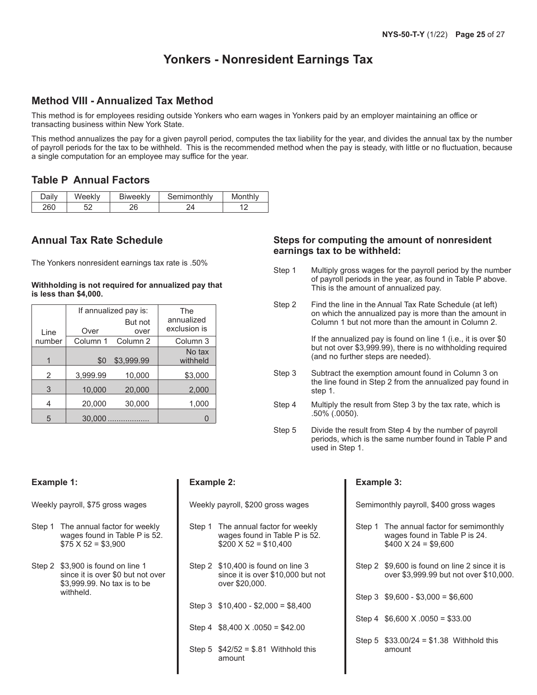## **Yonkers - Nonresident Earnings Tax**

## **Method VIII - Annualized Tax Method**

This method is for employees residing outside Yonkers who earn wages in Yonkers paid by an employer maintaining an office or transacting business within New York State.

This method annualizes the pay for a given payroll period, computes the tax liability for the year, and divides the annual tax by the number of payroll periods for the tax to be withheld. This is the recommended method when the pay is steady, with little or no fluctuation, because a single computation for an employee may suffice for the year.

## **Table P Annual Factors**

| انہ۱ |    | Biweekly | Semimonthly |  |
|------|----|----------|-------------|--|
| 260  | гn |          |             |  |

## **Annual Tax Rate Schedule**

The Yonkers nonresident earnings tax rate is .50%

**Withholding is not required for annualized pay that is less than \$4,000.**

| Line   | Over     | If annualized pay is:<br>But not<br>over | The<br>annualized<br>exclusion is |
|--------|----------|------------------------------------------|-----------------------------------|
| number |          | Column 1 Column 2                        | Column 3                          |
|        | \$0      | \$3,999.99                               | No tax<br>withheld                |
| 2      | 3,999.99 | 10,000                                   | \$3,000                           |
| 3      | 10,000   | 20,000                                   | 2,000                             |
| 4      | 20,000   | 30,000                                   | 1,000                             |
| 5      | 30,000   | .                                        |                                   |

#### **Steps for computing the amount of nonresident earnings tax to be withheld:**

- Step 1 Multiply gross wages for the payroll period by the number of payroll periods in the year, as found in Table P above. This is the amount of annualized pay.
- Step 2 Find the line in the Annual Tax Rate Schedule (at left) on which the annualized pay is more than the amount in Column 1 but not more than the amount in Column 2.

If the annualized pay is found on line 1 (i.e., it is over \$0 but not over \$3,999.99), there is no withholding required (and no further steps are needed).

- Step 3 Subtract the exemption amount found in Column 3 on the line found in Step 2 from the annualized pay found in step 1.
- Step 4 Multiply the result from Step 3 by the tax rate, which is .50% (.0050).
- Step 5 Divide the result from Step 4 by the number of payroll periods, which is the same number found in Table P and used in Step 1.

|                                                                                  | <b>Example 2:</b>                                                                                     | <b>Example 3:</b>                                                                                      |  |  |
|----------------------------------------------------------------------------------|-------------------------------------------------------------------------------------------------------|--------------------------------------------------------------------------------------------------------|--|--|
| oll, \$75 gross wages                                                            | Weekly payroll, \$200 gross wages                                                                     | Semimonthly payroll, \$400 gross wages                                                                 |  |  |
| annual factor for weekly<br>es found in Table P is 52.<br>$X 52 = $3,900$        | The annual factor for weekly<br>Step 1<br>wages found in Table P is 52.<br>$$200 \times 52 = $10,400$ | Step 1 The annual factor for semimonthly<br>wages found in Table P is 24.<br>$$400 \times 24 = $9,600$ |  |  |
| 00 is found on line 1<br>e it is over \$0 but not over<br>99.99. No tax is to be | Step 2 \$10,400 is found on line 3<br>since it is over \$10,000 but not<br>over \$20,000.             | Step 2 \$9,600 is found on line 2 since it is<br>over \$3,999.99 but not over \$10,000.                |  |  |
| held.                                                                            | Step 3 $$10,400 - $2,000 = $8,400$                                                                    | Step 3 $$9,600 - $3,000 = $6,600$                                                                      |  |  |
|                                                                                  | Step 4 $$8,400$ X .0050 = \$42.00                                                                     | Step 4 $$6,600$ X .0050 = \$33.00                                                                      |  |  |
|                                                                                  | Step 5 $$42/52 = $.81$ Withhold this<br>amount                                                        | Step 5 $$33.00/24 = $1.38$ Withhold this<br>amount                                                     |  |  |

I

## Weekly payr

Example 1

- Step 1 The wag  $$75$
- Step 2 \$3,9 since  $$3,9$ with

L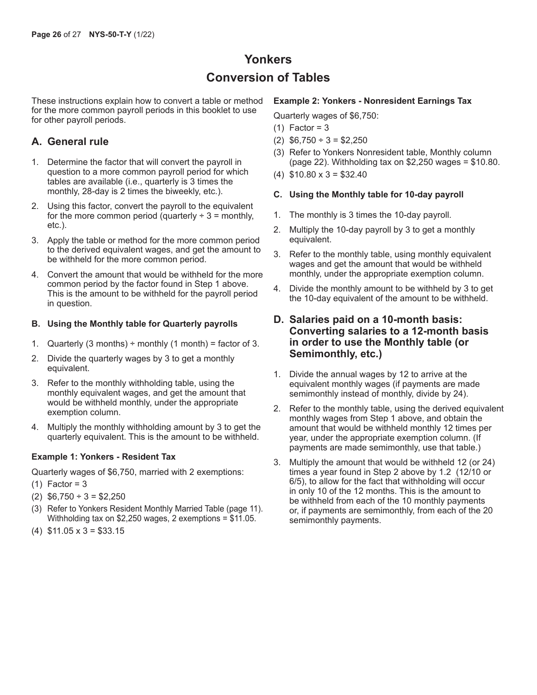## **Yonkers Conversion of Tables**

These instructions explain how to convert a table or method for the more common payroll periods in this booklet to use for other payroll periods.

## **A. General rule**

- 1. Determine the factor that will convert the payroll in question to a more common payroll period for which tables are available (i.e., quarterly is 3 times the monthly, 28-day is 2 times the biweekly, etc.).
- 2. Using this factor, convert the payroll to the equivalent for the more common period (quarterly  $\div$  3 = monthly, etc.).
- 3. Apply the table or method for the more common period to the derived equivalent wages, and get the amount to be withheld for the more common period.
- 4. Convert the amount that would be withheld for the more common period by the factor found in Step 1 above. This is the amount to be withheld for the payroll period in question.

#### **B. Using the Monthly table for Quarterly payrolls**

- 1. Quarterly (3 months)  $\div$  monthly (1 month) = factor of 3.
- 2. Divide the quarterly wages by 3 to get a monthly equivalent.
- 3. Refer to the monthly withholding table, using the monthly equivalent wages, and get the amount that would be withheld monthly, under the appropriate exemption column.
- 4. Multiply the monthly withholding amount by 3 to get the quarterly equivalent. This is the amount to be withheld.

#### **Example 1: Yonkers - Resident Tax**

Quarterly wages of \$6,750, married with 2 exemptions:

- $(1)$  Factor = 3
- (2) \$6,750 ÷ 3 = \$2,250
- (3) Refer to Yonkers Resident Monthly Married Table (page 11). Withholding tax on \$2,250 wages, 2 exemptions = \$11.05.
- (4) \$11.05 x 3 = \$33.15

#### **Example 2: Yonkers - Nonresident Earnings Tax**

Quarterly wages of \$6,750:

- $(1)$  Factor = 3
- (2) \$6,750 ÷ 3 = \$2,250
- (3) Refer to Yonkers Nonresident table, Monthly column (page 22). Withholding tax on \$2,250 wages = \$10.80.
- $(4)$  \$10.80 x 3 = \$32.40

#### **C. Using the Monthly table for 10-day payroll**

- 1. The monthly is 3 times the 10-day payroll.
- 2. Multiply the 10-day payroll by 3 to get a monthly equivalent.
- 3. Refer to the monthly table, using monthly equivalent wages and get the amount that would be withheld monthly, under the appropriate exemption column.
- 4. Divide the monthly amount to be withheld by 3 to get the 10-day equivalent of the amount to be withheld.

## **D. Salaries paid on a 10-month basis: Converting salaries to a 12-month basis in order to use the Monthly table (or Semimonthly, etc.)**

- 1. Divide the annual wages by 12 to arrive at the equivalent monthly wages (if payments are made semimonthly instead of monthly, divide by 24).
- 2. Refer to the monthly table, using the derived equivalent monthly wages from Step 1 above, and obtain the amount that would be withheld monthly 12 times per year, under the appropriate exemption column. (If payments are made semimonthly, use that table.)
- 3. Multiply the amount that would be withheld 12 (or 24) times a year found in Step 2 above by 1.2 (12/10 or 6/5), to allow for the fact that withholding will occur in only 10 of the 12 months. This is the amount to be withheld from each of the 10 monthly payments or, if payments are semimonthly, from each of the 20 semimonthly payments.